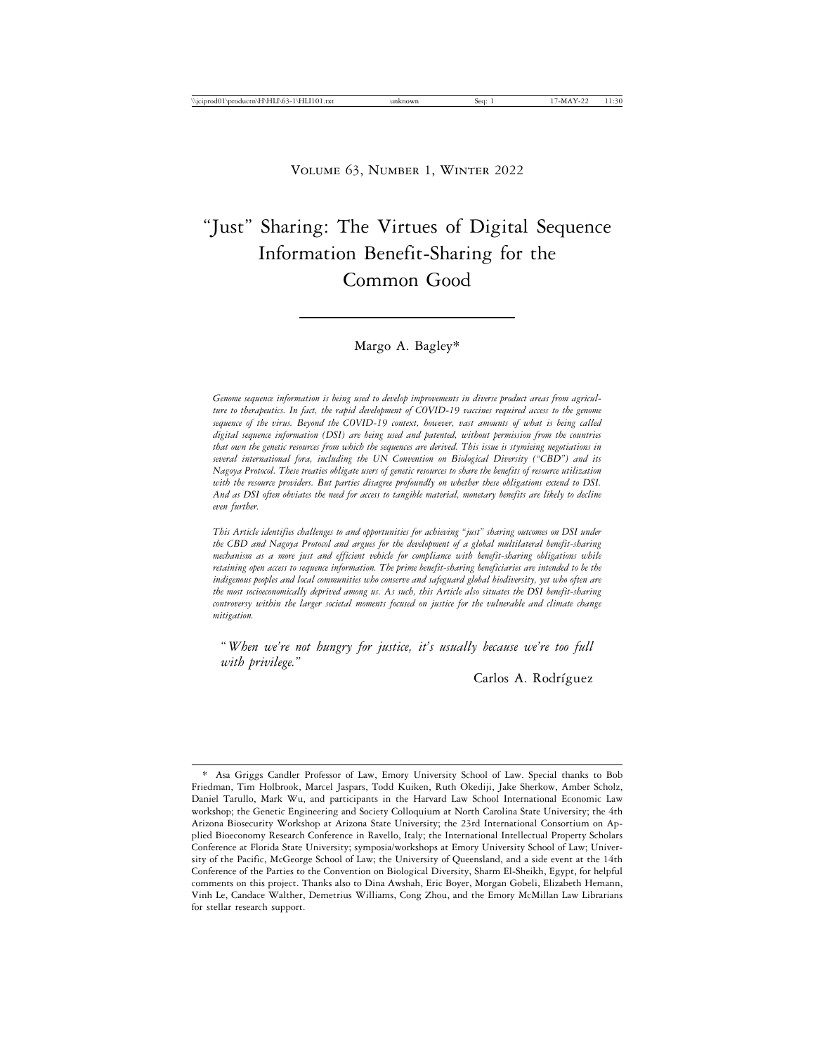# "Just" Sharing: The Virtues of Digital Sequence Information Benefit-Sharing for the Common Good

### Margo A. Bagley\*

*Genome sequence information is being used to develop improvements in diverse product areas from agriculture to therapeutics. In fact, the rapid development of COVID-19 vaccines required access to the genome sequence of the virus. Beyond the COVID-19 context, however, vast amounts of what is being called digital sequence information (DSI) are being used and patented, without permission from the countries that own the genetic resources from which the sequences are derived. This issue is stymieing negotiations in several international fora, including the UN Convention on Biological Diversity ("CBD") and its Nagoya Protocol. These treaties obligate users of genetic resources to share the benefits of resource utilization with the resource providers. But parties disagree profoundly on whether these obligations extend to DSI. And as DSI often obviates the need for access to tangible material, monetary benefits are likely to decline even further.*

*This Article identifies challenges to and opportunities for achieving "just" sharing outcomes on DSI under the CBD and Nagoya Protocol and argues for the development of a global multilateral benefit-sharing mechanism as a more just and efficient vehicle for compliance with benefit-sharing obligations while retaining open access to sequence information. The prime benefit-sharing beneficiaries are intended to be the indigenous peoples and local communities who conserve and safeguard global biodiversity, yet who often are the most socioeconomically deprived among us. As such, this Article also situates the DSI benefit-sharing controversy within the larger societal moments focused on justice for the vulnerable and climate change mitigation.*

"*When we're not hungry for justice, it's usually because we're too full with privilege.*"

Carlos A. Rodríguez

Asa Griggs Candler Professor of Law, Emory University School of Law. Special thanks to Bob Friedman, Tim Holbrook, Marcel Jaspars, Todd Kuiken, Ruth Okediji, Jake Sherkow, Amber Scholz, Daniel Tarullo, Mark Wu, and participants in the Harvard Law School International Economic Law workshop; the Genetic Engineering and Society Colloquium at North Carolina State University; the 4th Arizona Biosecurity Workshop at Arizona State University; the 23rd International Consortium on Applied Bioeconomy Research Conference in Ravello, Italy; the International Intellectual Property Scholars Conference at Florida State University; symposia/workshops at Emory University School of Law; University of the Pacific, McGeorge School of Law; the University of Queensland, and a side event at the 14th Conference of the Parties to the Convention on Biological Diversity, Sharm El-Sheikh, Egypt, for helpful comments on this project. Thanks also to Dina Awshah, Eric Boyer, Morgan Gobeli, Elizabeth Hemann, Vinh Le, Candace Walther, Demetrius Williams, Cong Zhou, and the Emory McMillan Law Librarians for stellar research support.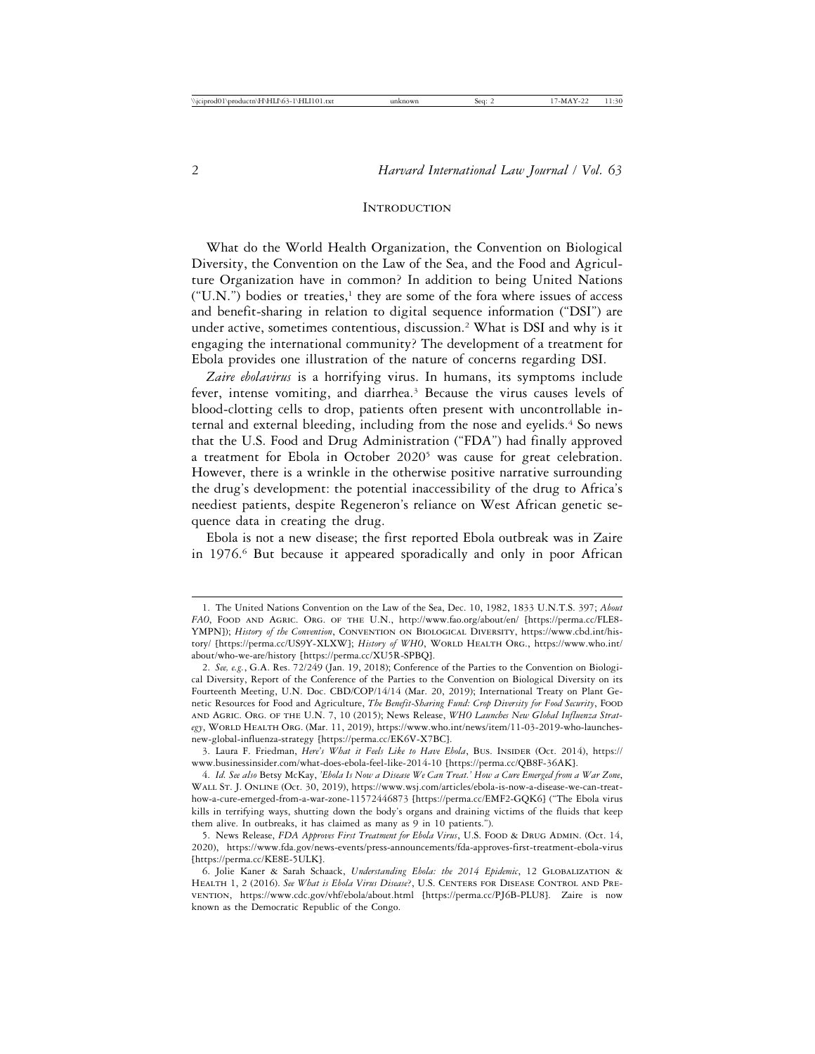#### **INTRODUCTION**

What do the World Health Organization, the Convention on Biological Diversity, the Convention on the Law of the Sea, and the Food and Agriculture Organization have in common? In addition to being United Nations  $("U.N.")$  bodies or treaties,<sup>1</sup> they are some of the fora where issues of access and benefit-sharing in relation to digital sequence information ("DSI") are under active, sometimes contentious, discussion.2 What is DSI and why is it engaging the international community? The development of a treatment for Ebola provides one illustration of the nature of concerns regarding DSI.

*Zaire ebolavirus* is a horrifying virus. In humans, its symptoms include fever, intense vomiting, and diarrhea.<sup>3</sup> Because the virus causes levels of blood-clotting cells to drop, patients often present with uncontrollable internal and external bleeding, including from the nose and eyelids.<sup>4</sup> So news that the U.S. Food and Drug Administration ("FDA") had finally approved a treatment for Ebola in October 2020<sup>5</sup> was cause for great celebration. However, there is a wrinkle in the otherwise positive narrative surrounding the drug's development: the potential inaccessibility of the drug to Africa's neediest patients, despite Regeneron's reliance on West African genetic sequence data in creating the drug.

Ebola is not a new disease; the first reported Ebola outbreak was in Zaire in 1976.6 But because it appeared sporadically and only in poor African

<sup>1.</sup> The United Nations Convention on the Law of the Sea, Dec. 10, 1982, 1833 U.N.T.S. 397; *About FAO*, Food and Agric. Org. of the U.N., http://www.fao.org/about/en/ [https://perma.cc/FLE8- YMPN]); *History of the Convention*, CONVENTION ON BIOLOGICAL DIVERSITY, https://www.cbd.int/history/ [https://perma.cc/US9Y-XLXW]; *History of WHO*, WORLD HEALTH ORG., https://www.who.int/ about/who-we-are/history [https://perma.cc/XU5R-SPBQ].

<sup>2.</sup> *See, e.g.*, G.A. Res. 72/249 (Jan. 19, 2018); Conference of the Parties to the Convention on Biological Diversity, Report of the Conference of the Parties to the Convention on Biological Diversity on its Fourteenth Meeting, U.N. Doc. CBD/COP/14/14 (Mar. 20, 2019); International Treaty on Plant Genetic Resources for Food and Agriculture, *The Benefit-Sharing Fund: Crop Diversity for Food Security*, Food and Agric. Org. of the U.N. 7, 10 (2015); News Release, *WHO Launches New Global Influenza Strat*egy, WORLD HEALTH ORG. (Mar. 11, 2019), https://www.who.int/news/item/11-03-2019-who-launchesnew-global-influenza-strategy [https://perma.cc/EK6V-X7BC].

<sup>3.</sup> Laura F. Friedman, *Here's What it Feels Like to Have Ebola*, Bus. Insider (Oct. 2014), https:// www.businessinsider.com/what-does-ebola-feel-like-2014-10 [https://perma.cc/QB8F-36AK].

<sup>4.</sup> *Id. See also* Betsy McKay, *'Ebola Is Now a Disease We Can Treat.' How a Cure Emerged from a War Zone*, Wall St. J. Online (Oct. 30, 2019), https://www.wsj.com/articles/ebola-is-now-a-disease-we-can-treathow-a-cure-emerged-from-a-war-zone-11572446873 [https://perma.cc/EMF2-GQK6] ("The Ebola virus kills in terrifying ways, shutting down the body's organs and draining victims of the fluids that keep them alive. In outbreaks, it has claimed as many as 9 in 10 patients.").

<sup>5.</sup> News Release, *FDA Approves First Treatment for Ebola Virus*, U.S. FOOD & DRUG ADMIN. (Oct. 14, 2020), https://www.fda.gov/news-events/press-announcements/fda-approves-first-treatment-ebola-virus [https://perma.cc/KE8E-5ULK].

<sup>6.</sup> Jolie Kaner & Sarah Schaack, *Understanding Ebola: the 2014 Epidemic*, 12 Globalization & Health 1, 2 (2016). *See What is Ebola Virus Disease*?, U.S. Centers for Disease Control and Prevention, https://www.cdc.gov/vhf/ebola/about.html [https://perma.cc/PJ6B-PLU8]. Zaire is now known as the Democratic Republic of the Congo.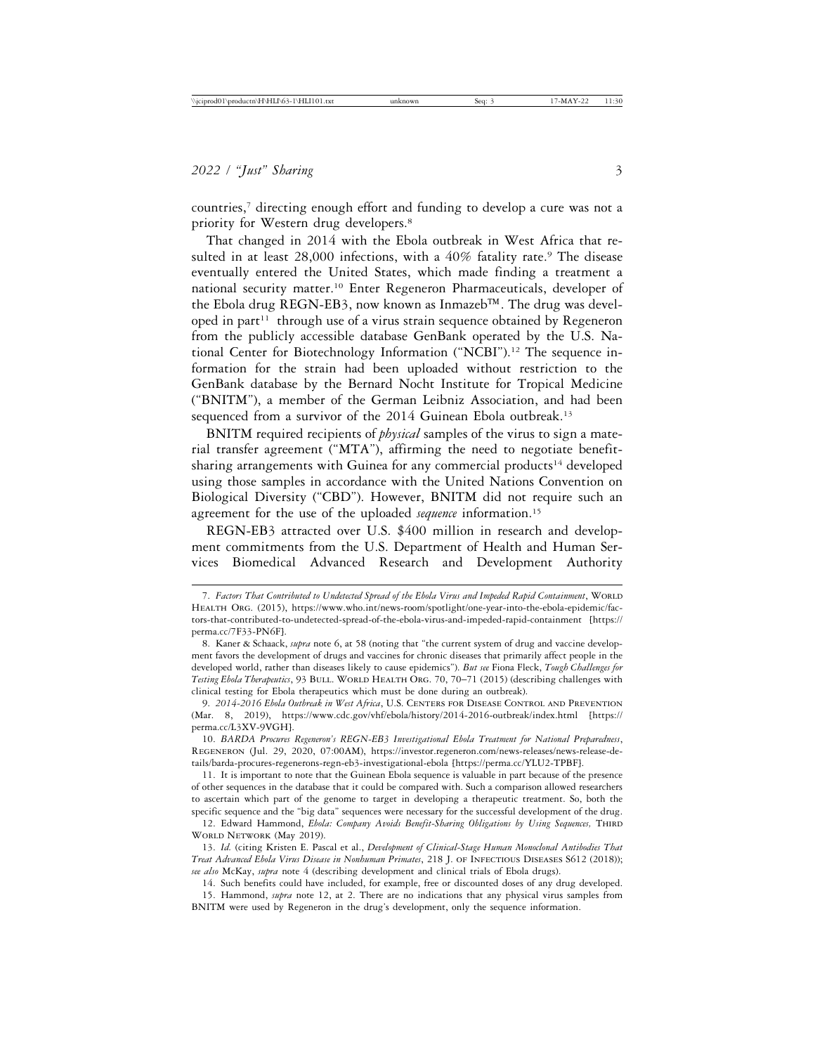countries,7 directing enough effort and funding to develop a cure was not a priority for Western drug developers.8

That changed in 2014 with the Ebola outbreak in West Africa that resulted in at least  $28,000$  infections, with a  $40\%$  fatality rate.<sup>9</sup> The disease eventually entered the United States, which made finding a treatment a national security matter.10 Enter Regeneron Pharmaceuticals, developer of the Ebola drug REGN-EB3, now known as Inmazeb™. The drug was developed in part<sup>11</sup> through use of a virus strain sequence obtained by Regeneron from the publicly accessible database GenBank operated by the U.S. National Center for Biotechnology Information ("NCBI").12 The sequence information for the strain had been uploaded without restriction to the GenBank database by the Bernard Nocht Institute for Tropical Medicine ("BNITM"), a member of the German Leibniz Association, and had been sequenced from a survivor of the 2014 Guinean Ebola outbreak.<sup>13</sup>

BNITM required recipients of *physical* samples of the virus to sign a material transfer agreement ("MTA"), affirming the need to negotiate benefitsharing arrangements with Guinea for any commercial products<sup>14</sup> developed using those samples in accordance with the United Nations Convention on Biological Diversity ("CBD"). However, BNITM did not require such an agreement for the use of the uploaded *sequence* information.<sup>15</sup>

REGN-EB3 attracted over U.S. \$400 million in research and development commitments from the U.S. Department of Health and Human Services Biomedical Advanced Research and Development Authority

11. It is important to note that the Guinean Ebola sequence is valuable in part because of the presence of other sequences in the database that it could be compared with. Such a comparison allowed researchers to ascertain which part of the genome to target in developing a therapeutic treatment. So, both the specific sequence and the "big data" sequences were necessary for the successful development of the drug.

12. Edward Hammond, *Ebola: Company Avoids Benefit-Sharing Obligations by Using Sequences*, THIRD WORLD NETWORK (May 2019).

14. Such benefits could have included, for example, free or discounted doses of any drug developed.

15. Hammond, *supra* note 12, at 2. There are no indications that any physical virus samples from BNITM were used by Regeneron in the drug's development, only the sequence information.

<sup>7.</sup> Factors That Contributed to Undetected Spread of the Ebola Virus and Impeded Rapid Containment, WORLD HEALTH ORG. (2015), https://www.who.int/news-room/spotlight/one-year-into-the-ebola-epidemic/factors-that-contributed-to-undetected-spread-of-the-ebola-virus-and-impeded-rapid-containment [https:// perma.cc/7F33-PN6F].

<sup>8.</sup> Kaner & Schaack, *supra* note 6, at 58 (noting that "the current system of drug and vaccine development favors the development of drugs and vaccines for chronic diseases that primarily affect people in the developed world, rather than diseases likely to cause epidemics"). *But see* Fiona Fleck, *Tough Challenges for* Testing Ebola Therapeutics, 93 BULL. WORLD HEALTH ORG. 70, 70-71 (2015) (describing challenges with clinical testing for Ebola therapeutics which must be done during an outbreak).

<sup>9.</sup> *2014-2016 Ebola Outbreak in West Africa*, U.S. Centers for Disease Control and Prevention (Mar. 8, 2019), https://www.cdc.gov/vhf/ebola/history/2014-2016-outbreak/index.html [https:// perma.cc/L3XV-9VGH].

<sup>10.</sup> *BARDA Procures Regeneron's REGN-EB3 Investigational Ebola Treatment for National Preparedness*, Regeneron (Jul. 29, 2020, 07:00AM), https://investor.regeneron.com/news-releases/news-release-details/barda-procures-regenerons-regn-eb3-investigational-ebola [https://perma.cc/YLU2-TPBF].

<sup>13.</sup> *Id.* (citing Kristen E. Pascal et al., *Development of Clinical-Stage Human Monoclonal Antibodies That Treat Advanced Ebola Virus Disease in Nonhuman Primates*, 218 J. of Infectious Diseases S612 (2018)); *see also* McKay, *supra* note 4 (describing development and clinical trials of Ebola drugs).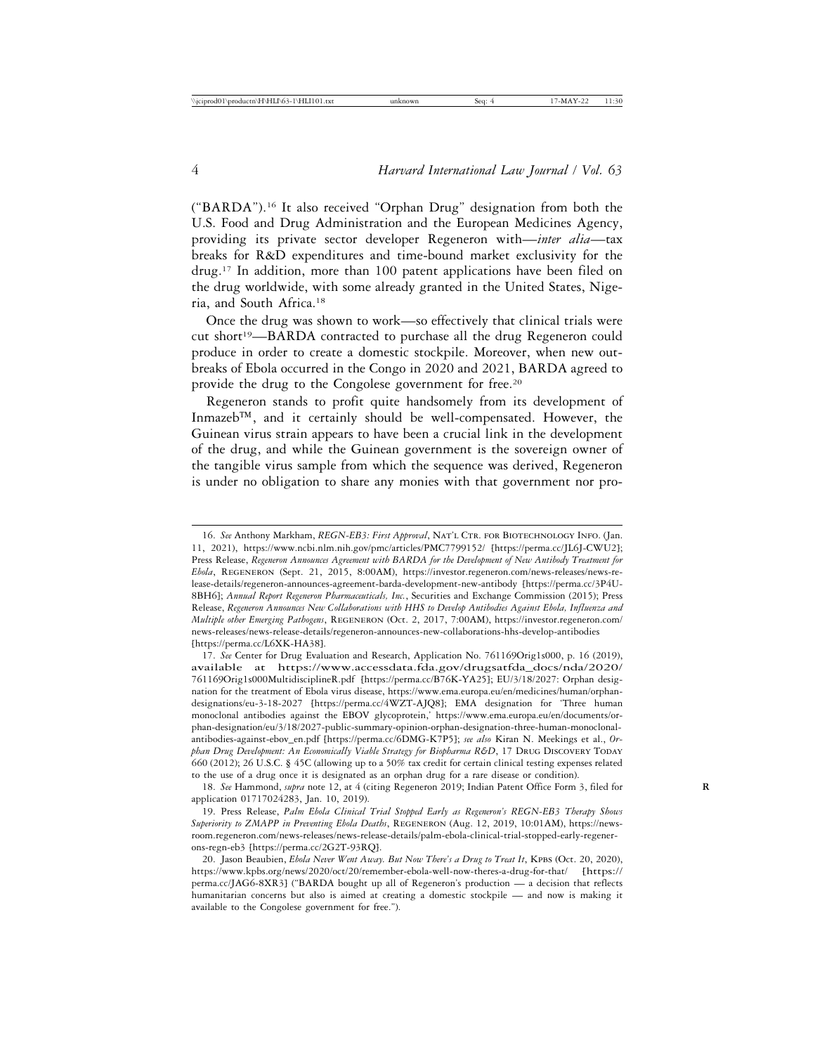("BARDA").16 It also received "Orphan Drug" designation from both the U.S. Food and Drug Administration and the European Medicines Agency, providing its private sector developer Regeneron with—*inter alia*—tax breaks for R&D expenditures and time-bound market exclusivity for the drug.17 In addition, more than 100 patent applications have been filed on the drug worldwide, with some already granted in the United States, Nigeria, and South Africa.18

Once the drug was shown to work—so effectively that clinical trials were cut short19—BARDA contracted to purchase all the drug Regeneron could produce in order to create a domestic stockpile. Moreover, when new outbreaks of Ebola occurred in the Congo in 2020 and 2021, BARDA agreed to provide the drug to the Congolese government for free.20

Regeneron stands to profit quite handsomely from its development of Inmazeb™, and it certainly should be well-compensated. However, the Guinean virus strain appears to have been a crucial link in the development of the drug, and while the Guinean government is the sovereign owner of the tangible virus sample from which the sequence was derived, Regeneron is under no obligation to share any monies with that government nor pro-

<sup>16.</sup> See Anthony Markham, *REGN-EB3: First Approval*, NAT'L CTR. FOR BIOTECHNOLOGY INFO. (Jan. 11, 2021), https://www.ncbi.nlm.nih.gov/pmc/articles/PMC7799152/ [https://perma.cc/JL6J-CWU2]; Press Release, *Regeneron Announces Agreement with BARDA for the Development of New Antibody Treatment for Ebola*, Regeneron (Sept. 21, 2015, 8:00AM), https://investor.regeneron.com/news-releases/news-release-details/regeneron-announces-agreement-barda-development-new-antibody [https://perma.cc/3P4U-8BH6]; *Annual Report Regeneron Pharmaceuticals, Inc.*, Securities and Exchange Commission (2015); Press Release, *Regeneron Announces New Collaborations with HHS to Develop Antibodies Against Ebola, Influenza and Multiple other Emerging Pathogens*, Regeneron (Oct. 2, 2017, 7:00AM), https://investor.regeneron.com/ news-releases/news-release-details/regeneron-announces-new-collaborations-hhs-develop-antibodies [https://perma.cc/L6XK-HA38].

<sup>17.</sup> *See* Center for Drug Evaluation and Research, Application No. 761169Orig1s000, p. 16 (2019), available at https://www.accessdata.fda.gov/drugsatfda\_docs/nda/2020/ 761169Orig1s000MultidisciplineR.pdf [https://perma.cc/B76K-YA25]; EU/3/18/2027: Orphan designation for the treatment of Ebola virus disease, https://www.ema.europa.eu/en/medicines/human/orphandesignations/eu-3-18-2027 [https://perma.cc/4WZT-AJQ8]; EMA designation for 'Three human monoclonal antibodies against the EBOV glycoprotein,' https://www.ema.europa.eu/en/documents/orphan-designation/eu/3/18/2027-public-summary-opinion-orphan-designation-three-human-monoclonalantibodies-against-ebov\_en.pdf [https://perma.cc/6DMG-K7P5]; *see also* Kiran N. Meekings et al., *Orphan Drug Development: An Economically Viable Strategy for Biopharma R&D*, 17 DRUG DISCOVERY TODAY 660 (2012); 26 U.S.C. § 45C (allowing up to a 50% tax credit for certain clinical testing expenses related to the use of a drug once it is designated as an orphan drug for a rare disease or condition).

<sup>18.</sup> *See* Hammond, *supra* note 12, at 4 (citing Regeneron 2019; Indian Patent Office Form 3, filed for **R** application 01717024283, Jan. 10, 2019).

<sup>19.</sup> Press Release, *Palm Ebola Clinical Trial Stopped Early as Regeneron's REGN-EB3 Therapy Shows Superiority to ZMAPP in Preventing Ebola Deaths*, Regeneron (Aug. 12, 2019, 10:01AM), https://newsroom.regeneron.com/news-releases/news-release-details/palm-ebola-clinical-trial-stopped-early-regenerons-regn-eb3 [https://perma.cc/2G2T-93RQ].

<sup>20.</sup> Jason Beaubien, *Ebola Never Went Away. But Now There's a Drug to Treat It*, KPBs (Oct. 20, 2020), https://www.kpbs.org/news/2020/oct/20/remember-ebola-well-now-theres-a-drug-for-that/ [https:// perma.cc/JAG6-8XR3] ("BARDA bought up all of Regeneron's production — a decision that reflects humanitarian concerns but also is aimed at creating a domestic stockpile — and now is making it available to the Congolese government for free.").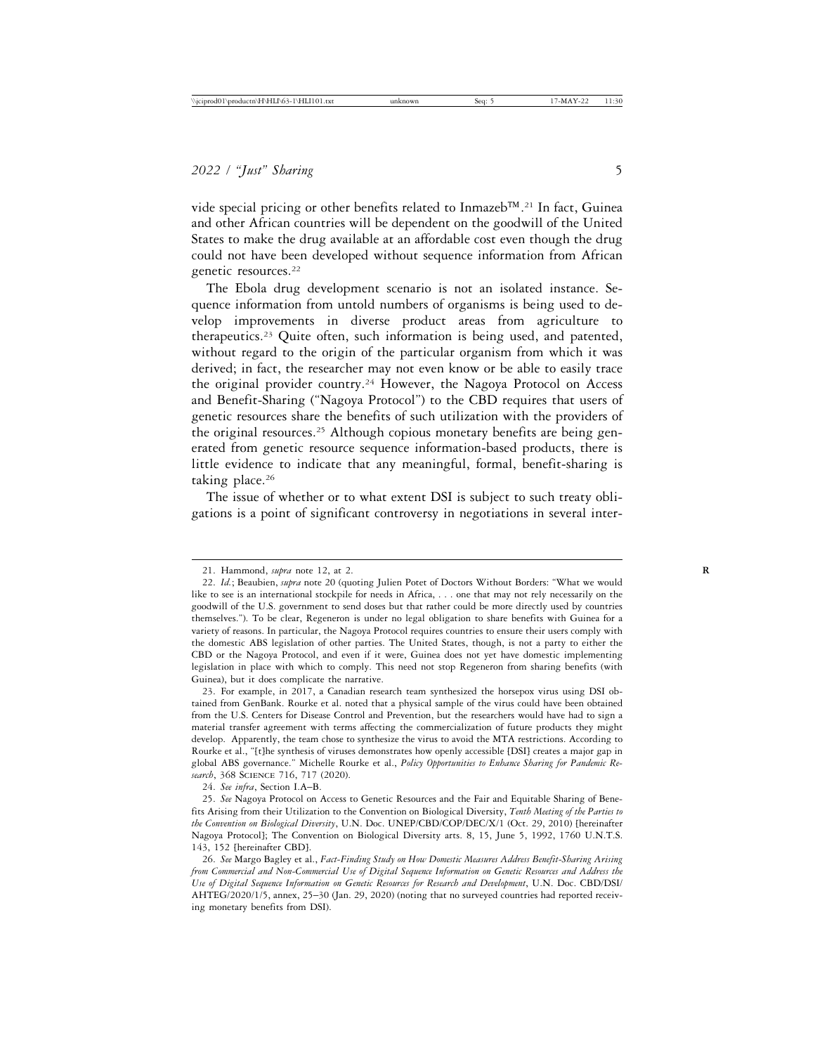vide special pricing or other benefits related to Inmazeb™. 21 In fact, Guinea and other African countries will be dependent on the goodwill of the United States to make the drug available at an affordable cost even though the drug could not have been developed without sequence information from African genetic resources.22

The Ebola drug development scenario is not an isolated instance. Sequence information from untold numbers of organisms is being used to develop improvements in diverse product areas from agriculture to therapeutics.23 Quite often, such information is being used, and patented, without regard to the origin of the particular organism from which it was derived; in fact, the researcher may not even know or be able to easily trace the original provider country.<sup>24</sup> However, the Nagoya Protocol on Access and Benefit-Sharing ("Nagoya Protocol") to the CBD requires that users of genetic resources share the benefits of such utilization with the providers of the original resources.25 Although copious monetary benefits are being generated from genetic resource sequence information-based products, there is little evidence to indicate that any meaningful, formal, benefit-sharing is taking place.<sup>26</sup>

The issue of whether or to what extent DSI is subject to such treaty obligations is a point of significant controversy in negotiations in several inter-

<sup>21.</sup> Hammond, *supra* note 12, at 2. **R**

<sup>22.</sup> *Id.*; Beaubien, *supra* note 20 (quoting Julien Potet of Doctors Without Borders: "What we would like to see is an international stockpile for needs in Africa, . . . one that may not rely necessarily on the goodwill of the U.S. government to send doses but that rather could be more directly used by countries themselves."). To be clear, Regeneron is under no legal obligation to share benefits with Guinea for a variety of reasons. In particular, the Nagoya Protocol requires countries to ensure their users comply with the domestic ABS legislation of other parties. The United States, though, is not a party to either the CBD or the Nagoya Protocol, and even if it were, Guinea does not yet have domestic implementing legislation in place with which to comply. This need not stop Regeneron from sharing benefits (with Guinea), but it does complicate the narrative.

<sup>23.</sup> For example, in 2017, a Canadian research team synthesized the horsepox virus using DSI obtained from GenBank. Rourke et al. noted that a physical sample of the virus could have been obtained from the U.S. Centers for Disease Control and Prevention, but the researchers would have had to sign a material transfer agreement with terms affecting the commercialization of future products they might develop. Apparently, the team chose to synthesize the virus to avoid the MTA restrictions. According to Rourke et al., "[t]he synthesis of viruses demonstrates how openly accessible [DSI] creates a major gap in global ABS governance." Michelle Rourke et al., *Policy Opportunities to Enhance Sharing for Pandemic Research*, 368 Science 716, 717 (2020).

<sup>24.</sup> *See infra*, Section I.A–B.

<sup>25.</sup> *See* Nagoya Protocol on Access to Genetic Resources and the Fair and Equitable Sharing of Benefits Arising from their Utilization to the Convention on Biological Diversity, *Tenth Meeting of the Parties to the Convention on Biological Diversity*, U.N. Doc. UNEP/CBD/COP/DEC/X/1 (Oct. 29, 2010) [hereinafter Nagoya Protocol]; The Convention on Biological Diversity arts. 8, 15, June 5, 1992, 1760 U.N.T.S. 143, 152 [hereinafter CBD].

<sup>26.</sup> *See* Margo Bagley et al., *Fact-Finding Study on How Domestic Measures Address Benefit-Sharing Arising from Commercial and Non-Commercial Use of Digital Sequence Information on Genetic Resources and Address the Use of Digital Sequence Information on Genetic Resources for Research and Development*, U.N. Doc. CBD/DSI/ AHTEG/2020/1/5, annex, 25–30 (Jan. 29, 2020) (noting that no surveyed countries had reported receiving monetary benefits from DSI).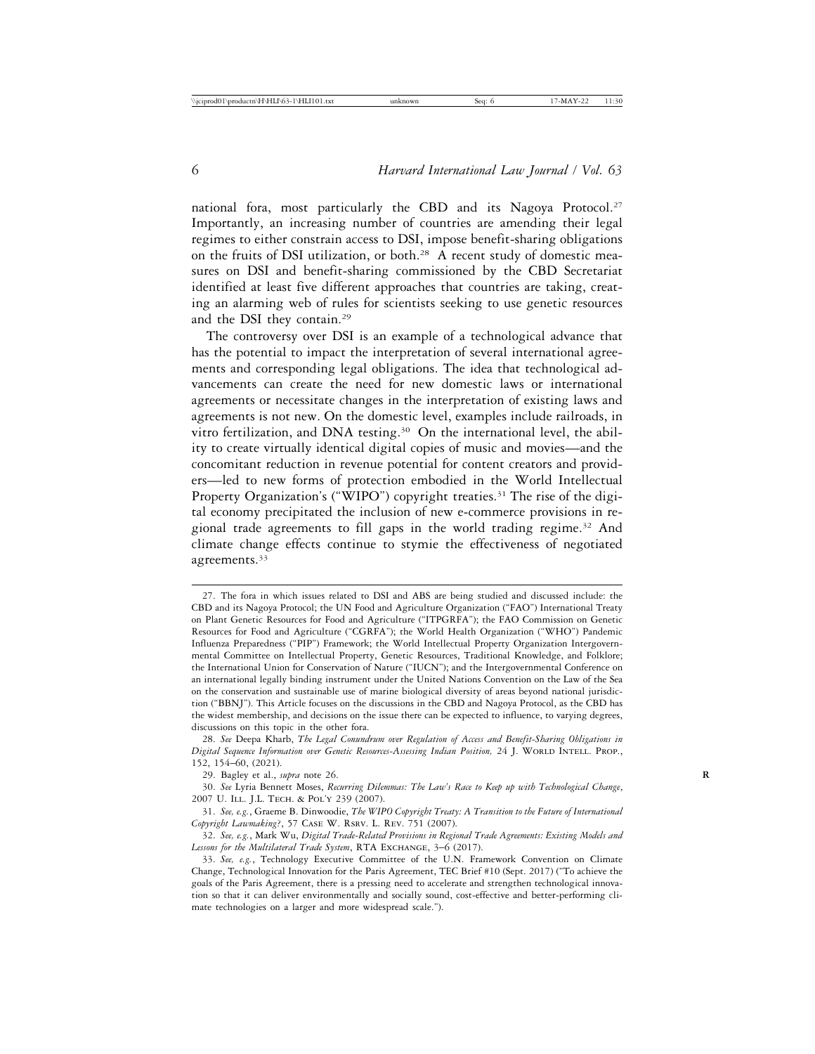national fora, most particularly the CBD and its Nagoya Protocol.<sup>27</sup> Importantly, an increasing number of countries are amending their legal regimes to either constrain access to DSI, impose benefit-sharing obligations on the fruits of DSI utilization, or both.28 A recent study of domestic measures on DSI and benefit-sharing commissioned by the CBD Secretariat identified at least five different approaches that countries are taking, creating an alarming web of rules for scientists seeking to use genetic resources and the DSI they contain.29

The controversy over DSI is an example of a technological advance that has the potential to impact the interpretation of several international agreements and corresponding legal obligations. The idea that technological advancements can create the need for new domestic laws or international agreements or necessitate changes in the interpretation of existing laws and agreements is not new. On the domestic level, examples include railroads, in vitro fertilization, and DNA testing.<sup>30</sup> On the international level, the ability to create virtually identical digital copies of music and movies—and the concomitant reduction in revenue potential for content creators and providers—led to new forms of protection embodied in the World Intellectual Property Organization's ("WIPO") copyright treaties.<sup>31</sup> The rise of the digital economy precipitated the inclusion of new e-commerce provisions in regional trade agreements to fill gaps in the world trading regime.32 And climate change effects continue to stymie the effectiveness of negotiated agreements.33

<sup>27.</sup> The fora in which issues related to DSI and ABS are being studied and discussed include: the CBD and its Nagoya Protocol; the UN Food and Agriculture Organization ("FAO") International Treaty on Plant Genetic Resources for Food and Agriculture ("ITPGRFA"); the FAO Commission on Genetic Resources for Food and Agriculture ("CGRFA"); the World Health Organization ("WHO") Pandemic Influenza Preparedness ("PIP") Framework; the World Intellectual Property Organization Intergovernmental Committee on Intellectual Property, Genetic Resources, Traditional Knowledge, and Folklore; the International Union for Conservation of Nature ("IUCN"); and the Intergovernmental Conference on an international legally binding instrument under the United Nations Convention on the Law of the Sea on the conservation and sustainable use of marine biological diversity of areas beyond national jurisdiction ("BBNJ"). This Article focuses on the discussions in the CBD and Nagoya Protocol, as the CBD has the widest membership, and decisions on the issue there can be expected to influence, to varying degrees, discussions on this topic in the other fora.

<sup>28.</sup> *See* Deepa Kharb, *The Legal Conundrum over Regulation of Access and Benefit-Sharing Obligations in Digital Sequence Information over Genetic Resources-Assessing Indian Position,* 24 J. WORLD INTELL. PROP., 152, 154–60, (2021).

<sup>29.</sup> Bagley et al., *supra* note 26. **R**

<sup>30.</sup> *See* Lyria Bennett Moses, *Recurring Dilemmas: The Law's Race to Keep up with Technological Change*, 2007 U. ILL. J.L. TECH. & POL'Y 239 (2007).

<sup>31.</sup> *See, e.g.*, Graeme B. Dinwoodie, *The WIPO Copyright Treaty: A Transition to the Future of International Copyright Lawmaking*?, 57 Case W. Rsrv. L. Rev. 751 (2007).

<sup>32.</sup> *See, e.g.*, Mark Wu, *Digital Trade-Related Provisions in Regional Trade Agreements: Existing Models and* Lessons for the Multilateral Trade System, RTA EXCHANGE, 3-6 (2017).

<sup>33.</sup> *See, e.g.*, Technology Executive Committee of the U.N. Framework Convention on Climate Change, Technological Innovation for the Paris Agreement, TEC Brief #10 (Sept. 2017) ("To achieve the goals of the Paris Agreement, there is a pressing need to accelerate and strengthen technological innovation so that it can deliver environmentally and socially sound, cost-effective and better-performing climate technologies on a larger and more widespread scale.").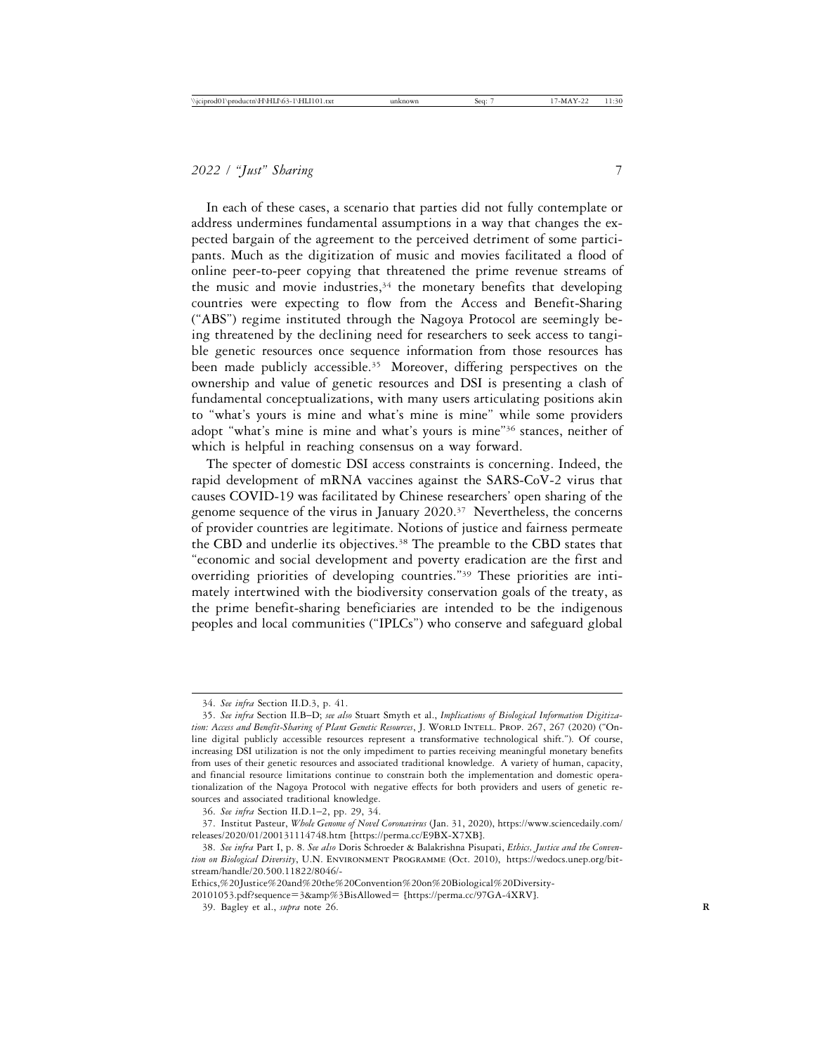In each of these cases, a scenario that parties did not fully contemplate or address undermines fundamental assumptions in a way that changes the expected bargain of the agreement to the perceived detriment of some participants. Much as the digitization of music and movies facilitated a flood of online peer-to-peer copying that threatened the prime revenue streams of the music and movie industries, $34$  the monetary benefits that developing countries were expecting to flow from the Access and Benefit-Sharing ("ABS") regime instituted through the Nagoya Protocol are seemingly being threatened by the declining need for researchers to seek access to tangible genetic resources once sequence information from those resources has been made publicly accessible.<sup>35</sup> Moreover, differing perspectives on the ownership and value of genetic resources and DSI is presenting a clash of fundamental conceptualizations, with many users articulating positions akin to "what's yours is mine and what's mine is mine" while some providers adopt "what's mine is mine and what's yours is mine"36 stances, neither of which is helpful in reaching consensus on a way forward.

The specter of domestic DSI access constraints is concerning. Indeed, the rapid development of mRNA vaccines against the SARS-CoV-2 virus that causes COVID-19 was facilitated by Chinese researchers' open sharing of the genome sequence of the virus in January 2020.37 Nevertheless, the concerns of provider countries are legitimate. Notions of justice and fairness permeate the CBD and underlie its objectives.38 The preamble to the CBD states that "economic and social development and poverty eradication are the first and overriding priorities of developing countries."39 These priorities are intimately intertwined with the biodiversity conservation goals of the treaty, as the prime benefit-sharing beneficiaries are intended to be the indigenous peoples and local communities ("IPLCs") who conserve and safeguard global

Ethics,%20Justice%20and%20the%20Convention%20on%20Biological%20Diversity-

20101053.pdf?sequence=3&amp%3BisAllowed= [https://perma.cc/97GA-4XRV].

<sup>34.</sup> *See infra* Section II.D.3, p. 41.

<sup>35.</sup> *See infra* Section II.B–D; *see also* Stuart Smyth et al., *Implications of Biological Information Digitiza*tion: Access and Benefit-Sharing of Plant Genetic Resources, J. WORLD INTELL. PROP. 267, 267 (2020) ("Online digital publicly accessible resources represent a transformative technological shift."). Of course, increasing DSI utilization is not the only impediment to parties receiving meaningful monetary benefits from uses of their genetic resources and associated traditional knowledge. A variety of human, capacity, and financial resource limitations continue to constrain both the implementation and domestic operationalization of the Nagoya Protocol with negative effects for both providers and users of genetic resources and associated traditional knowledge.

<sup>36.</sup> *See infra* Section II.D.1–2, pp. 29, 34.

<sup>37.</sup> Institut Pasteur, *Whole Genome of Novel Coronavirus* (Jan. 31, 2020), https://www.sciencedaily.com/ releases/2020/01/200131114748.htm [https://perma.cc/E9BX-X7XB].

<sup>38.</sup> *See infra* Part I, p. 8. *See also* Doris Schroeder & Balakrishna Pisupati, *Ethics, Justice and the Convention on Biological Diversity*, U.N. Environment Programme (Oct. 2010), https://wedocs.unep.org/bitstream/handle/20.500.11822/8046/-

<sup>39.</sup> Bagley et al., *supra* note 26. **R**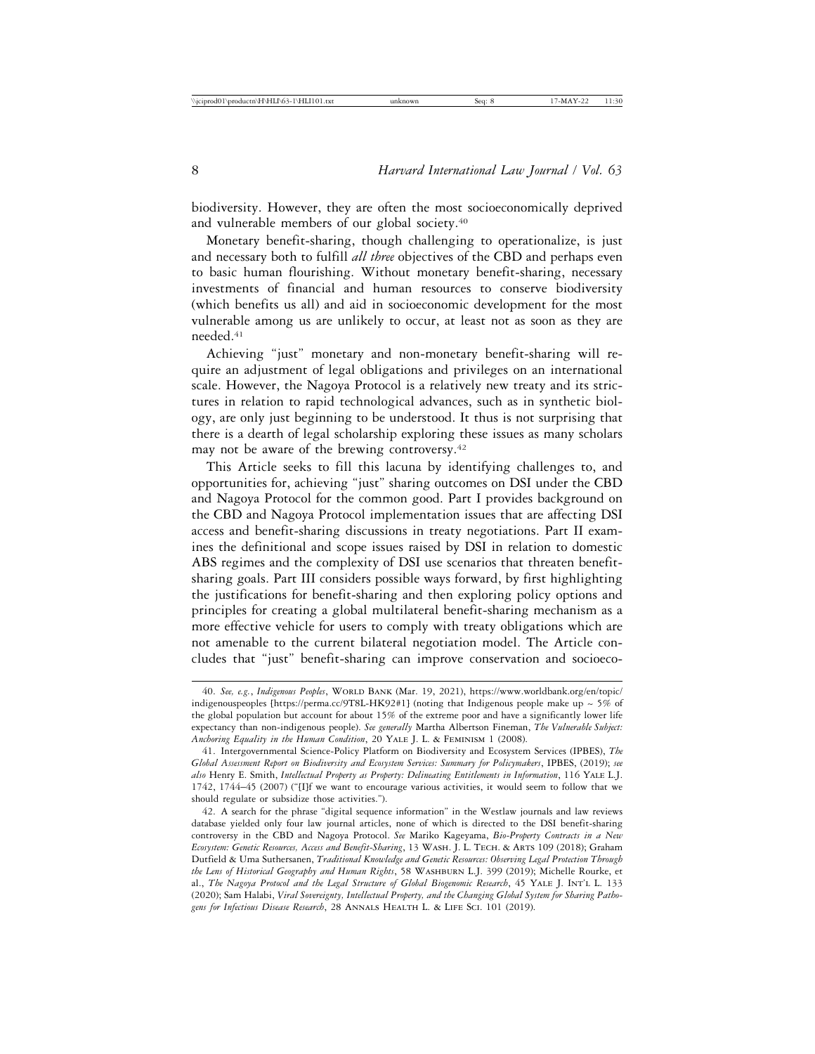biodiversity. However, they are often the most socioeconomically deprived and vulnerable members of our global society.40

Monetary benefit-sharing, though challenging to operationalize, is just and necessary both to fulfill *all three* objectives of the CBD and perhaps even to basic human flourishing. Without monetary benefit-sharing, necessary investments of financial and human resources to conserve biodiversity (which benefits us all) and aid in socioeconomic development for the most vulnerable among us are unlikely to occur, at least not as soon as they are needed.41

Achieving "just" monetary and non-monetary benefit-sharing will require an adjustment of legal obligations and privileges on an international scale. However, the Nagoya Protocol is a relatively new treaty and its strictures in relation to rapid technological advances, such as in synthetic biology, are only just beginning to be understood. It thus is not surprising that there is a dearth of legal scholarship exploring these issues as many scholars may not be aware of the brewing controversy.42

This Article seeks to fill this lacuna by identifying challenges to, and opportunities for, achieving "just" sharing outcomes on DSI under the CBD and Nagoya Protocol for the common good. Part I provides background on the CBD and Nagoya Protocol implementation issues that are affecting DSI access and benefit-sharing discussions in treaty negotiations. Part II examines the definitional and scope issues raised by DSI in relation to domestic ABS regimes and the complexity of DSI use scenarios that threaten benefitsharing goals. Part III considers possible ways forward, by first highlighting the justifications for benefit-sharing and then exploring policy options and principles for creating a global multilateral benefit-sharing mechanism as a more effective vehicle for users to comply with treaty obligations which are not amenable to the current bilateral negotiation model. The Article concludes that "just" benefit-sharing can improve conservation and socioeco-

<sup>40.</sup> *See, e.g.*, *Indigenous Peoples*, World Bank (Mar. 19, 2021), https://www.worldbank.org/en/topic/ indigenouspeoples [https://perma.cc/9T8L-HK92#1] (noting that Indigenous people make up  $\sim$  5% of the global population but account for about 15% of the extreme poor and have a significantly lower life expectancy than non-indigenous people). *See generally* Martha Albertson Fineman, *The Vulnerable Subject: Anchoring Equality in the Human Condition*, 20 Yale J. L. & Feminism 1 (2008).

<sup>41.</sup> Intergovernmental Science-Policy Platform on Biodiversity and Ecosystem Services (IPBES), *The Global Assessment Report on Biodiversity and Ecosystem Services: Summary for Policymakers*, IPBES, (2019); *see also* Henry E. Smith, *Intellectual Property as Property: Delineating Entitlements in Information*, 116 Yale L.J. 1742, 1744–45 (2007) ("[I]f we want to encourage various activities, it would seem to follow that we should regulate or subsidize those activities.").

<sup>42.</sup> A search for the phrase "digital sequence information" in the Westlaw journals and law reviews database yielded only four law journal articles, none of which is directed to the DSI benefit-sharing controversy in the CBD and Nagoya Protocol. *See* Mariko Kageyama, *Bio-Property Contracts in a New Ecosystem: Genetic Resources, Access and Benefit-Sharing*, 13 Wash. J. L. Tech. & Arts 109 (2018); Graham Dutfield & Uma Suthersanen, *Traditional Knowledge and Genetic Resources: Observing Legal Protection Through the Lens of Historical Geography and Human Rights*, 58 Washburn L.J. 399 (2019); Michelle Rourke, et al., *The Nagoya Protocol and the Legal Structure of Global Biogenomic Research*, 45 Yale J. Int'l L. 133 (2020); Sam Halabi, *Viral Sovereignty, Intellectual Property, and the Changing Global System for Sharing Pathogens for Infectious Disease Research*, 28 Annals Health L. & Life Sci. 101 (2019).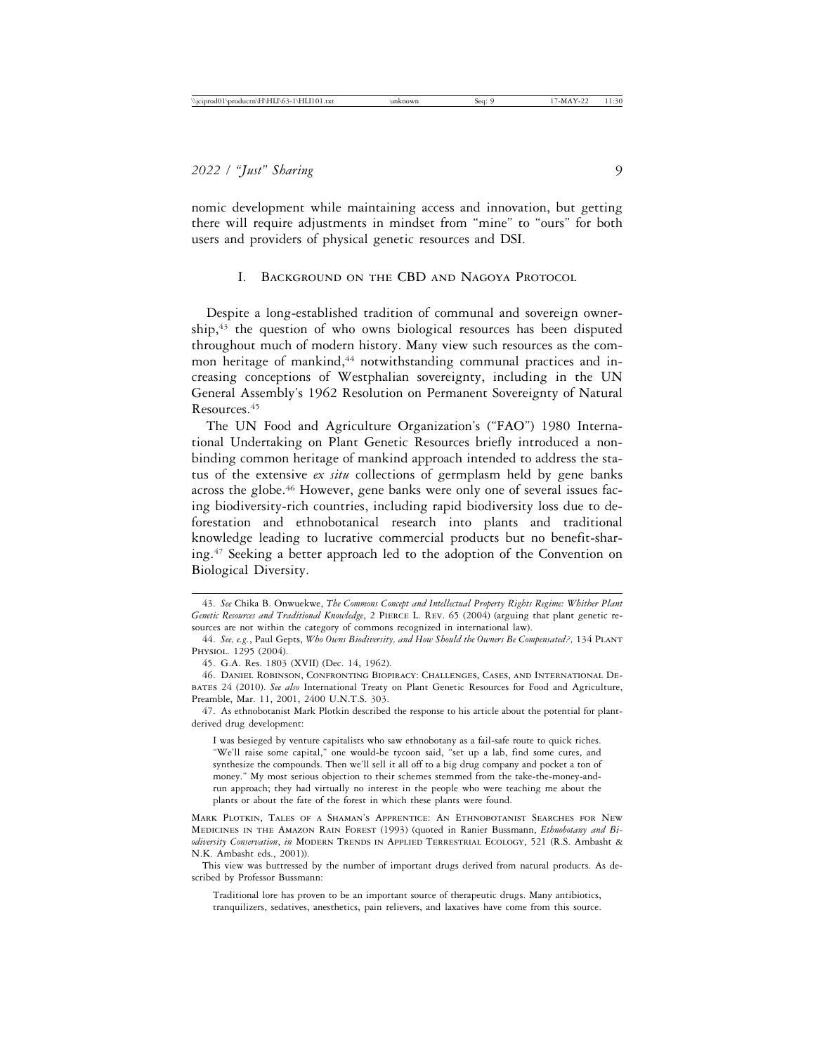nomic development while maintaining access and innovation, but getting there will require adjustments in mindset from "mine" to "ours" for both users and providers of physical genetic resources and DSI.

#### I. Background on the CBD and Nagoya Protocol

Despite a long-established tradition of communal and sovereign owner- $\sinh^{43}$  the question of who owns biological resources has been disputed throughout much of modern history. Many view such resources as the common heritage of mankind,<sup>44</sup> notwithstanding communal practices and increasing conceptions of Westphalian sovereignty, including in the UN General Assembly's 1962 Resolution on Permanent Sovereignty of Natural Resources.45

The UN Food and Agriculture Organization's ("FAO") 1980 International Undertaking on Plant Genetic Resources briefly introduced a nonbinding common heritage of mankind approach intended to address the status of the extensive *ex situ* collections of germplasm held by gene banks across the globe.46 However, gene banks were only one of several issues facing biodiversity-rich countries, including rapid biodiversity loss due to deforestation and ethnobotanical research into plants and traditional knowledge leading to lucrative commercial products but no benefit-sharing.47 Seeking a better approach led to the adoption of the Convention on Biological Diversity.

47. As ethnobotanist Mark Plotkin described the response to his article about the potential for plantderived drug development:

I was besieged by venture capitalists who saw ethnobotany as a fail-safe route to quick riches. "We'll raise some capital," one would-be tycoon said, "set up a lab, find some cures, and synthesize the compounds. Then we'll sell it all off to a big drug company and pocket a ton of money." My most serious objection to their schemes stemmed from the take-the-money-andrun approach; they had virtually no interest in the people who were teaching me about the plants or about the fate of the forest in which these plants were found.

Mark Plotkin, Tales of a Shaman's Apprentice: An Ethnobotanist Searches for New Medicines in the Amazon Rain Forest (1993) (quoted in Ranier Bussmann, *Ethnobotany and Biodiversity Conservation*, *in* Modern Trends in Applied Terrestrial Ecology, 521 (R.S. Ambasht & N.K. Ambasht eds., 2001)).

Traditional lore has proven to be an important source of therapeutic drugs. Many antibiotics, tranquilizers, sedatives, anesthetics, pain relievers, and laxatives have come from this source.

<sup>43.</sup> *See* Chika B. Onwuekwe, *The Commons Concept and Intellectual Property Rights Regime: Whither Plant Genetic Resources and Traditional Knowledge*, 2 Pierce L. Rev. 65 (2004) (arguing that plant genetic resources are not within the category of commons recognized in international law).

<sup>44.</sup> *See, e.g.*, Paul Gepts, *Who Owns Biodiversity, and How Should the Owners Be Compensated?,* 134 Plant Physiol. 1295 (2004).

<sup>45.</sup> G.A. Res. 1803 (XVII) (Dec. 14, 1962).

<sup>46.</sup> Daniel Robinson, Confronting Biopiracy: Challenges, Cases, and International Debates 24 (2010). *See also* International Treaty on Plant Genetic Resources for Food and Agriculture, Preamble, Mar. 11, 2001, 2400 U.N.T.S. 303.

This view was buttressed by the number of important drugs derived from natural products. As described by Professor Bussmann: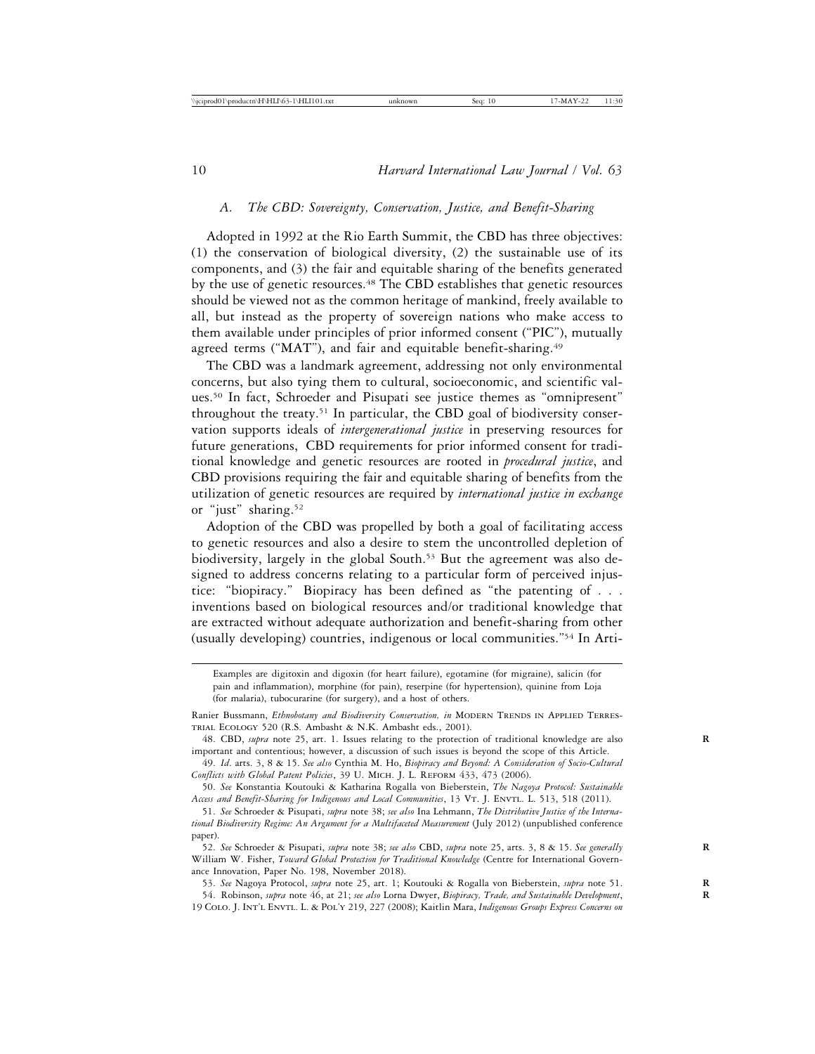## *A. The CBD: Sovereignty, Conservation, Justice, and Benefit-Sharing*

Adopted in 1992 at the Rio Earth Summit, the CBD has three objectives: (1) the conservation of biological diversity, (2) the sustainable use of its components, and (3) the fair and equitable sharing of the benefits generated by the use of genetic resources.48 The CBD establishes that genetic resources should be viewed not as the common heritage of mankind, freely available to all, but instead as the property of sovereign nations who make access to them available under principles of prior informed consent ("PIC"), mutually agreed terms ("MAT"), and fair and equitable benefit-sharing.<sup>49</sup>

The CBD was a landmark agreement, addressing not only environmental concerns, but also tying them to cultural, socioeconomic, and scientific values.50 In fact, Schroeder and Pisupati see justice themes as "omnipresent" throughout the treaty.<sup>51</sup> In particular, the CBD goal of biodiversity conservation supports ideals of *intergenerational justice* in preserving resources for future generations, CBD requirements for prior informed consent for traditional knowledge and genetic resources are rooted in *procedural justice*, and CBD provisions requiring the fair and equitable sharing of benefits from the utilization of genetic resources are required by *international justice in exchange* or "just" sharing.<sup>52</sup>

Adoption of the CBD was propelled by both a goal of facilitating access to genetic resources and also a desire to stem the uncontrolled depletion of biodiversity, largely in the global South.<sup>53</sup> But the agreement was also designed to address concerns relating to a particular form of perceived injustice: "biopiracy." Biopiracy has been defined as "the patenting of . . . inventions based on biological resources and/or traditional knowledge that are extracted without adequate authorization and benefit-sharing from other (usually developing) countries, indigenous or local communities."54 In Arti-

Examples are digitoxin and digoxin (for heart failure), egotamine (for migraine), salicin (for pain and inflammation), morphine (for pain), reserpine (for hypertension), quinine from Loja (for malaria), tubocurarine (for surgery), and a host of others.

52. *See* Schroeder & Pisupati, *supra* note 38; *see also* CBD, *supra* note 25, arts. 3, 8 & 15. *See generally* **R** William W. Fisher, *Toward Global Protection for Traditional Knowledge* (Centre for International Governance Innovation, Paper No. 198, November 2018).

53. *See* Nagoya Protocol, *supra* note 25, art. 1; Koutouki & Rogalla von Bieberstein, *supra* note 51. **R** 54. Robinson, *supra* note 46, at 21; *see also* Lorna Dwyer, *Biopiracy, Trade, and Sustainable Development*, **R** 19 Colo. J. Int'l Envtl. L. & Pol'y 219, 227 (2008); Kaitlin Mara, *Indigenous Groups Express Concerns on*

Ranier Bussmann, *Ethnobotany and Biodiversity Conservation, in* MODERN TRENDS IN APPLIED TERREStrial Ecology 520 (R.S. Ambasht & N.K. Ambasht eds., 2001).

<sup>48.</sup> CBD, *supra* note 25, art. 1. Issues relating to the protection of traditional knowledge are also **R** important and contentious; however, a discussion of such issues is beyond the scope of this Article.

<sup>49.</sup> *Id*. arts. 3, 8 & 15. *See also* Cynthia M. Ho, *Biopiracy and Beyond: A Consideration of Socio-Cultural Conflicts with Global Patent Policies*, 39 U. Mich. J. L. Reform 433, 473 (2006).

<sup>50.</sup> *See* Konstantia Koutouki & Katharina Rogalla von Bieberstein, *The Nagoya Protocol: Sustainable* Access and Benefit-Sharing for Indigenous and Local Communities, 13 VT. J. ENVTL. L. 513, 518 (2011).

<sup>51.</sup> *See* Schroeder & Pisupati, *supra* note 38; *see also* Ina Lehmann, *The Distributive Justice of the International Biodiversity Regime: An Argument for a Multifaceted Measurement* (July 2012) (unpublished conference paper).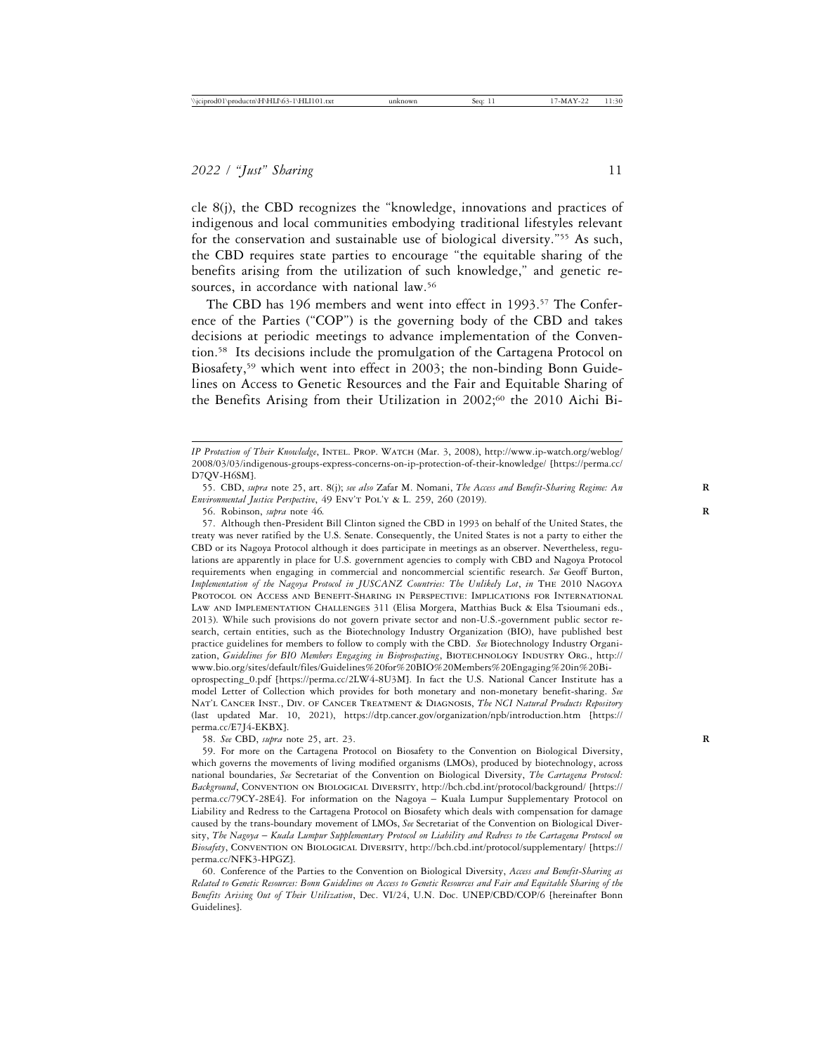cle 8(j), the CBD recognizes the "knowledge, innovations and practices of indigenous and local communities embodying traditional lifestyles relevant for the conservation and sustainable use of biological diversity."55 As such, the CBD requires state parties to encourage "the equitable sharing of the benefits arising from the utilization of such knowledge," and genetic resources, in accordance with national law.<sup>56</sup>

The CBD has 196 members and went into effect in 1993.<sup>57</sup> The Conference of the Parties ("COP") is the governing body of the CBD and takes decisions at periodic meetings to advance implementation of the Convention.58 Its decisions include the promulgation of the Cartagena Protocol on Biosafety,59 which went into effect in 2003; the non-binding Bonn Guidelines on Access to Genetic Resources and the Fair and Equitable Sharing of the Benefits Arising from their Utilization in 2002;<sup>60</sup> the 2010 Aichi Bi-

57. Although then-President Bill Clinton signed the CBD in 1993 on behalf of the United States, the treaty was never ratified by the U.S. Senate. Consequently, the United States is not a party to either the CBD or its Nagoya Protocol although it does participate in meetings as an observer. Nevertheless, regulations are apparently in place for U.S. government agencies to comply with CBD and Nagoya Protocol requirements when engaging in commercial and noncommercial scientific research. *See* Geoff Burton, *Implementation of the Nagoya Protocol in JUSCANZ Countries: The Unlikely Lot*, *in* The 2010 Nagoya Protocol on Access and Benefit-Sharing in Perspective: Implications for International Law and Implementation Challenges 311 (Elisa Morgera, Matthias Buck & Elsa Tsioumani eds., 2013). While such provisions do not govern private sector and non-U.S.-government public sector research, certain entities, such as the Biotechnology Industry Organization (BIO), have published best practice guidelines for members to follow to comply with the CBD. *See* Biotechnology Industry Organization, *Guidelines for BIO Members Engaging in Bioprospecting*, BIOTECHNOLOGY INDUSTRY ORG., http:// www.bio.org/sites/default/files/Guidelines%20for%20BIO%20Members%20Engaging%20in%20Bioprospecting\_0.pdf [https://perma.cc/2LW4-8U3M]. In fact the U.S. National Cancer Institute has a

model Letter of Collection which provides for both monetary and non-monetary benefit-sharing. *See* Nat'l Cancer Inst., Div. of Cancer Treatment & Diagnosis, *The NCI Natural Products Repository* (last updated Mar. 10, 2021), https://dtp.cancer.gov/organization/npb/introduction.htm [https:// perma.cc/E7J4-EKBX].

58. *See* CBD, *supra* note 25, art. 23. **R**

59. For more on the Cartagena Protocol on Biosafety to the Convention on Biological Diversity, which governs the movements of living modified organisms (LMOs), produced by biotechnology, across national boundaries, *See* Secretariat of the Convention on Biological Diversity, *The Cartagena Protocol: Background*, Convention on Biological Diversity, http://bch.cbd.int/protocol/background/ [https:// perma.cc/79CY-28E4]. For information on the Nagoya – Kuala Lumpur Supplementary Protocol on Liability and Redress to the Cartagena Protocol on Biosafety which deals with compensation for damage caused by the trans-boundary movement of LMOs, *See* Secretariat of the Convention on Biological Diversity, *The Nagoya* – *Kuala Lumpur Supplementary Protocol on Liability and Redress to the Cartagena Protocol on Biosafety*, Convention on Biological Diversity, http://bch.cbd.int/protocol/supplementary/ [https:// perma.cc/NFK3-HPGZ].

60. Conference of the Parties to the Convention on Biological Diversity, *Access and Benefit-Sharing as Related to Genetic Resources: Bonn Guidelines on Access to Genetic Resources and Fair and Equitable Sharing of the Benefits Arising Out of Their Utilization*, Dec. VI/24, U.N. Doc. UNEP/CBD/COP/6 [hereinafter Bonn Guidelines].

*IP Protection of Their Knowledge*, Intel. Prop. Watch (Mar. 3, 2008), http://www.ip-watch.org/weblog/ 2008/03/03/indigenous-groups-express-concerns-on-ip-protection-of-their-knowledge/ [https://perma.cc/ D7QV-H6SM].

<sup>55.</sup> CBD, *supra* note 25, art. 8(j); *see also* Zafar M. Nomani, *The Access and Benefit-Sharing Regime: An* **R** *Environmental Justice Perspective*, 49 Env't Pol'y & L. 259, 260 (2019).

<sup>56.</sup> Robinson, *supra* note 46*.* **R**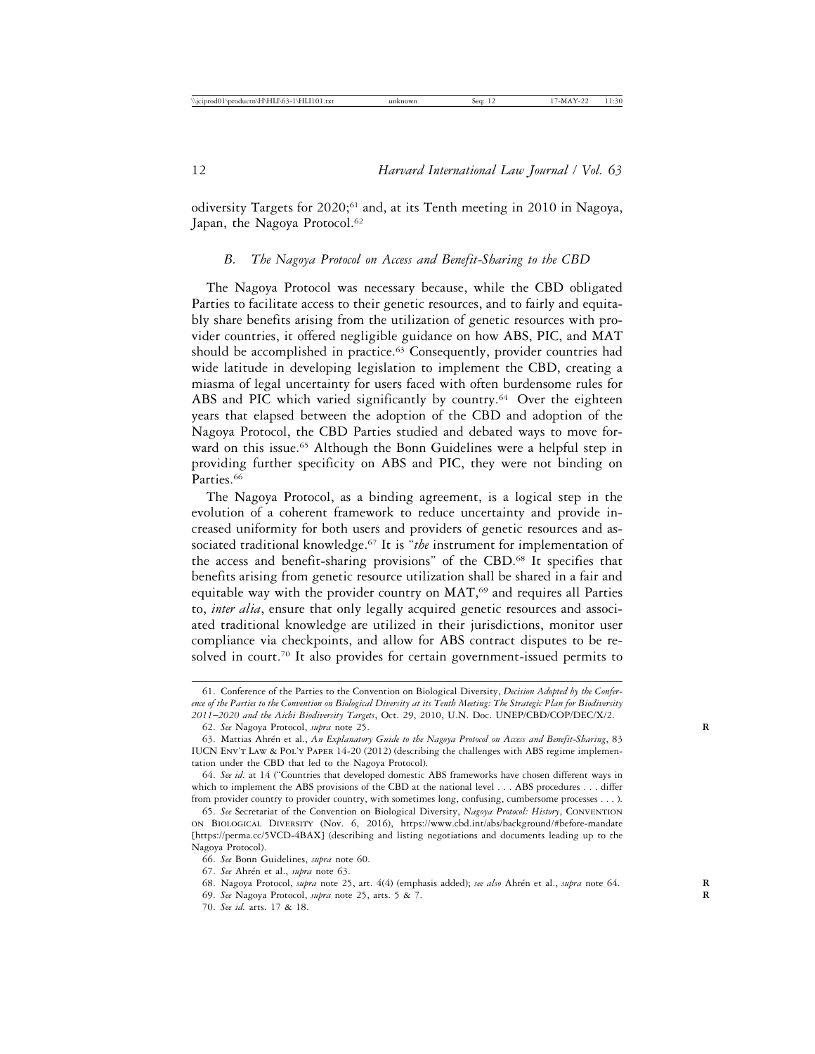odiversity Targets for 2020;<sup>61</sup> and, at its Tenth meeting in 2010 in Nagoya, Japan, the Nagoya Protocol.<sup>62</sup>

## *B. The Nagoya Protocol on Access and Benefit-Sharing to the CBD*

The Nagoya Protocol was necessary because, while the CBD obligated Parties to facilitate access to their genetic resources, and to fairly and equitably share benefits arising from the utilization of genetic resources with provider countries, it offered negligible guidance on how ABS, PIC, and MAT should be accomplished in practice.<sup>63</sup> Consequently, provider countries had wide latitude in developing legislation to implement the CBD, creating a miasma of legal uncertainty for users faced with often burdensome rules for ABS and PIC which varied significantly by country.<sup>64</sup> Over the eighteen years that elapsed between the adoption of the CBD and adoption of the Nagoya Protocol, the CBD Parties studied and debated ways to move forward on this issue.<sup>65</sup> Although the Bonn Guidelines were a helpful step in providing further specificity on ABS and PIC, they were not binding on Parties.<sup>66</sup>

The Nagoya Protocol, as a binding agreement, is a logical step in the evolution of a coherent framework to reduce uncertainty and provide increased uniformity for both users and providers of genetic resources and associated traditional knowledge.67 It is "*the* instrument for implementation of the access and benefit-sharing provisions" of the CBD.68 It specifies that benefits arising from genetic resource utilization shall be shared in a fair and equitable way with the provider country on MAT,<sup>69</sup> and requires all Parties to, *inter alia*, ensure that only legally acquired genetic resources and associated traditional knowledge are utilized in their jurisdictions, monitor user compliance via checkpoints, and allow for ABS contract disputes to be resolved in court.<sup>70</sup> It also provides for certain government-issued permits to

<sup>61.</sup> Conference of the Parties to the Convention on Biological Diversity, *Decision Adopted by the Conference of the Parties to the Convention on Biological Diversity at its Tenth Meeting: The Strategic Plan for Biodiversity 2011*–*2020 and the Aichi Biodiversity Targets*, Oct. 29, 2010, U.N. Doc. UNEP/CBD/COP/DEC/X/2.

<sup>62.</sup> *See* Nagoya Protocol, *supra* note 25. **R**

<sup>63.</sup> Mattias Ahrén et al., *An Explanatory Guide to the Nagoya Protocol on Access and Benefit-Sharing*, 83 IUCN Env't Law & Pol'y Paper 14-20 (2012) (describing the challenges with ABS regime implementation under the CBD that led to the Nagoya Protocol).

<sup>64.</sup> *See id*. at 14 ("Countries that developed domestic ABS frameworks have chosen different ways in which to implement the ABS provisions of the CBD at the national level . . . ABS procedures . . . differ from provider country to provider country, with sometimes long, confusing, cumbersome processes . . . ).

<sup>65.</sup> *See* Secretariat of the Convention on Biological Diversity, *Nagoya Protocol: History*, Convention on Biological Diversity (Nov. 6, 2016), https://www.cbd.int/abs/background/#before-mandate [https://perma.cc/5VCD-4BAX] (describing and listing negotiations and documents leading up to the Nagoya Protocol).

<sup>66.</sup> *See* Bonn Guidelines, *supra* note 60.

<sup>67.</sup> *See* Ahr´en et al., *supra* note 63.

<sup>68.</sup> Nagoya Protocol, *supra* note 25, art. 4(4) (emphasis added); *see also* Ahrén et al., *supra* note 64.

<sup>69.</sup> *See* Nagoya Protocol, *supra* note 25, arts. 5 & 7. **R**

<sup>70.</sup> *See id.* arts. 17 & 18.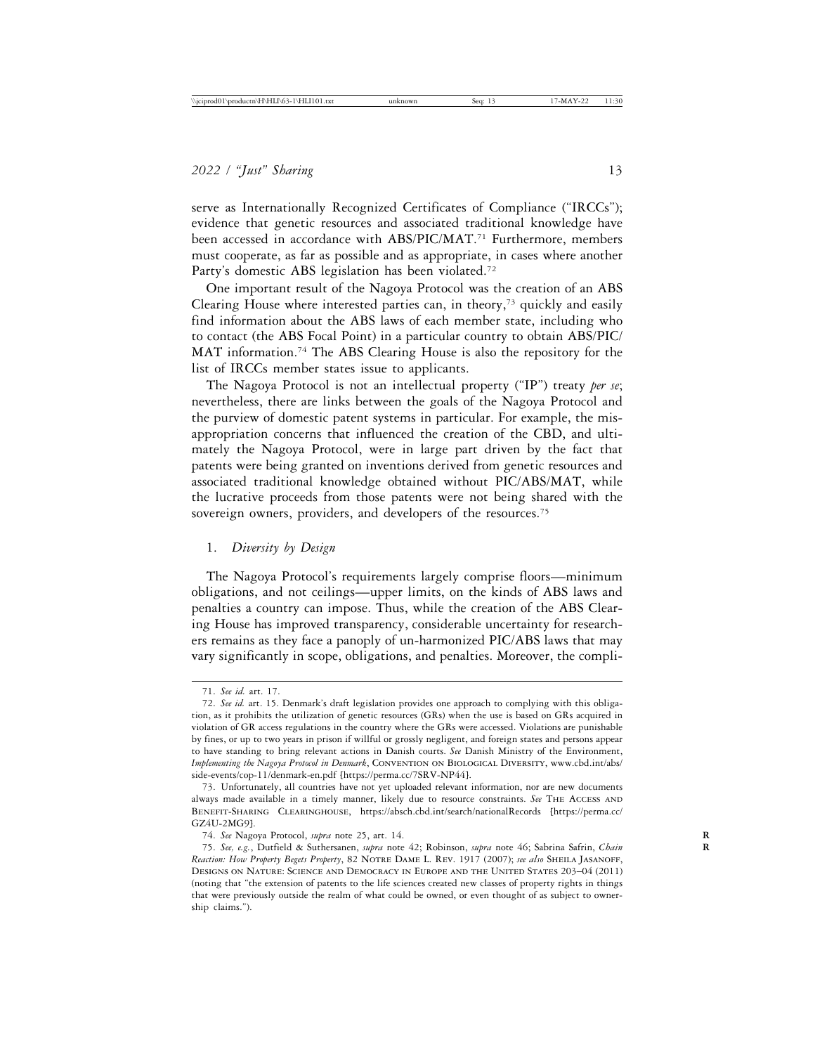serve as Internationally Recognized Certificates of Compliance ("IRCCs"); evidence that genetic resources and associated traditional knowledge have been accessed in accordance with ABS/PIC/MAT.<sup>71</sup> Furthermore, members must cooperate, as far as possible and as appropriate, in cases where another Party's domestic ABS legislation has been violated.<sup>72</sup>

One important result of the Nagoya Protocol was the creation of an ABS Clearing House where interested parties can, in theory,<sup>73</sup> quickly and easily find information about the ABS laws of each member state, including who to contact (the ABS Focal Point) in a particular country to obtain ABS/PIC/ MAT information.<sup>74</sup> The ABS Clearing House is also the repository for the list of IRCCs member states issue to applicants.

The Nagoya Protocol is not an intellectual property ("IP") treaty *per se*; nevertheless, there are links between the goals of the Nagoya Protocol and the purview of domestic patent systems in particular. For example, the misappropriation concerns that influenced the creation of the CBD, and ultimately the Nagoya Protocol, were in large part driven by the fact that patents were being granted on inventions derived from genetic resources and associated traditional knowledge obtained without PIC/ABS/MAT, while the lucrative proceeds from those patents were not being shared with the sovereign owners, providers, and developers of the resources.<sup>75</sup>

#### 1. *Diversity by Design*

The Nagoya Protocol's requirements largely comprise floors—minimum obligations, and not ceilings—upper limits, on the kinds of ABS laws and penalties a country can impose. Thus, while the creation of the ABS Clearing House has improved transparency, considerable uncertainty for researchers remains as they face a panoply of un-harmonized PIC/ABS laws that may vary significantly in scope, obligations, and penalties. Moreover, the compli-

<sup>71.</sup> *See id.* art. 17.

<sup>72.</sup> *See id.* art. 15. Denmark's draft legislation provides one approach to complying with this obligation, as it prohibits the utilization of genetic resources (GRs) when the use is based on GRs acquired in violation of GR access regulations in the country where the GRs were accessed. Violations are punishable by fines, or up to two years in prison if willful or grossly negligent, and foreign states and persons appear to have standing to bring relevant actions in Danish courts. *See* Danish Ministry of the Environment, *Implementing the Nagoya Protocol in Denmark*, Convention on Biological Diversity, www.cbd.int/abs/ side-events/cop-11/denmark-en.pdf [https://perma.cc/7SRV-NP44].

<sup>73.</sup> Unfortunately, all countries have not yet uploaded relevant information, nor are new documents always made available in a timely manner, likely due to resource constraints. *See* The Access and Benefit-Sharing Clearinghouse, https://absch.cbd.int/search/nationalRecords [https://perma.cc/ GZ4U-2MG9].

<sup>74.</sup> *See* Nagoya Protocol, *supra* note 25, art. 14. **R**

<sup>75.</sup> *See, e.g.*, Dutfield & Suthersanen, *supra* note 42; Robinson, *supra* note 46; Sabrina Safrin, *Chain* **R** *Reaction: How Property Begets Property*, 82 Notre Dame L. Rev. 1917 (2007); *see also* Sheila Jasanoff, Designs on Nature: Science and Democracy in Europe and the United States 203–04 (2011) (noting that "the extension of patents to the life sciences created new classes of property rights in things that were previously outside the realm of what could be owned, or even thought of as subject to ownership claims.").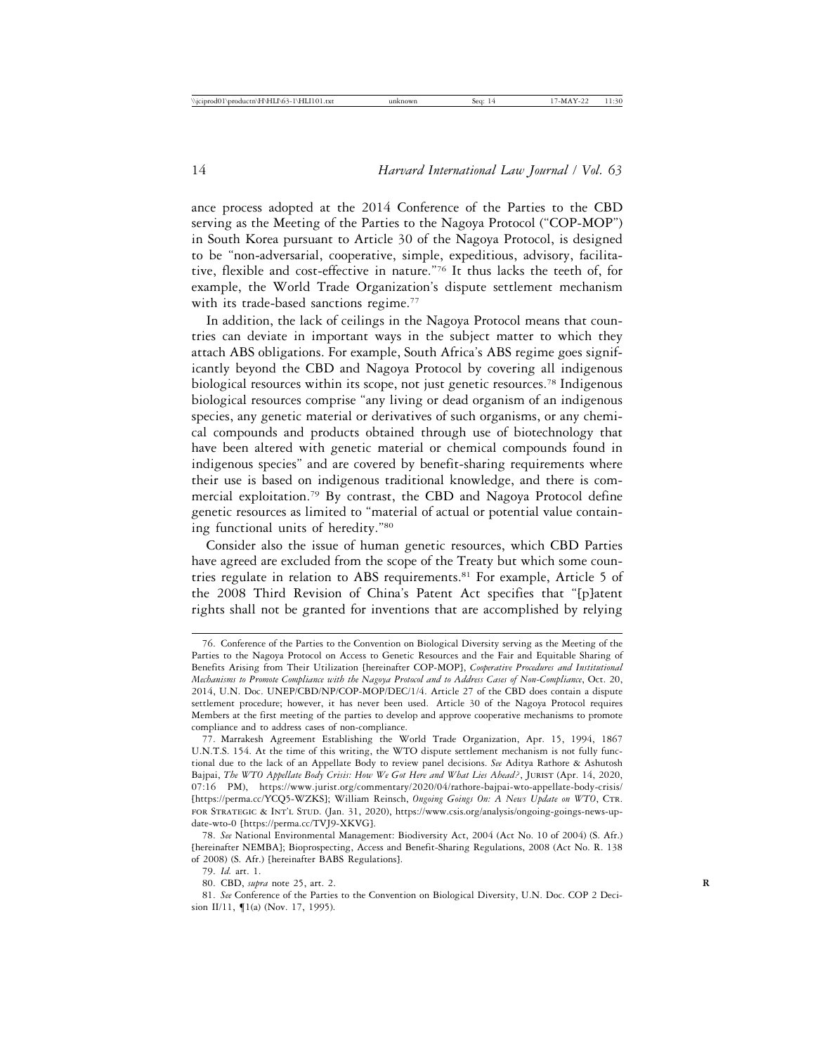ance process adopted at the 2014 Conference of the Parties to the CBD serving as the Meeting of the Parties to the Nagoya Protocol ("COP-MOP") in South Korea pursuant to Article 30 of the Nagoya Protocol, is designed to be "non-adversarial, cooperative, simple, expeditious, advisory, facilitative, flexible and cost-effective in nature."76 It thus lacks the teeth of, for example, the World Trade Organization's dispute settlement mechanism with its trade-based sanctions regime.<sup>77</sup>

In addition, the lack of ceilings in the Nagoya Protocol means that countries can deviate in important ways in the subject matter to which they attach ABS obligations. For example, South Africa's ABS regime goes significantly beyond the CBD and Nagoya Protocol by covering all indigenous biological resources within its scope, not just genetic resources.<sup>78</sup> Indigenous biological resources comprise "any living or dead organism of an indigenous species, any genetic material or derivatives of such organisms, or any chemical compounds and products obtained through use of biotechnology that have been altered with genetic material or chemical compounds found in indigenous species" and are covered by benefit-sharing requirements where their use is based on indigenous traditional knowledge, and there is commercial exploitation.79 By contrast, the CBD and Nagoya Protocol define genetic resources as limited to "material of actual or potential value containing functional units of heredity."80

Consider also the issue of human genetic resources, which CBD Parties have agreed are excluded from the scope of the Treaty but which some countries regulate in relation to ABS requirements.<sup>81</sup> For example, Article 5 of the 2008 Third Revision of China's Patent Act specifies that "[p]atent rights shall not be granted for inventions that are accomplished by relying

<sup>76.</sup> Conference of the Parties to the Convention on Biological Diversity serving as the Meeting of the Parties to the Nagoya Protocol on Access to Genetic Resources and the Fair and Equitable Sharing of Benefits Arising from Their Utilization [hereinafter COP-MOP], *Cooperative Procedures and Institutional Mechanisms to Promote Compliance with the Nagoya Protocol and to Address Cases of Non-Compliance*, Oct. 20, 2014, U.N. Doc. UNEP/CBD/NP/COP-MOP/DEC/1/4. Article 27 of the CBD does contain a dispute settlement procedure; however, it has never been used. Article 30 of the Nagoya Protocol requires Members at the first meeting of the parties to develop and approve cooperative mechanisms to promote compliance and to address cases of non-compliance.

<sup>77.</sup> Marrakesh Agreement Establishing the World Trade Organization, Apr. 15, 1994, 1867 U.N.T.S. 154. At the time of this writing, the WTO dispute settlement mechanism is not fully functional due to the lack of an Appellate Body to review panel decisions. *See* Aditya Rathore & Ashutosh Bajpai, *The WTO Appellate Body Crisis: How We Got Here and What Lies Ahead?*, Jurist (Apr. 14, 2020, 07:16 PM), https://www.jurist.org/commentary/2020/04/rathore-bajpai-wto-appellate-body-crisis/ [https://perma.cc/YCQ5-WZKS]; William Reinsch, *Ongoing Goings On: A News Update on WTO*, CTR. for Strategic & Int'l Stud. (Jan. 31, 2020), https://www.csis.org/analysis/ongoing-goings-news-update-wto-0 [https://perma.cc/TVJ9-XKVG].

<sup>78.</sup> *See* National Environmental Management: Biodiversity Act, 2004 (Act No. 10 of 2004) (S. Afr.) [hereinafter NEMBA]; Bioprospecting, Access and Benefit-Sharing Regulations, 2008 (Act No. R. 138 of 2008) (S. Afr.) [hereinafter BABS Regulations].

<sup>79.</sup> *Id.* art. 1.

<sup>80.</sup> CBD, *supra* note 25, art. 2. **R**

<sup>81.</sup> *See* Conference of the Parties to the Convention on Biological Diversity, U.N. Doc. COP 2 Decision II/11, ¶1(a) (Nov. 17, 1995).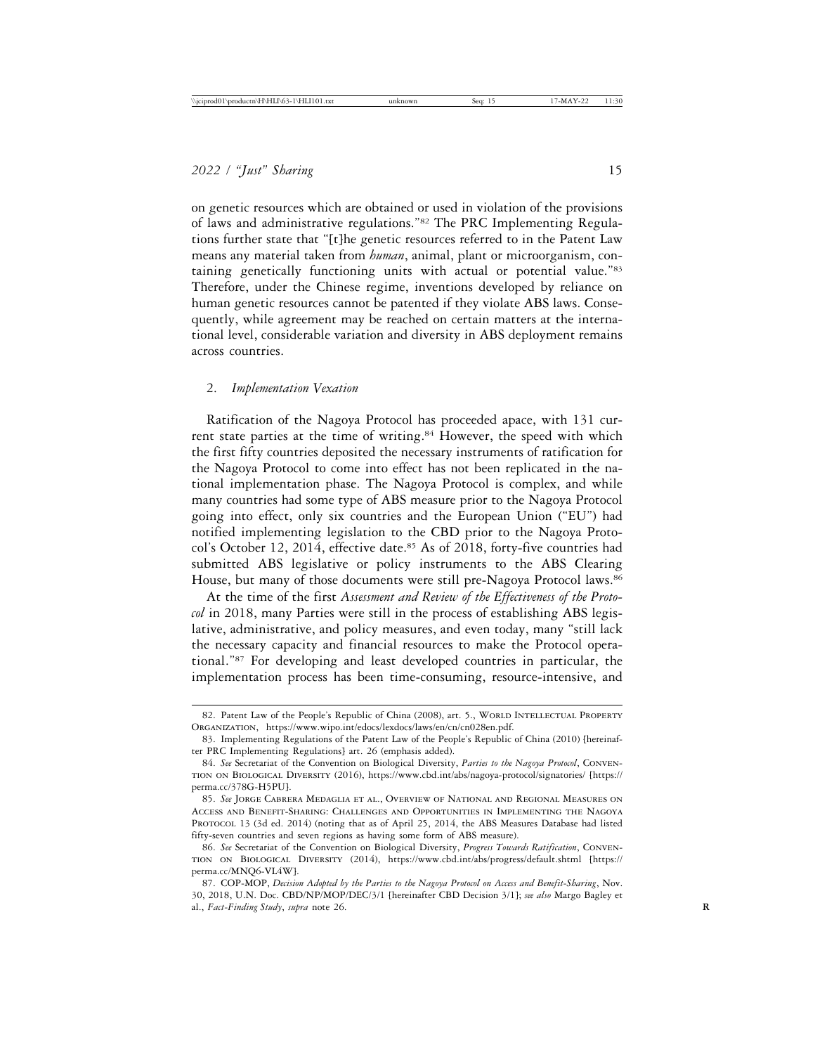on genetic resources which are obtained or used in violation of the provisions of laws and administrative regulations."82 The PRC Implementing Regulations further state that "[t]he genetic resources referred to in the Patent Law means any material taken from *human*, animal, plant or microorganism, containing genetically functioning units with actual or potential value."83 Therefore, under the Chinese regime, inventions developed by reliance on human genetic resources cannot be patented if they violate ABS laws. Consequently, while agreement may be reached on certain matters at the international level, considerable variation and diversity in ABS deployment remains across countries.

#### 2. *Implementation Vexation*

Ratification of the Nagoya Protocol has proceeded apace, with 131 current state parties at the time of writing.<sup>84</sup> However, the speed with which the first fifty countries deposited the necessary instruments of ratification for the Nagoya Protocol to come into effect has not been replicated in the national implementation phase. The Nagoya Protocol is complex, and while many countries had some type of ABS measure prior to the Nagoya Protocol going into effect, only six countries and the European Union ("EU") had notified implementing legislation to the CBD prior to the Nagoya Protocol's October 12, 2014, effective date.<sup>85</sup> As of 2018, forty-five countries had submitted ABS legislative or policy instruments to the ABS Clearing House, but many of those documents were still pre-Nagoya Protocol laws.<sup>86</sup>

At the time of the first *Assessment and Review of the Effectiveness of the Protocol* in 2018, many Parties were still in the process of establishing ABS legislative, administrative, and policy measures, and even today, many "still lack the necessary capacity and financial resources to make the Protocol operational."87 For developing and least developed countries in particular, the implementation process has been time-consuming, resource-intensive, and

<sup>82.</sup> Patent Law of the People's Republic of China (2008), art. 5., WORLD INTELLECTUAL PROPERTY Organization, https://www.wipo.int/edocs/lexdocs/laws/en/cn/cn028en.pdf.

<sup>83.</sup> Implementing Regulations of the Patent Law of the People's Republic of China (2010) [hereinafter PRC Implementing Regulations] art. 26 (emphasis added).

<sup>84.</sup> *See* Secretariat of the Convention on Biological Diversity, *Parties to the Nagoya Protocol*, Convention on Biological Diversity (2016), https://www.cbd.int/abs/nagoya-protocol/signatories/ [https:// perma.cc/378G-H5PU].

<sup>85.</sup> *See* Jorge Cabrera Medaglia et al., Overview of National and Regional Measures on Access and Benefit-Sharing: Challenges and Opportunities in Implementing the Nagoya PROTOCOL 13 (3d ed. 2014) (noting that as of April 25, 2014, the ABS Measures Database had listed fifty-seven countries and seven regions as having some form of ABS measure).

<sup>86.</sup> *See* Secretariat of the Convention on Biological Diversity, *Progress Towards Ratification*, Convention on Biological Diversity (2014), https://www.cbd.int/abs/progress/default.shtml [https:// perma.cc/MNQ6-VL4W].

<sup>87.</sup> COP-MOP, *Decision Adopted by the Parties to the Nagoya Protocol on Access and Benefit-Sharing*, Nov. 30, 2018, U.N. Doc. CBD/NP/MOP/DEC/3/1 [hereinafter CBD Decision 3/1]; *see also* Margo Bagley et al., *Fact-Finding Study*, *supra* note 26. **R**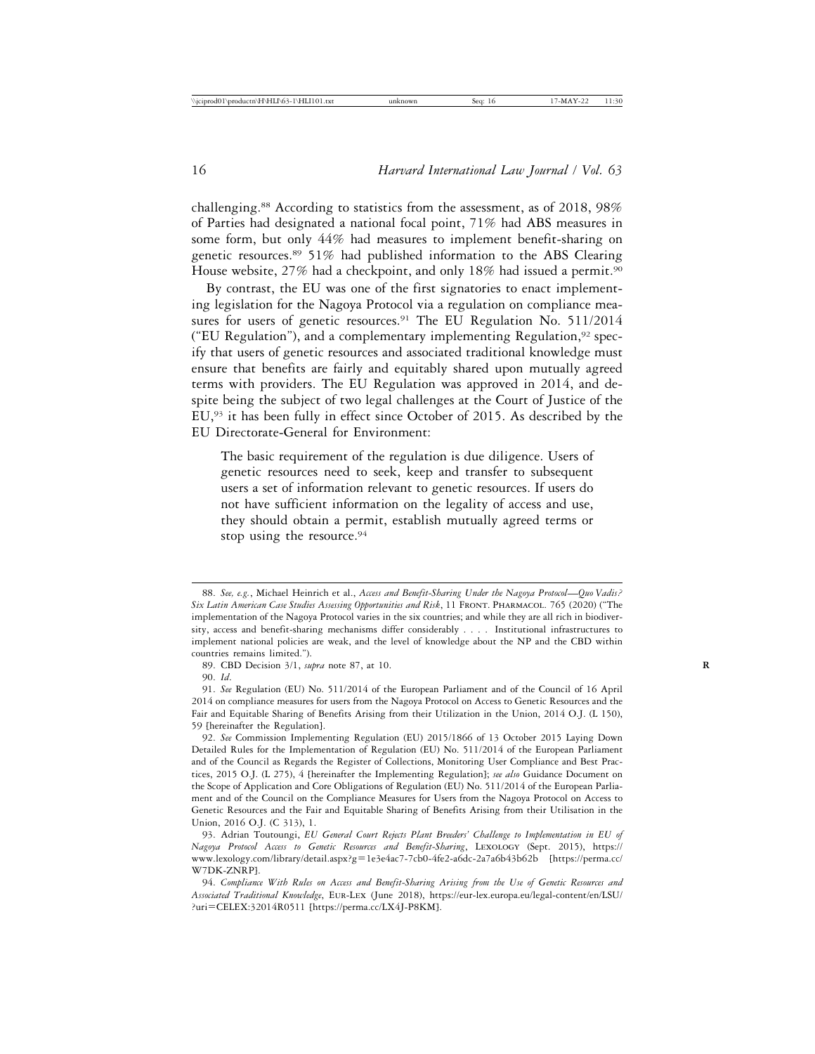challenging.88 According to statistics from the assessment, as of 2018, 98% of Parties had designated a national focal point, 71% had ABS measures in some form, but only 44% had measures to implement benefit-sharing on genetic resources.89 51% had published information to the ABS Clearing House website, 27% had a checkpoint, and only 18% had issued a permit.<sup>90</sup>

By contrast, the EU was one of the first signatories to enact implementing legislation for the Nagoya Protocol via a regulation on compliance measures for users of genetic resources.<sup>91</sup> The EU Regulation No. 511/2014 ("EU Regulation"), and a complementary implementing Regulation, $92$  specify that users of genetic resources and associated traditional knowledge must ensure that benefits are fairly and equitably shared upon mutually agreed terms with providers. The EU Regulation was approved in 2014, and despite being the subject of two legal challenges at the Court of Justice of the EU,<sup>93</sup> it has been fully in effect since October of 2015. As described by the EU Directorate-General for Environment:

The basic requirement of the regulation is due diligence. Users of genetic resources need to seek, keep and transfer to subsequent users a set of information relevant to genetic resources. If users do not have sufficient information on the legality of access and use, they should obtain a permit, establish mutually agreed terms or stop using the resource.<sup>94</sup>

<sup>88.</sup> *See, e.g.*, Michael Heinrich et al., *Access and Benefit-Sharing Under the Nagoya Protocol*—*Quo Vadis? Six Latin American Case Studies Assessing Opportunities and Risk*, 11 Front. Pharmacol. 765 (2020) ("The implementation of the Nagoya Protocol varies in the six countries; and while they are all rich in biodiversity, access and benefit-sharing mechanisms differ considerably . . . . Institutional infrastructures to implement national policies are weak, and the level of knowledge about the NP and the CBD within countries remains limited.").

<sup>89.</sup> CBD Decision 3/1, *supra* note 87, at 10. **R**

<sup>90.</sup> *Id*.

<sup>91.</sup> *See* Regulation (EU) No. 511/2014 of the European Parliament and of the Council of 16 April 2014 on compliance measures for users from the Nagoya Protocol on Access to Genetic Resources and the Fair and Equitable Sharing of Benefits Arising from their Utilization in the Union, 2014 O.J. (L 150), 59 [hereinafter the Regulation].

<sup>92.</sup> *See* Commission Implementing Regulation (EU) 2015/1866 of 13 October 2015 Laying Down Detailed Rules for the Implementation of Regulation (EU) No. 511/2014 of the European Parliament and of the Council as Regards the Register of Collections, Monitoring User Compliance and Best Practices, 2015 O.J. (L 275), 4 [hereinafter the Implementing Regulation]; *see also* Guidance Document on the Scope of Application and Core Obligations of Regulation (EU) No. 511/2014 of the European Parliament and of the Council on the Compliance Measures for Users from the Nagoya Protocol on Access to Genetic Resources and the Fair and Equitable Sharing of Benefits Arising from their Utilisation in the Union, 2016 O.J. (C 313), 1.

<sup>93.</sup> Adrian Toutoungi, *EU General Court Rejects Plant Breeders' Challenge to Implementation in EU of Nagoya Protocol Access to Genetic Resources and Benefit-Sharing*, Lexology (Sept. 2015), https:// www.lexology.com/library/detail.aspx?g=1e3e4ac7-7cb0-4fe2-a6dc-2a7a6b43b62b [https://perma.cc/ W7DK-ZNRP].

<sup>94.</sup> *Compliance With Rules on Access and Benefit-Sharing Arising from the Use of Genetic Resources and Associated Traditional Knowledge*, Eur-Lex (June 2018), https://eur-lex.europa.eu/legal-content/en/LSU/ ?uri=CELEX:32014R0511 [https://perma.cc/LX4J-P8KM].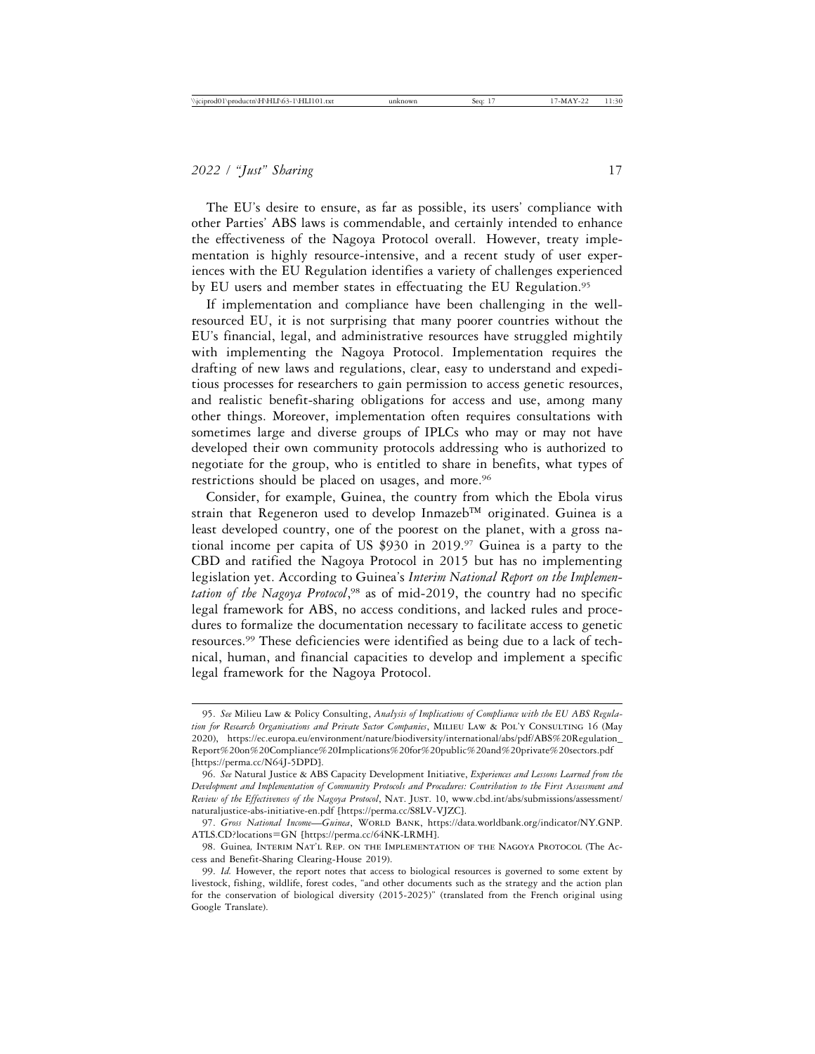The EU's desire to ensure, as far as possible, its users' compliance with other Parties' ABS laws is commendable, and certainly intended to enhance the effectiveness of the Nagoya Protocol overall. However, treaty implementation is highly resource-intensive, and a recent study of user experiences with the EU Regulation identifies a variety of challenges experienced by EU users and member states in effectuating the EU Regulation.<sup>95</sup>

If implementation and compliance have been challenging in the wellresourced EU, it is not surprising that many poorer countries without the EU's financial, legal, and administrative resources have struggled mightily with implementing the Nagoya Protocol. Implementation requires the drafting of new laws and regulations, clear, easy to understand and expeditious processes for researchers to gain permission to access genetic resources, and realistic benefit-sharing obligations for access and use, among many other things. Moreover, implementation often requires consultations with sometimes large and diverse groups of IPLCs who may or may not have developed their own community protocols addressing who is authorized to negotiate for the group, who is entitled to share in benefits, what types of restrictions should be placed on usages, and more.<sup>96</sup>

Consider, for example, Guinea, the country from which the Ebola virus strain that Regeneron used to develop Inmazeb™ originated. Guinea is a least developed country, one of the poorest on the planet, with a gross national income per capita of US \$930 in 2019.97 Guinea is a party to the CBD and ratified the Nagoya Protocol in 2015 but has no implementing legislation yet. According to Guinea's *Interim National Report on the Implementation of the Nagoya Protocol*, 98 as of mid-2019, the country had no specific legal framework for ABS, no access conditions, and lacked rules and procedures to formalize the documentation necessary to facilitate access to genetic resources.99 These deficiencies were identified as being due to a lack of technical, human, and financial capacities to develop and implement a specific legal framework for the Nagoya Protocol.

<sup>95.</sup> *See* Milieu Law & Policy Consulting, *Analysis of Implications of Compliance with the EU ABS Regulation for Research Organisations and Private Sector Companies*, Milieu Law & Pol'y Consulting 16 (May 2020), https://ec.europa.eu/environment/nature/biodiversity/international/abs/pdf/ABS%20Regulation\_ Report%20on%20Compliance%20Implications%20for%20public%20and%20private%20sectors.pdf [https://perma.cc/N64J-5DPD].

<sup>96.</sup> *See* Natural Justice & ABS Capacity Development Initiative, *Experiences and Lessons Learned from the Development and Implementation of Community Protocols and Procedures: Contribution to the First Assessment and Review of the Effectiveness of the Nagoya Protocol*, Nat. Just. 10, www.cbd.int/abs/submissions/assessment/ naturaljustice-abs-initiative-en.pdf [https://perma.cc/S8LV-VJZC].

<sup>97.</sup> Gross National Income-*Guinea*, WORLD BANK, https://data.worldbank.org/indicator/NY.GNP. ATLS.CD?locations=GN [https://perma.cc/64NK-LRMH].

<sup>98.</sup> Guinea*,* Interim Nat'l Rep. on the Implementation of the Nagoya Protocol (The Access and Benefit-Sharing Clearing-House 2019).

<sup>99.</sup> *Id.* However, the report notes that access to biological resources is governed to some extent by livestock, fishing, wildlife, forest codes, "and other documents such as the strategy and the action plan for the conservation of biological diversity (2015-2025)" (translated from the French original using Google Translate).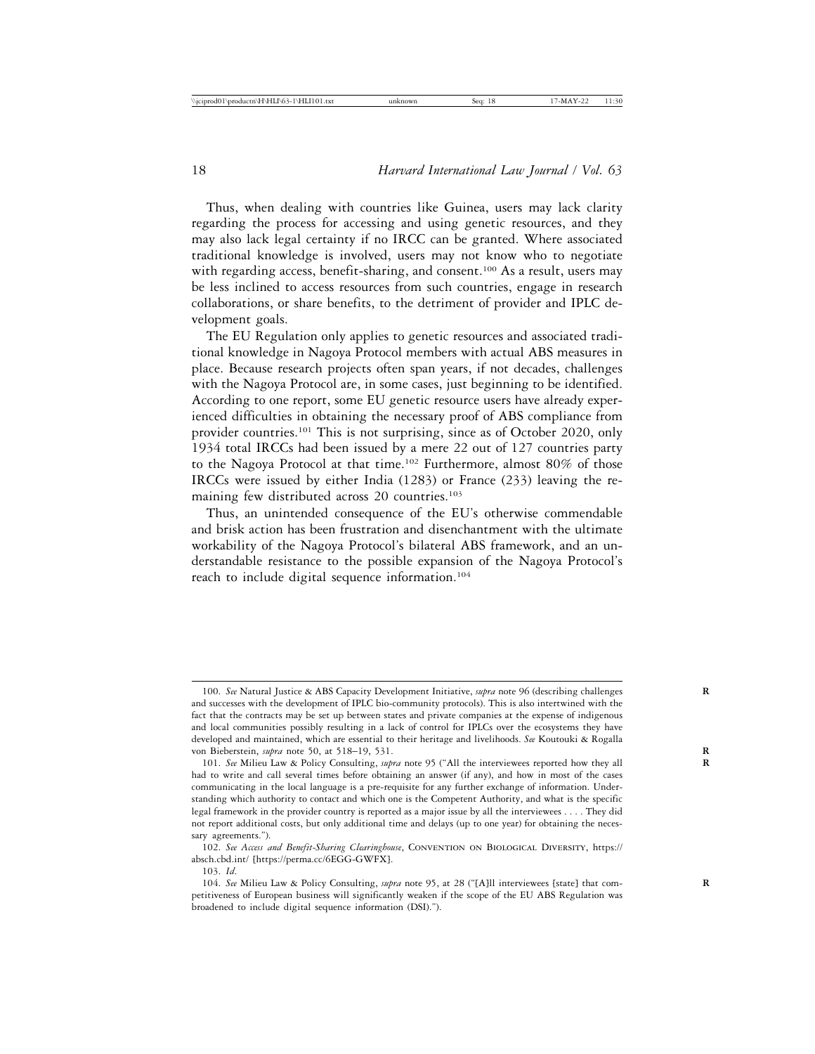Thus, when dealing with countries like Guinea, users may lack clarity regarding the process for accessing and using genetic resources, and they may also lack legal certainty if no IRCC can be granted. Where associated traditional knowledge is involved, users may not know who to negotiate with regarding access, benefit-sharing, and consent.<sup>100</sup> As a result, users may be less inclined to access resources from such countries, engage in research collaborations, or share benefits, to the detriment of provider and IPLC development goals.

The EU Regulation only applies to genetic resources and associated traditional knowledge in Nagoya Protocol members with actual ABS measures in place. Because research projects often span years, if not decades, challenges with the Nagoya Protocol are, in some cases, just beginning to be identified. According to one report, some EU genetic resource users have already experienced difficulties in obtaining the necessary proof of ABS compliance from provider countries.<sup>101</sup> This is not surprising, since as of October 2020, only 1934 total IRCCs had been issued by a mere 22 out of 127 countries party to the Nagoya Protocol at that time.102 Furthermore, almost 80% of those IRCCs were issued by either India (1283) or France (233) leaving the remaining few distributed across 20 countries.<sup>103</sup>

Thus, an unintended consequence of the EU's otherwise commendable and brisk action has been frustration and disenchantment with the ultimate workability of the Nagoya Protocol's bilateral ABS framework, and an understandable resistance to the possible expansion of the Nagoya Protocol's reach to include digital sequence information.<sup>104</sup>

<sup>100.</sup> *See* Natural Justice & ABS Capacity Development Initiative, *supra* note 96 (describing challenges **R** and successes with the development of IPLC bio-community protocols). This is also intertwined with the fact that the contracts may be set up between states and private companies at the expense of indigenous and local communities possibly resulting in a lack of control for IPLCs over the ecosystems they have developed and maintained, which are essential to their heritage and livelihoods. *See* Koutouki & Rogalla von Bieberstein, *supra* note 50, at 518–19, 531. **R**

<sup>101.</sup> *See* Milieu Law & Policy Consulting, *supra* note 95 ("All the interviewees reported how they all **R** had to write and call several times before obtaining an answer (if any), and how in most of the cases communicating in the local language is a pre-requisite for any further exchange of information. Understanding which authority to contact and which one is the Competent Authority, and what is the specific legal framework in the provider country is reported as a major issue by all the interviewees . . . . They did not report additional costs, but only additional time and delays (up to one year) for obtaining the necessary agreements.").

<sup>102.</sup> *See Access and Benefit-Sharing Clearinghouse*, Convention on Biological Diversity, https:// absch.cbd.int/ [https://perma.cc/6EGG-GWFX].

<sup>103.</sup> *Id*.

<sup>104.</sup> *See* Milieu Law & Policy Consulting, *supra* note 95, at 28 ("[A]ll interviewees [state] that com- **R** petitiveness of European business will significantly weaken if the scope of the EU ABS Regulation was broadened to include digital sequence information (DSI).").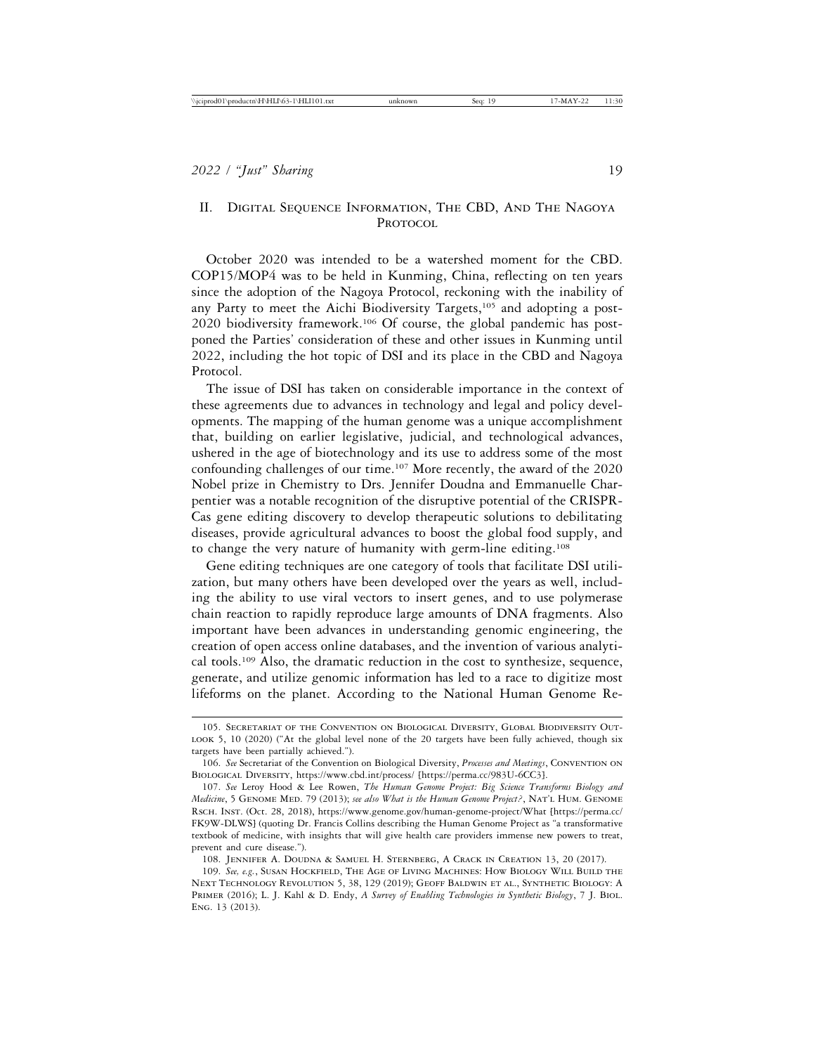# II. Digital Sequence Information, The CBD, And The Nagoya Protocol

October 2020 was intended to be a watershed moment for the CBD. COP15/MOP4 was to be held in Kunming, China, reflecting on ten years since the adoption of the Nagoya Protocol, reckoning with the inability of any Party to meet the Aichi Biodiversity Targets,<sup>105</sup> and adopting a post-2020 biodiversity framework.106 Of course, the global pandemic has postponed the Parties' consideration of these and other issues in Kunming until 2022, including the hot topic of DSI and its place in the CBD and Nagoya Protocol.

The issue of DSI has taken on considerable importance in the context of these agreements due to advances in technology and legal and policy developments. The mapping of the human genome was a unique accomplishment that, building on earlier legislative, judicial, and technological advances, ushered in the age of biotechnology and its use to address some of the most confounding challenges of our time.107 More recently, the award of the 2020 Nobel prize in Chemistry to Drs. Jennifer Doudna and Emmanuelle Charpentier was a notable recognition of the disruptive potential of the CRISPR-Cas gene editing discovery to develop therapeutic solutions to debilitating diseases, provide agricultural advances to boost the global food supply, and to change the very nature of humanity with germ-line editing.108

Gene editing techniques are one category of tools that facilitate DSI utilization, but many others have been developed over the years as well, including the ability to use viral vectors to insert genes, and to use polymerase chain reaction to rapidly reproduce large amounts of DNA fragments. Also important have been advances in understanding genomic engineering, the creation of open access online databases, and the invention of various analytical tools.109 Also, the dramatic reduction in the cost to synthesize, sequence, generate, and utilize genomic information has led to a race to digitize most lifeforms on the planet. According to the National Human Genome Re-

108. Jennifer A. Doudna & Samuel H. Sternberg, A Crack in Creation 13, 20 (2017).

<sup>105.</sup> Secretariat of the Convention on Biological Diversity, Global Biodiversity Out-LOOK 5, 10 (2020) ("At the global level none of the 20 targets have been fully achieved, though six targets have been partially achieved.").

<sup>106.</sup> *See* Secretariat of the Convention on Biological Diversity, *Processes and Meetings*, Convention on Biological Diversity, https://www.cbd.int/process/ [https://perma.cc/983U-6CC3].

<sup>107.</sup> *See* Leroy Hood & Lee Rowen, *The Human Genome Project: Big Science Transforms Biology and Medicine*, 5 Genome Med. 79 (2013); *see also What is the Human Genome Project?*, Nat'l Hum. Genome Rsch. Inst. (Oct. 28, 2018), https://www.genome.gov/human-genome-project/What [https://perma.cc/ FK9W-DLWS] (quoting Dr. Francis Collins describing the Human Genome Project as "a transformative textbook of medicine, with insights that will give health care providers immense new powers to treat, prevent and cure disease.").

<sup>109.</sup> *See, e.g.*, Susan Hockfield, The Age of Living Machines: How Biology Will Build the Next Technology Revolution 5, 38, 129 (2019); Geoff Baldwin et al., Synthetic Biology: A Primer (2016); L. J. Kahl & D. Endy, *A Survey of Enabling Technologies in Synthetic Biology*, 7 J. Biol. Eng. 13 (2013).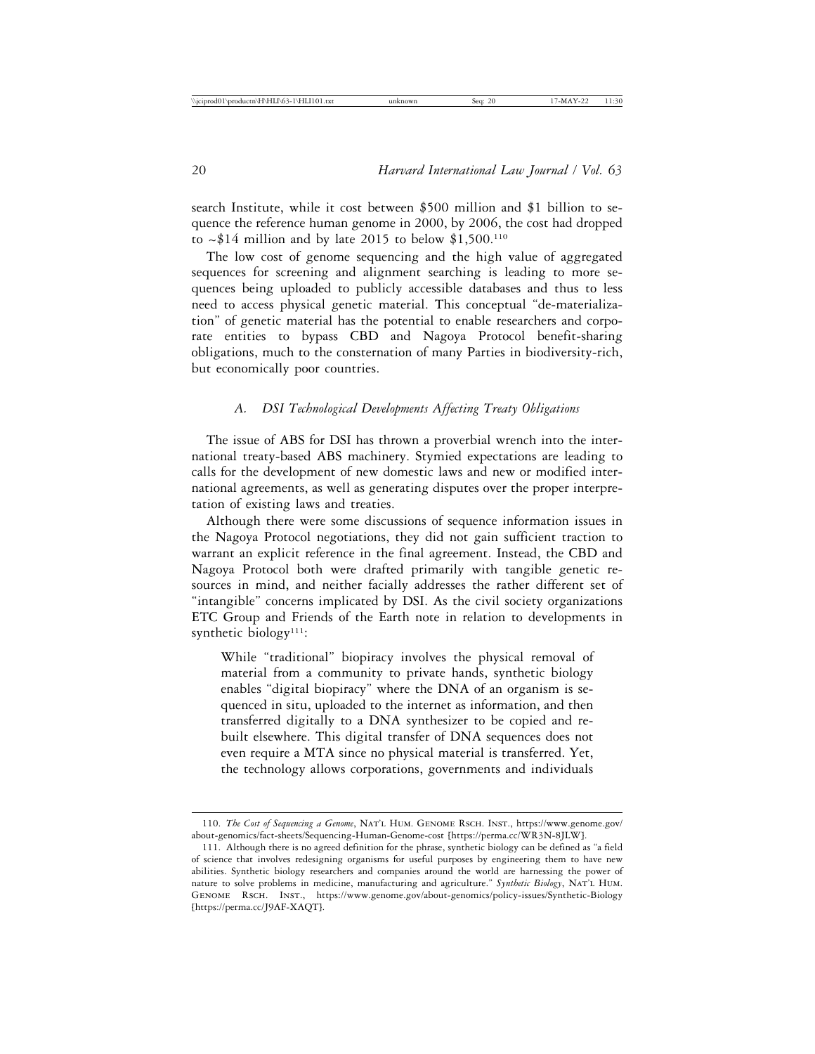search Institute, while it cost between \$500 million and \$1 billion to sequence the reference human genome in 2000, by 2006, the cost had dropped to  $\sim$ \$14 million and by late 2015 to below \$1,500.<sup>110</sup>

The low cost of genome sequencing and the high value of aggregated sequences for screening and alignment searching is leading to more sequences being uploaded to publicly accessible databases and thus to less need to access physical genetic material. This conceptual "de-materialization" of genetic material has the potential to enable researchers and corporate entities to bypass CBD and Nagoya Protocol benefit-sharing obligations, much to the consternation of many Parties in biodiversity-rich, but economically poor countries.

## *A. DSI Technological Developments Affecting Treaty Obligations*

The issue of ABS for DSI has thrown a proverbial wrench into the international treaty-based ABS machinery. Stymied expectations are leading to calls for the development of new domestic laws and new or modified international agreements, as well as generating disputes over the proper interpretation of existing laws and treaties.

Although there were some discussions of sequence information issues in the Nagoya Protocol negotiations, they did not gain sufficient traction to warrant an explicit reference in the final agreement. Instead, the CBD and Nagoya Protocol both were drafted primarily with tangible genetic resources in mind, and neither facially addresses the rather different set of "intangible" concerns implicated by DSI. As the civil society organizations ETC Group and Friends of the Earth note in relation to developments in synthetic biology<sup>111</sup>:

While "traditional" biopiracy involves the physical removal of material from a community to private hands, synthetic biology enables "digital biopiracy" where the DNA of an organism is sequenced in situ, uploaded to the internet as information, and then transferred digitally to a DNA synthesizer to be copied and rebuilt elsewhere. This digital transfer of DNA sequences does not even require a MTA since no physical material is transferred. Yet, the technology allows corporations, governments and individuals

<sup>110.</sup> *The Cost of Sequencing a Genome*, Nat'l Hum. Genome Rsch. Inst., https://www.genome.gov/ about-genomics/fact-sheets/Sequencing-Human-Genome-cost [https://perma.cc/WR3N-8JLW].

<sup>111.</sup> Although there is no agreed definition for the phrase, synthetic biology can be defined as "a field of science that involves redesigning organisms for useful purposes by engineering them to have new abilities. Synthetic biology researchers and companies around the world are harnessing the power of nature to solve problems in medicine, manufacturing and agriculture." *Synthetic Biology*, Nat'l Hum. Genome Rsch. Inst., https://www.genome.gov/about-genomics/policy-issues/Synthetic-Biology [https://perma.cc/J9AF-XAQT].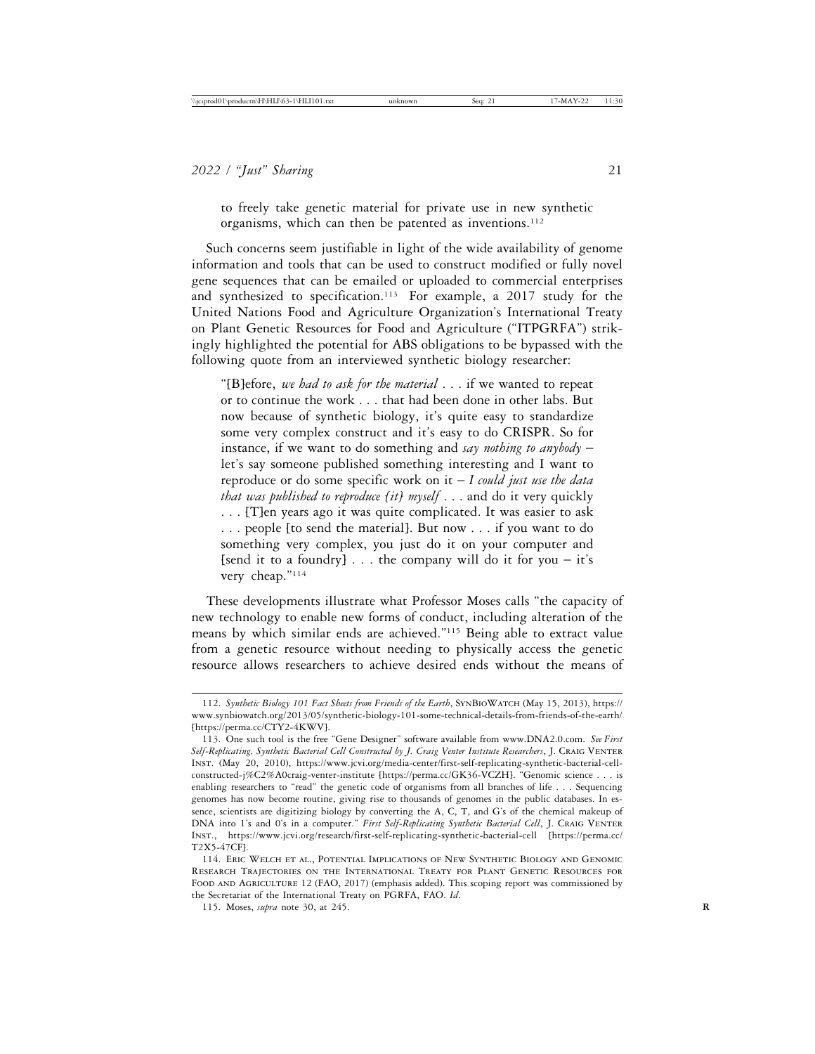to freely take genetic material for private use in new synthetic organisms, which can then be patented as inventions.<sup>112</sup>

Such concerns seem justifiable in light of the wide availability of genome information and tools that can be used to construct modified or fully novel gene sequences that can be emailed or uploaded to commercial enterprises and synthesized to specification.<sup>113</sup> For example, a 2017 study for the United Nations Food and Agriculture Organization's International Treaty on Plant Genetic Resources for Food and Agriculture ("ITPGRFA") strikingly highlighted the potential for ABS obligations to be bypassed with the following quote from an interviewed synthetic biology researcher:

"[B]efore, *we had to ask for the material* . . . if we wanted to repeat or to continue the work . . . that had been done in other labs. But now because of synthetic biology, it's quite easy to standardize some very complex construct and it's easy to do CRISPR. So for instance, if we want to do something and *say nothing to anybody* – let's say someone published something interesting and I want to reproduce or do some specific work on it – *I could just use the data that was published to reproduce [it] myself* . . . and do it very quickly . . . [T]en years ago it was quite complicated. It was easier to ask . . . people [to send the material]. But now . . . if you want to do something very complex, you just do it on your computer and [send it to a foundry]  $\ldots$  the company will do it for you – it's very cheap."114

These developments illustrate what Professor Moses calls "the capacity of new technology to enable new forms of conduct, including alteration of the means by which similar ends are achieved."115 Being able to extract value from a genetic resource without needing to physically access the genetic resource allows researchers to achieve desired ends without the means of

<sup>112.</sup> *Synthetic Biology 101 Fact Sheets from Friends of the Earth*, SynBioWatch (May 15, 2013), https:// www.synbiowatch.org/2013/05/synthetic-biology-101-some-technical-details-from-friends-of-the-earth/ [https://perma.cc/CTY2-4KWV].

<sup>113.</sup> One such tool is the free "Gene Designer" software available from www.DNA2.0.com. *See First Self-Replicating, Synthetic Bacterial Cell Constructed by J. Craig Venter Institute Researchers*, J. Craig Venter Inst. (May 20, 2010), https://www.jcvi.org/media-center/first-self-replicating-synthetic-bacterial-cellconstructed-j%C2%A0craig-venter-institute [https://perma.cc/GK36-VCZH]. "Genomic science . . . is enabling researchers to "read" the genetic code of organisms from all branches of life . . . Sequencing genomes has now become routine, giving rise to thousands of genomes in the public databases. In essence, scientists are digitizing biology by converting the A, C, T, and G's of the chemical makeup of DNA into 1's and 0's in a computer." First Self-Replicating Synthetic Bacterial Cell, J. CRAIG VENTER Inst., https://www.jcvi.org/research/first-self-replicating-synthetic-bacterial-cell [https://perma.cc/ T2X5-47CF].

<sup>114.</sup> Eric Welch et al., Potential Implications of New Synthetic Biology and Genomic Research Trajectories on the International Treaty for Plant Genetic Resources for FOOD AND AGRICULTURE 12 (FAO, 2017) (emphasis added). This scoping report was commissioned by the Secretariat of the International Treaty on PGRFA, FAO. *Id*.

<sup>115.</sup> Moses, *supra* note 30, at 245. **R**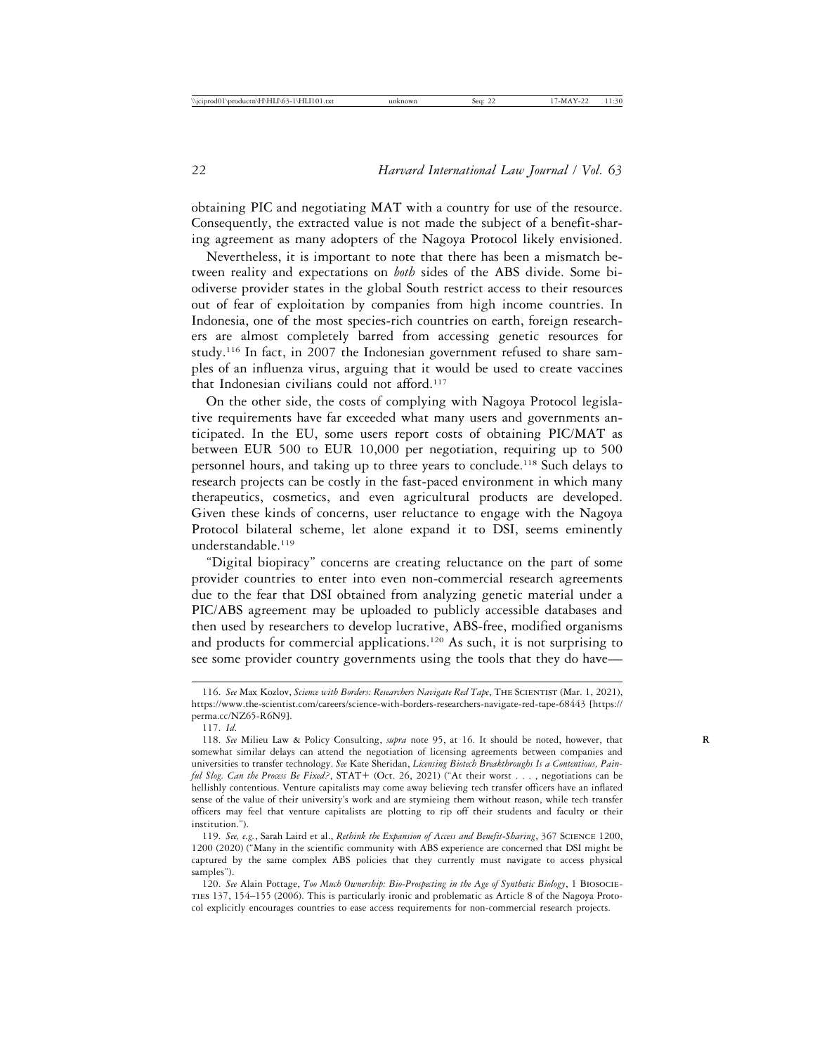obtaining PIC and negotiating MAT with a country for use of the resource. Consequently, the extracted value is not made the subject of a benefit-sharing agreement as many adopters of the Nagoya Protocol likely envisioned.

Nevertheless, it is important to note that there has been a mismatch between reality and expectations on *both* sides of the ABS divide. Some biodiverse provider states in the global South restrict access to their resources out of fear of exploitation by companies from high income countries. In Indonesia, one of the most species-rich countries on earth, foreign researchers are almost completely barred from accessing genetic resources for study.116 In fact, in 2007 the Indonesian government refused to share samples of an influenza virus, arguing that it would be used to create vaccines that Indonesian civilians could not afford.117

On the other side, the costs of complying with Nagoya Protocol legislative requirements have far exceeded what many users and governments anticipated. In the EU, some users report costs of obtaining PIC/MAT as between EUR 500 to EUR 10,000 per negotiation, requiring up to 500 personnel hours, and taking up to three years to conclude.118 Such delays to research projects can be costly in the fast-paced environment in which many therapeutics, cosmetics, and even agricultural products are developed. Given these kinds of concerns, user reluctance to engage with the Nagoya Protocol bilateral scheme, let alone expand it to DSI, seems eminently understandable.119

"Digital biopiracy" concerns are creating reluctance on the part of some provider countries to enter into even non-commercial research agreements due to the fear that DSI obtained from analyzing genetic material under a PIC/ABS agreement may be uploaded to publicly accessible databases and then used by researchers to develop lucrative, ABS-free, modified organisms and products for commercial applications.120 As such, it is not surprising to see some provider country governments using the tools that they do have—

<sup>116.</sup> *See* Max Kozlov, *Science with Borders: Researchers Navigate Red Tape*, The Scientist (Mar. 1, 2021), https://www.the-scientist.com/careers/science-with-borders-researchers-navigate-red-tape-68443 [https:// perma.cc/NZ65-R6N9].

<sup>117.</sup> *Id*.

<sup>118.</sup> *See* Milieu Law & Policy Consulting, *supra* note 95, at 16. It should be noted, however, that **R** somewhat similar delays can attend the negotiation of licensing agreements between companies and universities to transfer technology. *See* Kate Sheridan, *Licensing Biotech Breakthroughs Is a Contentious, Painful Slog. Can the Process Be Fixed?*, STAT+ (Oct. 26, 2021) ("At their worst . . . , negotiations can be hellishly contentious. Venture capitalists may come away believing tech transfer officers have an inflated sense of the value of their university's work and are stymieing them without reason, while tech transfer officers may feel that venture capitalists are plotting to rip off their students and faculty or their institution.").

<sup>119.</sup> *See, e.g.*, Sarah Laird et al., *Rethink the Expansion of Access and Benefit-Sharing*, 367 Science 1200, 1200 (2020) ("Many in the scientific community with ABS experience are concerned that DSI might be captured by the same complex ABS policies that they currently must navigate to access physical samples").

<sup>120.</sup> *See* Alain Pottage, *Too Much Ownership: Bio-Prospecting in the Age of Synthetic Biology*, 1 Biosocieties 137, 154–155 (2006). This is particularly ironic and problematic as Article 8 of the Nagoya Protocol explicitly encourages countries to ease access requirements for non-commercial research projects.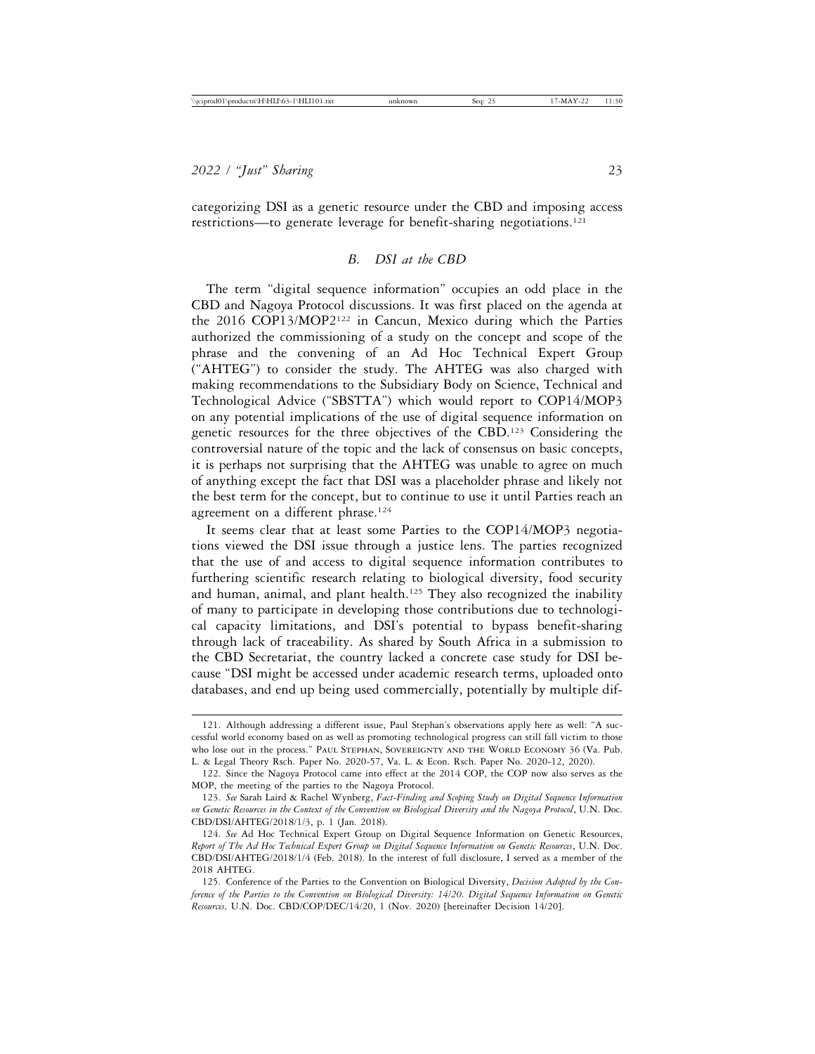categorizing DSI as a genetic resource under the CBD and imposing access restrictions—to generate leverage for benefit-sharing negotiations.121

## *B. DSI at the CBD*

The term "digital sequence information" occupies an odd place in the CBD and Nagoya Protocol discussions. It was first placed on the agenda at the 2016 COP13/MOP2122 in Cancun, Mexico during which the Parties authorized the commissioning of a study on the concept and scope of the phrase and the convening of an Ad Hoc Technical Expert Group ("AHTEG") to consider the study. The AHTEG was also charged with making recommendations to the Subsidiary Body on Science, Technical and Technological Advice ("SBSTTA") which would report to COP14/MOP3 on any potential implications of the use of digital sequence information on genetic resources for the three objectives of the CBD.123 Considering the controversial nature of the topic and the lack of consensus on basic concepts, it is perhaps not surprising that the AHTEG was unable to agree on much of anything except the fact that DSI was a placeholder phrase and likely not the best term for the concept, but to continue to use it until Parties reach an agreement on a different phrase.<sup>124</sup>

It seems clear that at least some Parties to the COP14/MOP3 negotiations viewed the DSI issue through a justice lens. The parties recognized that the use of and access to digital sequence information contributes to furthering scientific research relating to biological diversity, food security and human, animal, and plant health.<sup>125</sup> They also recognized the inability of many to participate in developing those contributions due to technological capacity limitations, and DSI's potential to bypass benefit-sharing through lack of traceability. As shared by South Africa in a submission to the CBD Secretariat, the country lacked a concrete case study for DSI because "DSI might be accessed under academic research terms, uploaded onto databases, and end up being used commercially, potentially by multiple dif-

<sup>121.</sup> Although addressing a different issue, Paul Stephan's observations apply here as well: "A successful world economy based on as well as promoting technological progress can still fall victim to those who lose out in the process." Paul Stephan, Sovereignty and the World Economy 36 (Va. Pub. L. & Legal Theory Rsch. Paper No. 2020-57, Va. L. & Econ. Rsch. Paper No. 2020-12, 2020).

<sup>122.</sup> Since the Nagoya Protocol came into effect at the 2014 COP, the COP now also serves as the MOP, the meeting of the parties to the Nagoya Protocol.

<sup>123.</sup> *See* Sarah Laird & Rachel Wynberg, *Fact-Finding and Scoping Study on Digital Sequence Information on Genetic Resources in the Context of the Convention on Biological Diversity and the Nagoya Protocol*, U.N. Doc. CBD/DSI/AHTEG/2018/1/3, p. 1 (Jan. 2018).

<sup>124.</sup> *See* Ad Hoc Technical Expert Group on Digital Sequence Information on Genetic Resources, *Report of The Ad Hoc Technical Expert Group on Digital Sequence Information on Genetic Resources*, U.N. Doc. CBD/DSI/AHTEG/2018/1/4 (Feb. 2018). In the interest of full disclosure, I served as a member of the 2018 AHTEG.

<sup>125.</sup> Conference of the Parties to the Convention on Biological Diversity, *Decision Adopted by the Conference of the Parties to the Convention on Biological Diversity: 14/20. Digital Sequence Information on Genetic Resources,* U.N. Doc. CBD/COP/DEC/14/20, 1 (Nov. 2020) [hereinafter Decision 14/20].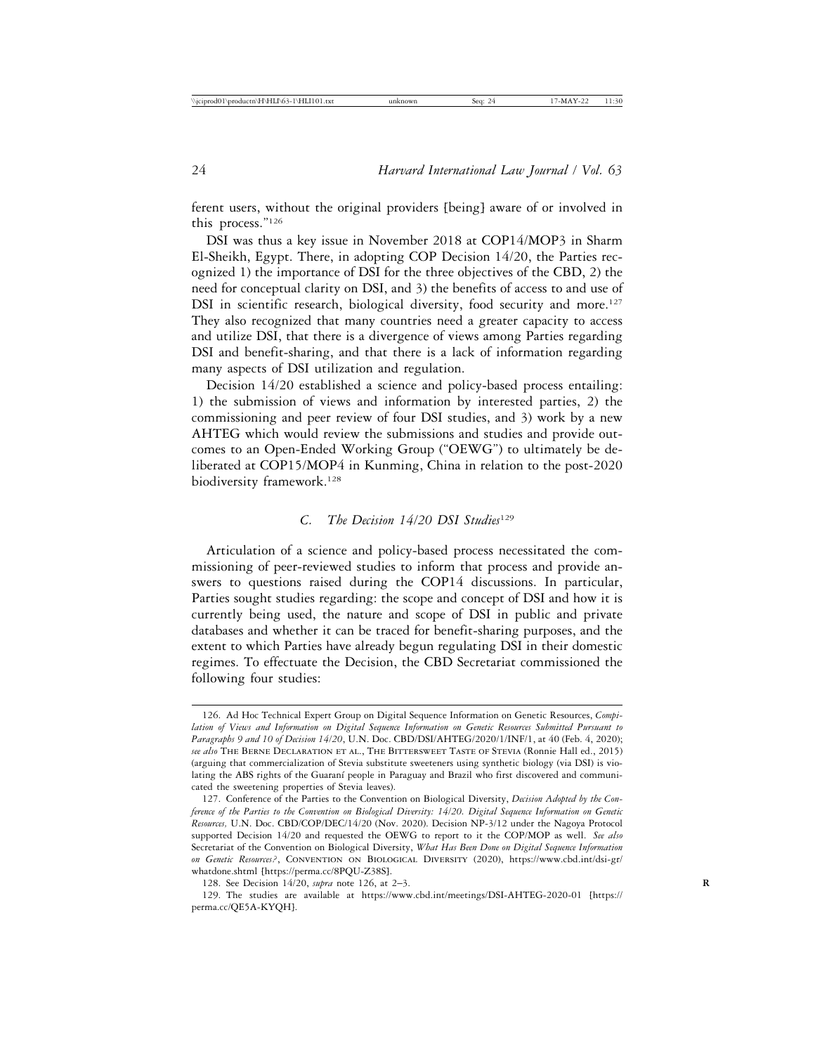ferent users, without the original providers [being] aware of or involved in this process."126

DSI was thus a key issue in November 2018 at COP14/MOP3 in Sharm El-Sheikh, Egypt. There, in adopting COP Decision 14/20, the Parties recognized 1) the importance of DSI for the three objectives of the CBD, 2) the need for conceptual clarity on DSI, and 3) the benefits of access to and use of DSI in scientific research, biological diversity, food security and more.<sup>127</sup> They also recognized that many countries need a greater capacity to access and utilize DSI, that there is a divergence of views among Parties regarding DSI and benefit-sharing, and that there is a lack of information regarding many aspects of DSI utilization and regulation.

Decision 14/20 established a science and policy-based process entailing: 1) the submission of views and information by interested parties, 2) the commissioning and peer review of four DSI studies, and 3) work by a new AHTEG which would review the submissions and studies and provide outcomes to an Open-Ended Working Group ("OEWG") to ultimately be deliberated at COP15/MOP4 in Kunming, China in relation to the post-2020 biodiversity framework.<sup>128</sup>

#### *C. The Decision 14/20 DSI Studies*<sup>129</sup>

Articulation of a science and policy-based process necessitated the commissioning of peer-reviewed studies to inform that process and provide answers to questions raised during the COP14 discussions. In particular, Parties sought studies regarding: the scope and concept of DSI and how it is currently being used, the nature and scope of DSI in public and private databases and whether it can be traced for benefit-sharing purposes, and the extent to which Parties have already begun regulating DSI in their domestic regimes. To effectuate the Decision, the CBD Secretariat commissioned the following four studies:

128. See Decision 14/20, *supra* note 126, at 2–3. **R**

129. The studies are available at https://www.cbd.int/meetings/DSI-AHTEG-2020-01 [https:// perma.cc/QE5A-KYQH].

<sup>126.</sup> Ad Hoc Technical Expert Group on Digital Sequence Information on Genetic Resources, *Compilation of Views and Information on Digital Sequence Information on Genetic Resources Submitted Pursuant to Paragraphs 9 and 10 of Decision 14/20*, U.N. Doc. CBD/DSI/AHTEG/2020/1/INF/1, at 40 (Feb. 4, 2020); *see also* The Berne Declaration et al., The Bittersweet Taste of Stevia (Ronnie Hall ed., 2015) (arguing that commercialization of Stevia substitute sweeteners using synthetic biology (via DSI) is violating the ABS rights of the Guaraní people in Paraguay and Brazil who first discovered and communicated the sweetening properties of Stevia leaves).

<sup>127.</sup> Conference of the Parties to the Convention on Biological Diversity, *Decision Adopted by the Conference of the Parties to the Convention on Biological Diversity: 14/20. Digital Sequence Information on Genetic Resources,* U.N. Doc. CBD/COP/DEC/14/20 (Nov. 2020). Decision NP-3/12 under the Nagoya Protocol supported Decision 14/20 and requested the OEWG to report to it the COP/MOP as well. *See also* Secretariat of the Convention on Biological Diversity, *What Has Been Done on Digital Sequence Information* on Genetic Resources?, CONVENTION ON BIOLOGICAL DIVERSITY (2020), https://www.cbd.int/dsi-gr/ whatdone.shtml [https://perma.cc/8PQU-Z38S].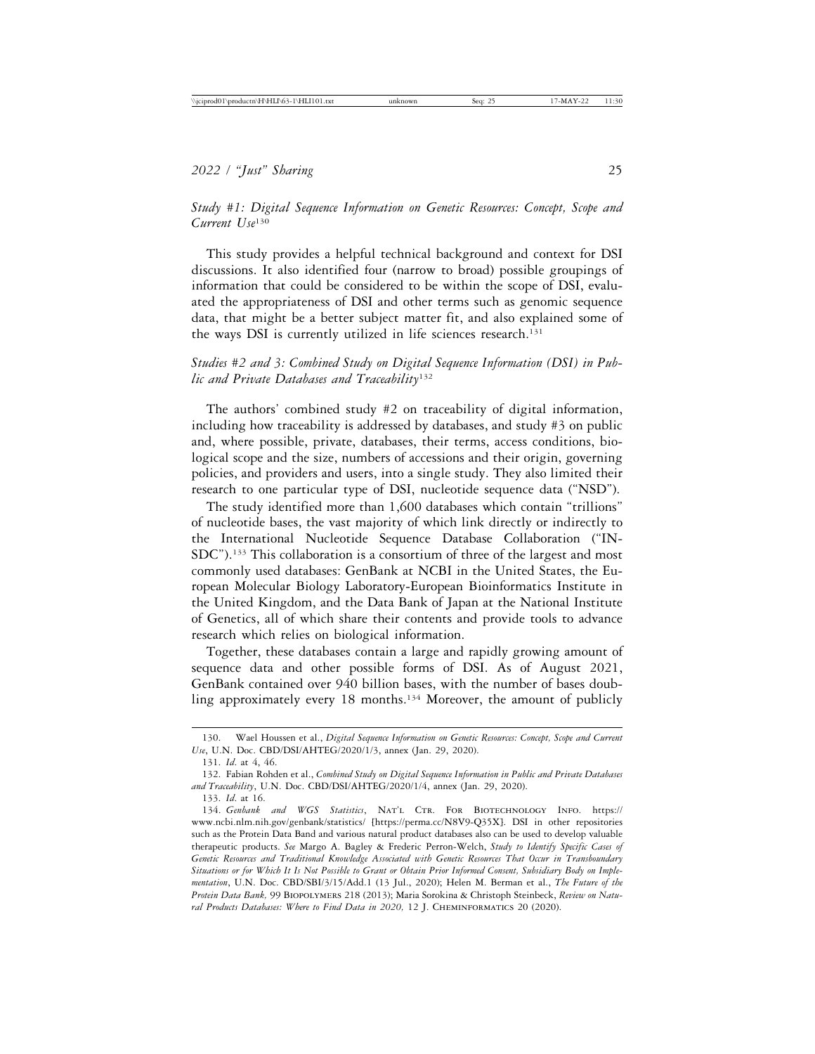*Study #1: Digital Sequence Information on Genetic Resources: Concept, Scope and Current Use*<sup>130</sup>

This study provides a helpful technical background and context for DSI discussions. It also identified four (narrow to broad) possible groupings of information that could be considered to be within the scope of DSI, evaluated the appropriateness of DSI and other terms such as genomic sequence data, that might be a better subject matter fit, and also explained some of the ways DSI is currently utilized in life sciences research.<sup>131</sup>

# *Studies #2 and 3: Combined Study on Digital Sequence Information (DSI) in Public and Private Databases and Traceability*<sup>132</sup>

The authors' combined study #2 on traceability of digital information, including how traceability is addressed by databases, and study #3 on public and, where possible, private, databases, their terms, access conditions, biological scope and the size, numbers of accessions and their origin, governing policies, and providers and users, into a single study. They also limited their research to one particular type of DSI, nucleotide sequence data ("NSD").

The study identified more than 1,600 databases which contain "trillions" of nucleotide bases, the vast majority of which link directly or indirectly to the International Nucleotide Sequence Database Collaboration ("IN-SDC").133 This collaboration is a consortium of three of the largest and most commonly used databases: GenBank at NCBI in the United States, the European Molecular Biology Laboratory-European Bioinformatics Institute in the United Kingdom, and the Data Bank of Japan at the National Institute of Genetics, all of which share their contents and provide tools to advance research which relies on biological information.

Together, these databases contain a large and rapidly growing amount of sequence data and other possible forms of DSI. As of August 2021, GenBank contained over 940 billion bases, with the number of bases doubling approximately every 18 months.<sup>134</sup> Moreover, the amount of publicly

<sup>130.</sup> Wael Houssen et al., *Digital Sequence Information on Genetic Resources: Concept, Scope and Current Use*, U.N. Doc. CBD/DSI/AHTEG/2020/1/3, annex (Jan. 29, 2020).

<sup>131.</sup> *Id*. at 4, 46.

<sup>132.</sup> Fabian Rohden et al., *Combined Study on Digital Sequence Information in Public and Private Databases and Traceability*, U.N. Doc. CBD/DSI/AHTEG/2020/1/4, annex (Jan. 29, 2020).

<sup>133.</sup> *Id*. at 16.

<sup>134.</sup> *Genbank and WGS Statistics*, Nat'l Ctr. For Biotechnology Info. https:// www.ncbi.nlm.nih.gov/genbank/statistics/ [https://perma.cc/N8V9-Q35X]. DSI in other repositories such as the Protein Data Band and various natural product databases also can be used to develop valuable therapeutic products. *See* Margo A. Bagley & Frederic Perron-Welch, *Study to Identify Specific Cases of Genetic Resources and Traditional Knowledge Associated with Genetic Resources That Occur in Transboundary Situations or for Which It Is Not Possible to Grant or Obtain Prior Informed Consent, Subsidiary Body on Implementation*, U.N. Doc. CBD/SBI/3/15/Add.1 (13 Jul., 2020); Helen M. Berman et al., *The Future of the Protein Data Bank,* 99 Biopolymers 218 (2013); Maria Sorokina & Christoph Steinbeck, *Review on Natu*ral Products Databases: Where to Find Data in 2020, 12 J. CHEMINFORMATICS 20 (2020).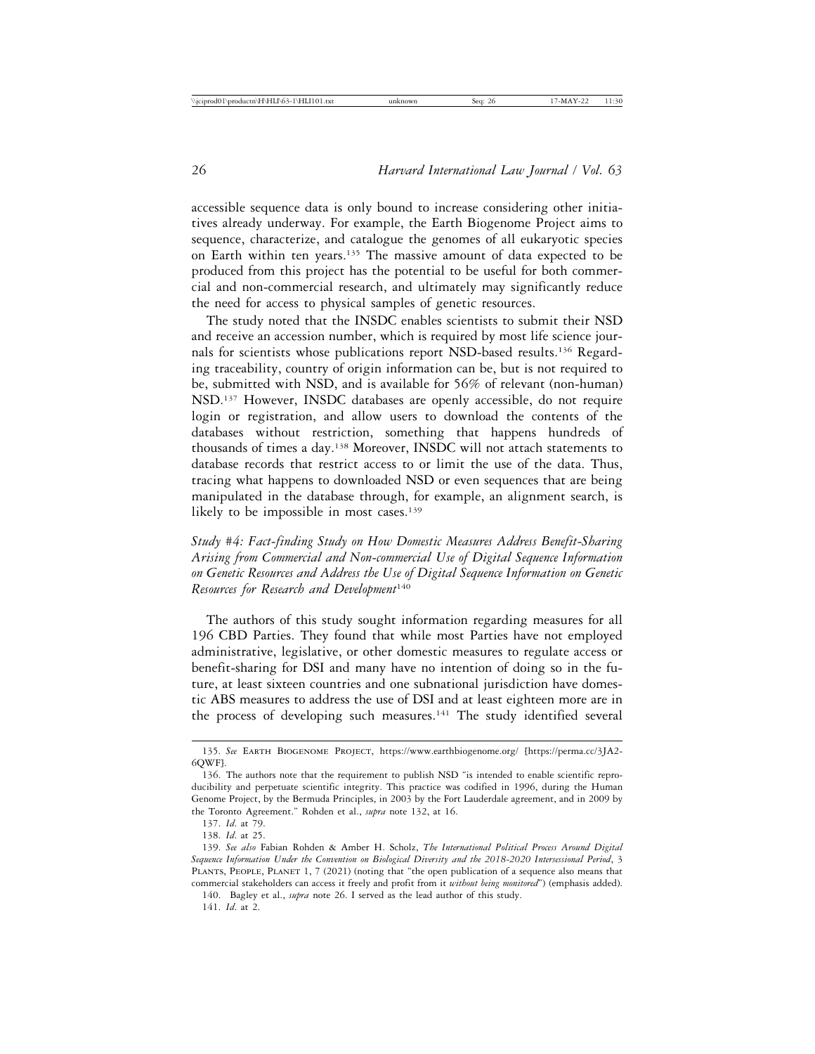accessible sequence data is only bound to increase considering other initiatives already underway. For example, the Earth Biogenome Project aims to sequence, characterize, and catalogue the genomes of all eukaryotic species on Earth within ten years.135 The massive amount of data expected to be produced from this project has the potential to be useful for both commercial and non-commercial research, and ultimately may significantly reduce the need for access to physical samples of genetic resources.

The study noted that the INSDC enables scientists to submit their NSD and receive an accession number, which is required by most life science journals for scientists whose publications report NSD-based results.136 Regarding traceability, country of origin information can be, but is not required to be, submitted with NSD, and is available for 56% of relevant (non-human) NSD.137 However, INSDC databases are openly accessible, do not require login or registration, and allow users to download the contents of the databases without restriction, something that happens hundreds of thousands of times a day.138 Moreover, INSDC will not attach statements to database records that restrict access to or limit the use of the data. Thus, tracing what happens to downloaded NSD or even sequences that are being manipulated in the database through, for example, an alignment search, is likely to be impossible in most cases.<sup>139</sup>

*Study #4: Fact-finding Study on How Domestic Measures Address Benefit-Sharing Arising from Commercial and Non-commercial Use of Digital Sequence Information on Genetic Resources and Address the Use of Digital Sequence Information on Genetic Resources for Research and Development*<sup>140</sup>

The authors of this study sought information regarding measures for all 196 CBD Parties. They found that while most Parties have not employed administrative, legislative, or other domestic measures to regulate access or benefit-sharing for DSI and many have no intention of doing so in the future, at least sixteen countries and one subnational jurisdiction have domestic ABS measures to address the use of DSI and at least eighteen more are in the process of developing such measures.<sup>141</sup> The study identified several

<sup>135.</sup> *See* Earth Biogenome Project, https://www.earthbiogenome.org/ [https://perma.cc/3JA2- 6QWF].

<sup>136.</sup> The authors note that the requirement to publish NSD "is intended to enable scientific reproducibility and perpetuate scientific integrity. This practice was codified in 1996, during the Human Genome Project, by the Bermuda Principles, in 2003 by the Fort Lauderdale agreement, and in 2009 by the Toronto Agreement." Rohden et al., *supra* note 132, at 16.

<sup>137.</sup> *Id*. at 79.

<sup>138.</sup> *Id*. at 25.

<sup>139.</sup> *See also* Fabian Rohden & Amber H. Scholz, *The International Political Process Around Digital Sequence Information Under the Convention on Biological Diversity and the 2018-2020 Intersessional Period*, 3 PLANTS, PEOPLE, PLANET 1, 7 (2021) (noting that "the open publication of a sequence also means that commercial stakeholders can access it freely and profit from it *without being monitored*") (emphasis added).

<sup>140.</sup> Bagley et al., *supra* note 26. I served as the lead author of this study. 141. *Id*. at 2.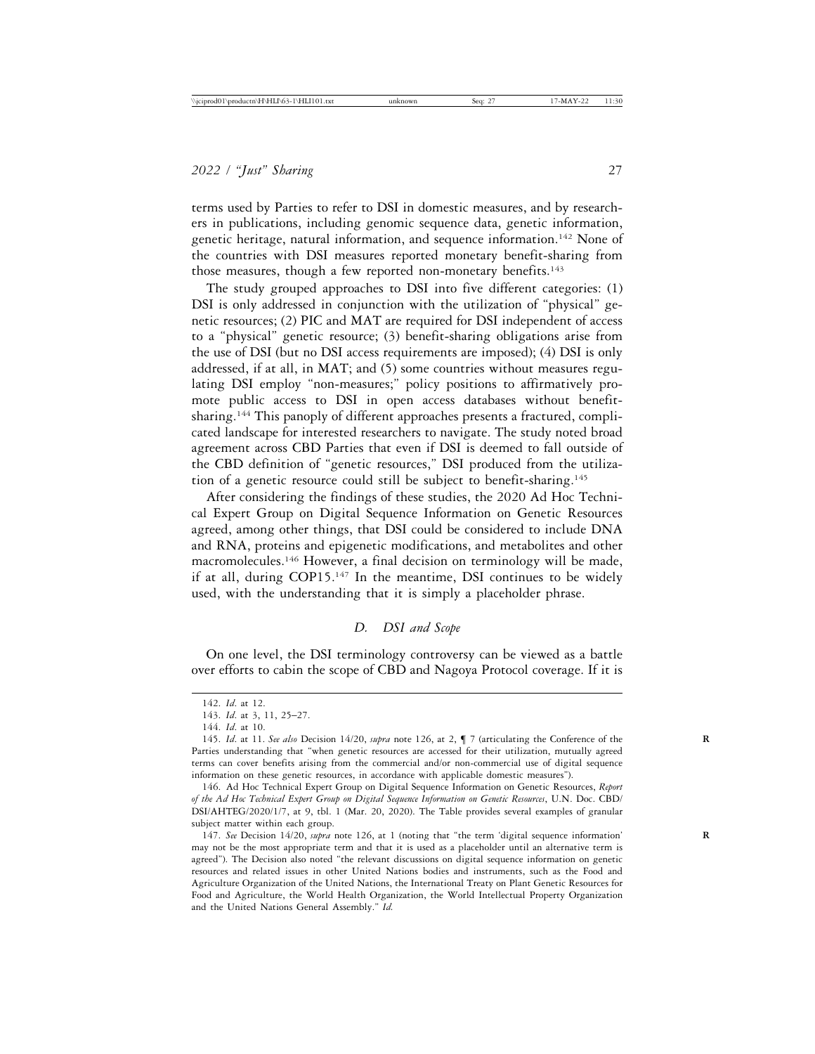terms used by Parties to refer to DSI in domestic measures, and by researchers in publications, including genomic sequence data, genetic information, genetic heritage, natural information, and sequence information.142 None of the countries with DSI measures reported monetary benefit-sharing from those measures, though a few reported non-monetary benefits.<sup>143</sup>

The study grouped approaches to DSI into five different categories: (1) DSI is only addressed in conjunction with the utilization of "physical" genetic resources; (2) PIC and MAT are required for DSI independent of access to a "physical" genetic resource; (3) benefit-sharing obligations arise from the use of DSI (but no DSI access requirements are imposed); (4) DSI is only addressed, if at all, in MAT; and (5) some countries without measures regulating DSI employ "non-measures;" policy positions to affirmatively promote public access to DSI in open access databases without benefitsharing.<sup>144</sup> This panoply of different approaches presents a fractured, complicated landscape for interested researchers to navigate. The study noted broad agreement across CBD Parties that even if DSI is deemed to fall outside of the CBD definition of "genetic resources," DSI produced from the utilization of a genetic resource could still be subject to benefit-sharing.145

After considering the findings of these studies, the 2020 Ad Hoc Technical Expert Group on Digital Sequence Information on Genetic Resources agreed, among other things, that DSI could be considered to include DNA and RNA, proteins and epigenetic modifications, and metabolites and other macromolecules.<sup>146</sup> However, a final decision on terminology will be made, if at all, during COP15.147 In the meantime, DSI continues to be widely used, with the understanding that it is simply a placeholder phrase.

#### *D. DSI and Scope*

On one level, the DSI terminology controversy can be viewed as a battle over efforts to cabin the scope of CBD and Nagoya Protocol coverage. If it is

<sup>142.</sup> *Id*. at 12.

<sup>143.</sup> *Id*. at 3, 11, 25–27.

<sup>144.</sup> *Id*. at 10.

<sup>145.</sup> *Id*. at 11. *See also* Decision 14/20, *supra* note 126, at 2, ¶ 7 (articulating the Conference of the **R** Parties understanding that "when genetic resources are accessed for their utilization, mutually agreed terms can cover benefits arising from the commercial and/or non-commercial use of digital sequence information on these genetic resources, in accordance with applicable domestic measures").

<sup>146.</sup> Ad Hoc Technical Expert Group on Digital Sequence Information on Genetic Resources, *Report of the Ad Hoc Technical Expert Group on Digital Sequence Information on Genetic Resources*, U.N. Doc. CBD/ DSI/AHTEG/2020/1/7, at 9, tbl. 1 (Mar. 20, 2020). The Table provides several examples of granular subject matter within each group.

<sup>147.</sup> *See* Decision 14/20, *supra* note 126, at 1 (noting that "the term 'digital sequence information' **R** may not be the most appropriate term and that it is used as a placeholder until an alternative term is agreed"). The Decision also noted "the relevant discussions on digital sequence information on genetic resources and related issues in other United Nations bodies and instruments, such as the Food and Agriculture Organization of the United Nations, the International Treaty on Plant Genetic Resources for Food and Agriculture, the World Health Organization, the World Intellectual Property Organization and the United Nations General Assembly." *Id.*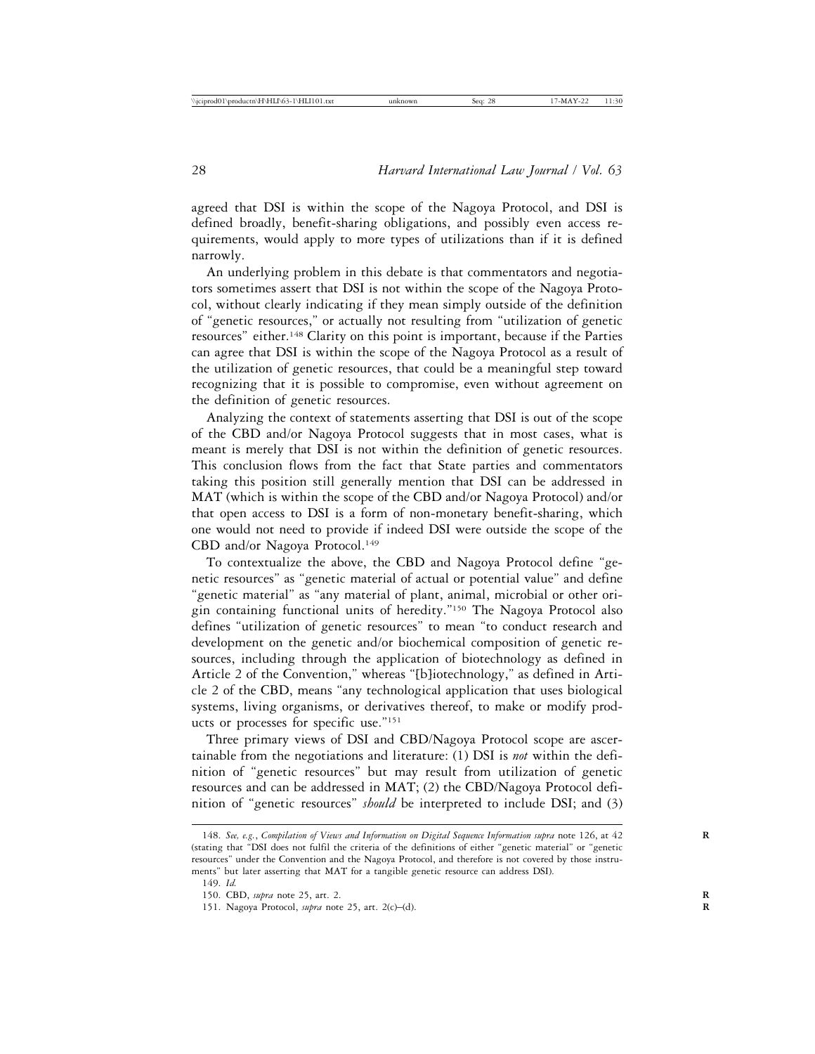agreed that DSI is within the scope of the Nagoya Protocol, and DSI is defined broadly, benefit-sharing obligations, and possibly even access requirements, would apply to more types of utilizations than if it is defined narrowly.

An underlying problem in this debate is that commentators and negotiators sometimes assert that DSI is not within the scope of the Nagoya Protocol, without clearly indicating if they mean simply outside of the definition of "genetic resources," or actually not resulting from "utilization of genetic resources" either.148 Clarity on this point is important, because if the Parties can agree that DSI is within the scope of the Nagoya Protocol as a result of the utilization of genetic resources, that could be a meaningful step toward recognizing that it is possible to compromise, even without agreement on the definition of genetic resources.

Analyzing the context of statements asserting that DSI is out of the scope of the CBD and/or Nagoya Protocol suggests that in most cases, what is meant is merely that DSI is not within the definition of genetic resources. This conclusion flows from the fact that State parties and commentators taking this position still generally mention that DSI can be addressed in MAT (which is within the scope of the CBD and/or Nagoya Protocol) and/or that open access to DSI is a form of non-monetary benefit-sharing, which one would not need to provide if indeed DSI were outside the scope of the CBD and/or Nagoya Protocol.<sup>149</sup>

To contextualize the above, the CBD and Nagoya Protocol define "genetic resources" as "genetic material of actual or potential value" and define "genetic material" as "any material of plant, animal, microbial or other origin containing functional units of heredity."150 The Nagoya Protocol also defines "utilization of genetic resources" to mean "to conduct research and development on the genetic and/or biochemical composition of genetic resources, including through the application of biotechnology as defined in Article 2 of the Convention," whereas "[b]iotechnology," as defined in Article 2 of the CBD, means "any technological application that uses biological systems, living organisms, or derivatives thereof, to make or modify products or processes for specific use."151

Three primary views of DSI and CBD/Nagoya Protocol scope are ascertainable from the negotiations and literature: (1) DSI is *not* within the definition of "genetic resources" but may result from utilization of genetic resources and can be addressed in MAT; (2) the CBD/Nagoya Protocol definition of "genetic resources" *should* be interpreted to include DSI; and (3)

<sup>148.</sup> *See, e.g.*, *Compilation of Views and Information on Digital Sequence Information supra* note 126, at 42 **R** (stating that "DSI does not fulfil the criteria of the definitions of either "genetic material" or "genetic resources" under the Convention and the Nagoya Protocol, and therefore is not covered by those instruments" but later asserting that MAT for a tangible genetic resource can address DSI).

<sup>149.</sup> *Id.*

<sup>150.</sup> CBD, *supra* note 25, art. 2. **R**

<sup>151.</sup> Nagoya Protocol, *supra* note 25, art. 2(c)–(d). **R**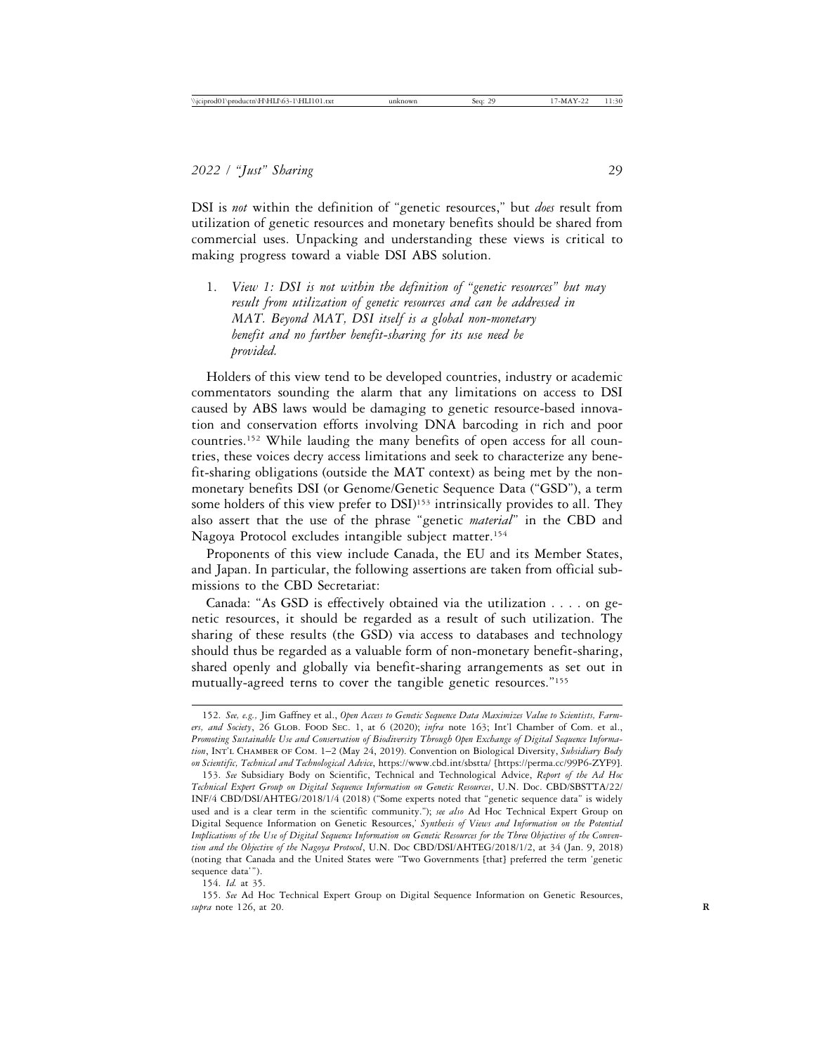DSI is *not* within the definition of "genetic resources," but *does* result from utilization of genetic resources and monetary benefits should be shared from commercial uses. Unpacking and understanding these views is critical to making progress toward a viable DSI ABS solution.

1. *View 1: DSI is not within the definition of "genetic resources" but may result from utilization of genetic resources and can be addressed in MAT. Beyond MAT, DSI itself is a global non-monetary benefit and no further benefit-sharing for its use need be provided.*

Holders of this view tend to be developed countries, industry or academic commentators sounding the alarm that any limitations on access to DSI caused by ABS laws would be damaging to genetic resource-based innovation and conservation efforts involving DNA barcoding in rich and poor countries.152 While lauding the many benefits of open access for all countries, these voices decry access limitations and seek to characterize any benefit-sharing obligations (outside the MAT context) as being met by the nonmonetary benefits DSI (or Genome/Genetic Sequence Data ("GSD"), a term some holders of this view prefer to DSI)<sup>153</sup> intrinsically provides to all. They also assert that the use of the phrase "genetic *material*" in the CBD and Nagoya Protocol excludes intangible subject matter.154

Proponents of this view include Canada, the EU and its Member States, and Japan. In particular, the following assertions are taken from official submissions to the CBD Secretariat:

Canada: "As GSD is effectively obtained via the utilization . . . . on genetic resources, it should be regarded as a result of such utilization. The sharing of these results (the GSD) via access to databases and technology should thus be regarded as a valuable form of non-monetary benefit-sharing, shared openly and globally via benefit-sharing arrangements as set out in mutually-agreed terns to cover the tangible genetic resources."155

154. *Id.* at 35.

155. *See* Ad Hoc Technical Expert Group on Digital Sequence Information on Genetic Resources, *supra* note 126, at 20. **R**

<sup>152.</sup> *See, e.g.,* Jim Gaffney et al., *Open Access to Genetic Sequence Data Maximizes Value to Scientists, Farmers, and Society*, 26 Glob. Food Sec. 1, at 6 (2020); *infra* note 163; Int'l Chamber of Com. et al., *Promoting Sustainable Use and Conservation of Biodiversity Through Open Exchange of Digital Sequence Information*, Int'l Chamber of Com. 1–2 (May 24, 2019). Convention on Biological Diversity, *Subsidiary Body on Scientific, Technical and Technological Advice*, https://www.cbd.int/sbstta/ [https://perma.cc/99P6-ZYF9].

<sup>153.</sup> *See* Subsidiary Body on Scientific, Technical and Technological Advice, *Report of the Ad Hoc Technical Expert Group on Digital Sequence Information on Genetic Resources*, U.N. Doc. CBD/SBSTTA/22/ INF/4 CBD/DSI/AHTEG/2018/1/4 (2018) ("Some experts noted that "genetic sequence data" is widely used and is a clear term in the scientific community."); *see also* Ad Hoc Technical Expert Group on Digital Sequence Information on Genetic Resources,' *Synthesis of Views and Information on the Potential Implications of the Use of Digital Sequence Information on Genetic Resources for the Three Objectives of the Convention and the Objective of the Nagoya Protocol*, U.N. Doc CBD/DSI/AHTEG/2018/1/2, at 34 (Jan. 9, 2018) (noting that Canada and the United States were "Two Governments [that] preferred the term 'genetic sequence data'").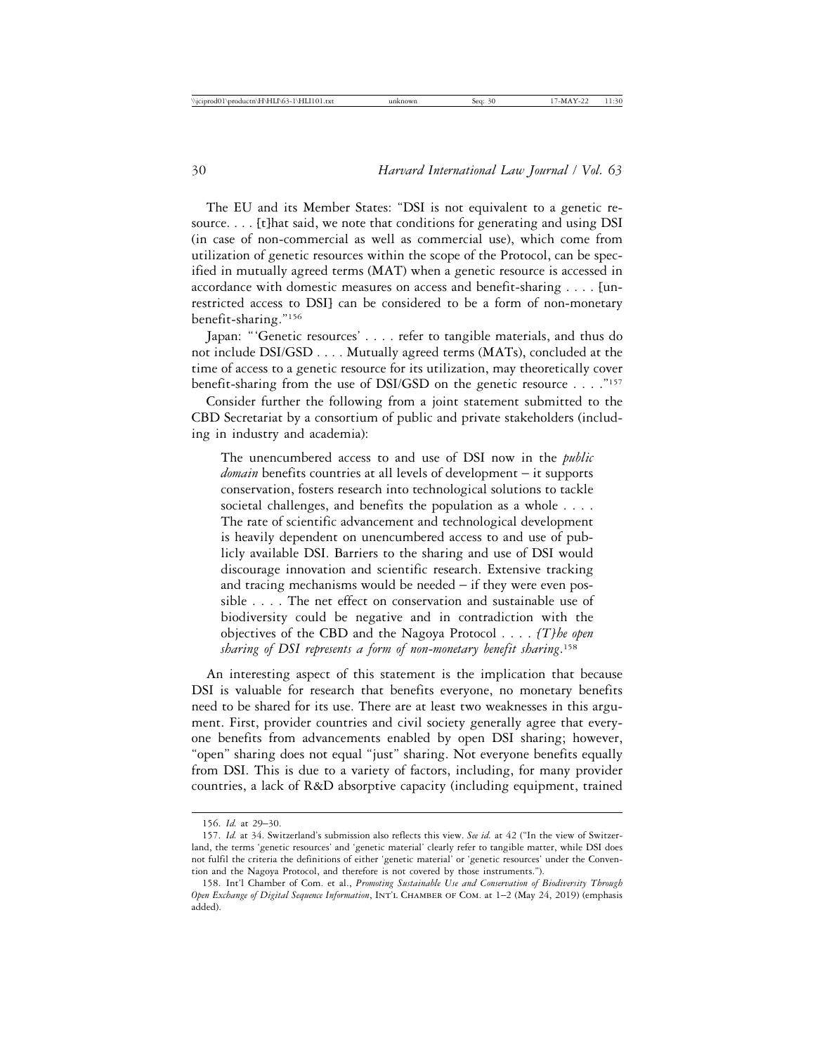The EU and its Member States: "DSI is not equivalent to a genetic resource. . . . [t]hat said, we note that conditions for generating and using DSI (in case of non-commercial as well as commercial use), which come from utilization of genetic resources within the scope of the Protocol, can be specified in mutually agreed terms (MAT) when a genetic resource is accessed in accordance with domestic measures on access and benefit-sharing . . . . [unrestricted access to DSI] can be considered to be a form of non-monetary benefit-sharing."156

Japan: "'Genetic resources' . . . . refer to tangible materials, and thus do not include DSI/GSD . . . . Mutually agreed terms (MATs), concluded at the time of access to a genetic resource for its utilization, may theoretically cover benefit-sharing from the use of DSI/GSD on the genetic resource  $\ldots$ ."<sup>157</sup>

Consider further the following from a joint statement submitted to the CBD Secretariat by a consortium of public and private stakeholders (including in industry and academia):

The unencumbered access to and use of DSI now in the *public domain* benefits countries at all levels of development – it supports conservation, fosters research into technological solutions to tackle societal challenges, and benefits the population as a whole . . . . The rate of scientific advancement and technological development is heavily dependent on unencumbered access to and use of publicly available DSI. Barriers to the sharing and use of DSI would discourage innovation and scientific research. Extensive tracking and tracing mechanisms would be needed – if they were even possible . . . . The net effect on conservation and sustainable use of biodiversity could be negative and in contradiction with the objectives of the CBD and the Nagoya Protocol . . . . *[T]he open sharing of DSI represents a form of non-monetary benefit sharing*. 158

An interesting aspect of this statement is the implication that because DSI is valuable for research that benefits everyone, no monetary benefits need to be shared for its use. There are at least two weaknesses in this argument. First, provider countries and civil society generally agree that everyone benefits from advancements enabled by open DSI sharing; however, "open" sharing does not equal "just" sharing. Not everyone benefits equally from DSI. This is due to a variety of factors, including, for many provider countries, a lack of R&D absorptive capacity (including equipment, trained

<sup>156.</sup> *Id.* at 29–30.

<sup>157.</sup> *Id.* at 34. Switzerland's submission also reflects this view. *See id.* at 42 ("In the view of Switzerland, the terms 'genetic resources' and 'genetic material' clearly refer to tangible matter, while DSI does not fulfil the criteria the definitions of either 'genetic material' or 'genetic resources' under the Convention and the Nagoya Protocol, and therefore is not covered by those instruments.").

<sup>158.</sup> Int'l Chamber of Com. et al., *Promoting Sustainable Use and Conservation of Biodiversity Through Open Exchange of Digital Sequence Information*, Int'l Chamber of Com. at 1–2 (May 24, 2019) (emphasis added).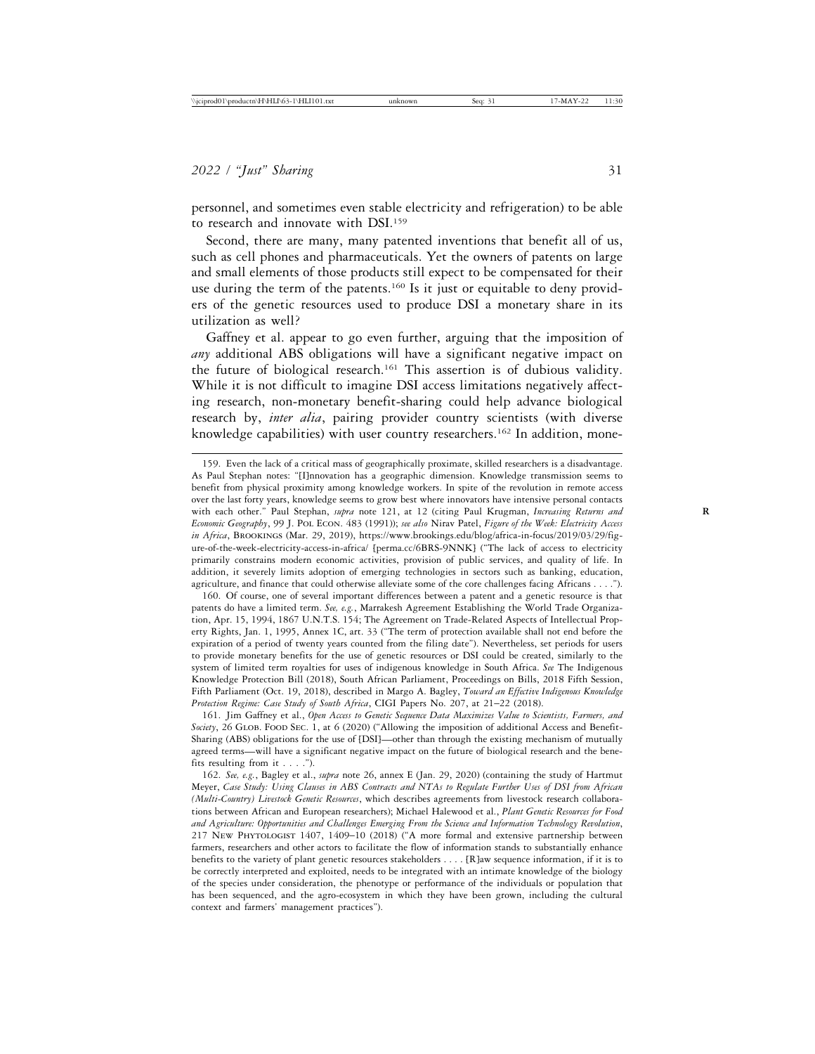personnel, and sometimes even stable electricity and refrigeration) to be able to research and innovate with DSI.<sup>159</sup>

Second, there are many, many patented inventions that benefit all of us, such as cell phones and pharmaceuticals. Yet the owners of patents on large and small elements of those products still expect to be compensated for their use during the term of the patents.<sup>160</sup> Is it just or equitable to deny providers of the genetic resources used to produce DSI a monetary share in its utilization as well?

Gaffney et al. appear to go even further, arguing that the imposition of *any* additional ABS obligations will have a significant negative impact on the future of biological research.161 This assertion is of dubious validity. While it is not difficult to imagine DSI access limitations negatively affecting research, non-monetary benefit-sharing could help advance biological research by, *inter alia*, pairing provider country scientists (with diverse knowledge capabilities) with user country researchers.<sup>162</sup> In addition, mone-

160. Of course, one of several important differences between a patent and a genetic resource is that patents do have a limited term. *See, e.g.*, Marrakesh Agreement Establishing the World Trade Organization, Apr. 15, 1994, 1867 U.N.T.S. 154; The Agreement on Trade-Related Aspects of Intellectual Property Rights, Jan. 1, 1995, Annex 1C, art. 33 ("The term of protection available shall not end before the expiration of a period of twenty years counted from the filing date"). Nevertheless, set periods for users to provide monetary benefits for the use of genetic resources or DSI could be created, similarly to the system of limited term royalties for uses of indigenous knowledge in South Africa. *See* The Indigenous Knowledge Protection Bill (2018), South African Parliament, Proceedings on Bills, 2018 Fifth Session, Fifth Parliament (Oct. 19, 2018), described in Margo A. Bagley, *Toward an Effective Indigenous Knowledge Protection Regime: Case Study of South Africa*, CIGI Papers No. 207, at 21–22 (2018).

161. Jim Gaffney et al., *Open Access to Genetic Sequence Data Maximizes Value to Scientists, Farmers, and Society*, 26 Glob. Food Sec. 1, at 6 (2020) ("Allowing the imposition of additional Access and Benefit-Sharing (ABS) obligations for the use of [DSI]—other than through the existing mechanism of mutually agreed terms—will have a significant negative impact on the future of biological research and the benefits resulting from it . . . .").

162. *See, e.g.*, Bagley et al., *supra* note 26, annex E (Jan. 29, 2020) (containing the study of Hartmut Meyer, *Case Study: Using Clauses in ABS Contracts and NTAs to Regulate Further Uses of DSI from African (Multi-Country) Livestock Genetic Resources*, which describes agreements from livestock research collaborations between African and European researchers); Michael Halewood et al., *Plant Genetic Resources for Food and Agriculture: Opportunities and Challenges Emerging From the Science and Information Technology Revolution*, 217 New Phytologist 1407, 1409–10 (2018) ("A more formal and extensive partnership between farmers, researchers and other actors to facilitate the flow of information stands to substantially enhance benefits to the variety of plant genetic resources stakeholders . . . . [R]aw sequence information, if it is to be correctly interpreted and exploited, needs to be integrated with an intimate knowledge of the biology of the species under consideration, the phenotype or performance of the individuals or population that has been sequenced, and the agro-ecosystem in which they have been grown, including the cultural context and farmers' management practices").

<sup>159.</sup> Even the lack of a critical mass of geographically proximate, skilled researchers is a disadvantage. As Paul Stephan notes: "[I]nnovation has a geographic dimension. Knowledge transmission seems to benefit from physical proximity among knowledge workers. In spite of the revolution in remote access over the last forty years, knowledge seems to grow best where innovators have intensive personal contacts with each other." Paul Stephan, *supra* note 121, at 12 (citing Paul Krugman, *Increasing Returns and* **R** *Economic Geography*, 99 J. Pol Econ. 483 (1991)); *see also* Nirav Patel, *Figure of the Week: Electricity Access in Africa*, Brookings (Mar. 29, 2019), https://www.brookings.edu/blog/africa-in-focus/2019/03/29/figure-of-the-week-electricity-access-in-africa/ [perma.cc/6BRS-9NNK] ("The lack of access to electricity primarily constrains modern economic activities, provision of public services, and quality of life. In addition, it severely limits adoption of emerging technologies in sectors such as banking, education, agriculture, and finance that could otherwise alleviate some of the core challenges facing Africans . . . .").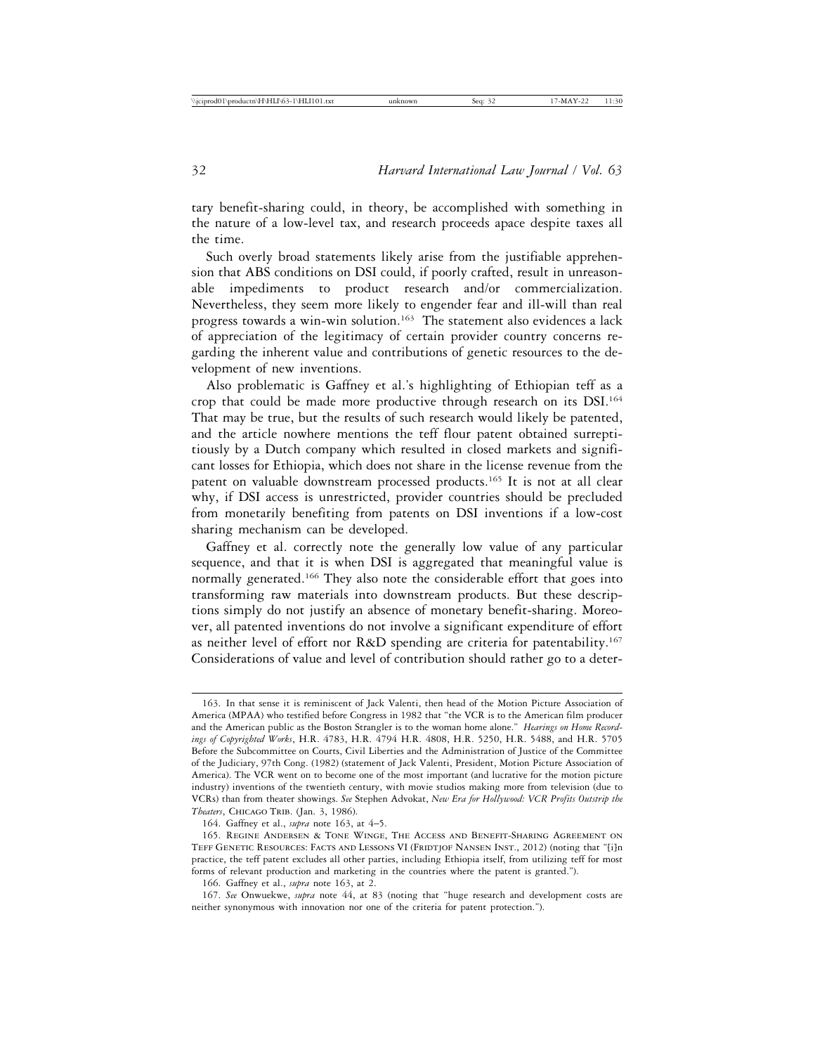tary benefit-sharing could, in theory, be accomplished with something in the nature of a low-level tax, and research proceeds apace despite taxes all the time.

Such overly broad statements likely arise from the justifiable apprehension that ABS conditions on DSI could, if poorly crafted, result in unreasonable impediments to product research and/or commercialization. Nevertheless, they seem more likely to engender fear and ill-will than real progress towards a win-win solution.163 The statement also evidences a lack of appreciation of the legitimacy of certain provider country concerns regarding the inherent value and contributions of genetic resources to the development of new inventions.

Also problematic is Gaffney et al.'s highlighting of Ethiopian teff as a crop that could be made more productive through research on its DSI.164 That may be true, but the results of such research would likely be patented, and the article nowhere mentions the teff flour patent obtained surreptitiously by a Dutch company which resulted in closed markets and significant losses for Ethiopia, which does not share in the license revenue from the patent on valuable downstream processed products.165 It is not at all clear why, if DSI access is unrestricted, provider countries should be precluded from monetarily benefiting from patents on DSI inventions if a low-cost sharing mechanism can be developed.

Gaffney et al. correctly note the generally low value of any particular sequence, and that it is when DSI is aggregated that meaningful value is normally generated.166 They also note the considerable effort that goes into transforming raw materials into downstream products. But these descriptions simply do not justify an absence of monetary benefit-sharing. Moreover, all patented inventions do not involve a significant expenditure of effort as neither level of effort nor R&D spending are criteria for patentability.<sup>167</sup> Considerations of value and level of contribution should rather go to a deter-

<sup>163.</sup> In that sense it is reminiscent of Jack Valenti, then head of the Motion Picture Association of America (MPAA) who testified before Congress in 1982 that "the VCR is to the American film producer and the American public as the Boston Strangler is to the woman home alone." *Hearings on Home Recordings of Copyrighted Works*, H.R. 4783, H.R. 4794 H.R. 4808, H.R. 5250, H.R. 5488, and H.R. 5705 Before the Subcommittee on Courts, Civil Liberties and the Administration of Justice of the Committee of the Judiciary, 97th Cong. (1982) (statement of Jack Valenti, President, Motion Picture Association of America). The VCR went on to become one of the most important (and lucrative for the motion picture industry) inventions of the twentieth century, with movie studios making more from television (due to VCRs) than from theater showings. *See* Stephen Advokat, *New Era for Hollywood: VCR Profits Outstrip the Theaters*, Chicago Trib. (Jan. 3, 1986).

<sup>164.</sup> Gaffney et al., *supra* note 163, at 4–5.

<sup>165.</sup> Regine Andersen & Tone Winge, The Access and Benefit-Sharing Agreement on TEFF GENETIC RESOURCES: FACTS AND LESSONS VI (FRIDTJOF NANSEN INST., 2012) (noting that "[i]n practice, the teff patent excludes all other parties, including Ethiopia itself, from utilizing teff for most forms of relevant production and marketing in the countries where the patent is granted.").

<sup>166.</sup> Gaffney et al., *supra* note 163, at 2.

<sup>167.</sup> *See* Onwuekwe, *supra* note 44, at 83 (noting that "huge research and development costs are neither synonymous with innovation nor one of the criteria for patent protection.").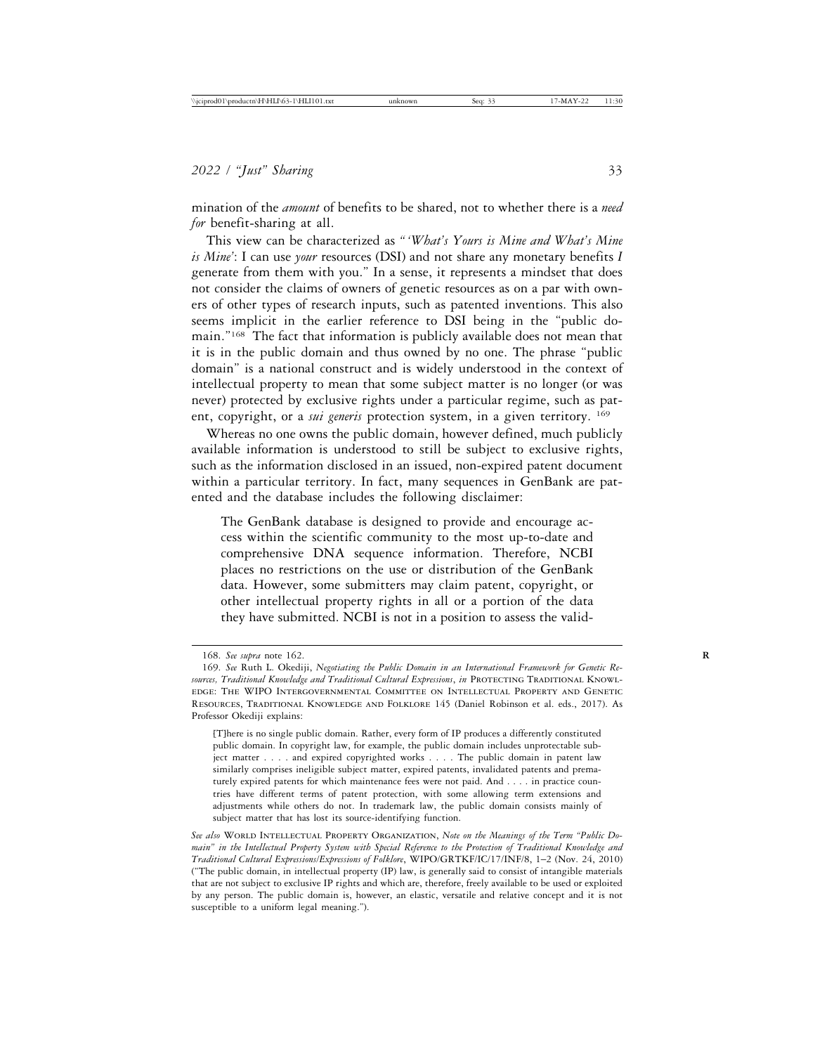mination of the *amount* of benefits to be shared, not to whether there is a *need for* benefit-sharing at all.

This view can be characterized as *" 'What's Yours is Mine and What's Mine is Mine'*: I can use *your* resources (DSI) and not share any monetary benefits *I* generate from them with you." In a sense, it represents a mindset that does not consider the claims of owners of genetic resources as on a par with owners of other types of research inputs, such as patented inventions. This also seems implicit in the earlier reference to DSI being in the "public domain."168 The fact that information is publicly available does not mean that it is in the public domain and thus owned by no one. The phrase "public domain" is a national construct and is widely understood in the context of intellectual property to mean that some subject matter is no longer (or was never) protected by exclusive rights under a particular regime, such as patent, copyright, or a *sui generis* protection system, in a given territory. <sup>169</sup>

Whereas no one owns the public domain, however defined, much publicly available information is understood to still be subject to exclusive rights, such as the information disclosed in an issued, non-expired patent document within a particular territory. In fact, many sequences in GenBank are patented and the database includes the following disclaimer:

The GenBank database is designed to provide and encourage access within the scientific community to the most up-to-date and comprehensive DNA sequence information. Therefore, NCBI places no restrictions on the use or distribution of the GenBank data. However, some submitters may claim patent, copyright, or other intellectual property rights in all or a portion of the data they have submitted. NCBI is not in a position to assess the valid-

See also WORLD INTELLECTUAL PROPERTY ORGANIZATION, Note on the Meanings of the Term "Public Do*main" in the Intellectual Property System with Special Reference to the Protection of Traditional Knowledge and Traditional Cultural Expressions/Expressions of Folklore*, WIPO/GRTKF/IC/17/INF/8, 1–2 (Nov. 24, 2010) ("The public domain, in intellectual property (IP) law, is generally said to consist of intangible materials that are not subject to exclusive IP rights and which are, therefore, freely available to be used or exploited by any person. The public domain is, however, an elastic, versatile and relative concept and it is not susceptible to a uniform legal meaning.").

<sup>168.</sup> *See supra* note 162. **R**

<sup>169.</sup> *See* Ruth L. Okediji, *Negotiating the Public Domain in an International Framework for Genetic Resources, Traditional Knowledge and Traditional Cultural Expressions*, *in* Protecting Traditional Knowledge: The WIPO Intergovernmental Committee on Intellectual Property and Genetic Resources, Traditional Knowledge and Folklore 145 (Daniel Robinson et al. eds., 2017). As Professor Okediji explains:

<sup>[</sup>T]here is no single public domain. Rather, every form of IP produces a differently constituted public domain. In copyright law, for example, the public domain includes unprotectable subject matter . . . . and expired copyrighted works . . . . The public domain in patent law similarly comprises ineligible subject matter, expired patents, invalidated patents and prematurely expired patents for which maintenance fees were not paid. And . . . . in practice countries have different terms of patent protection, with some allowing term extensions and adjustments while others do not. In trademark law, the public domain consists mainly of subject matter that has lost its source-identifying function.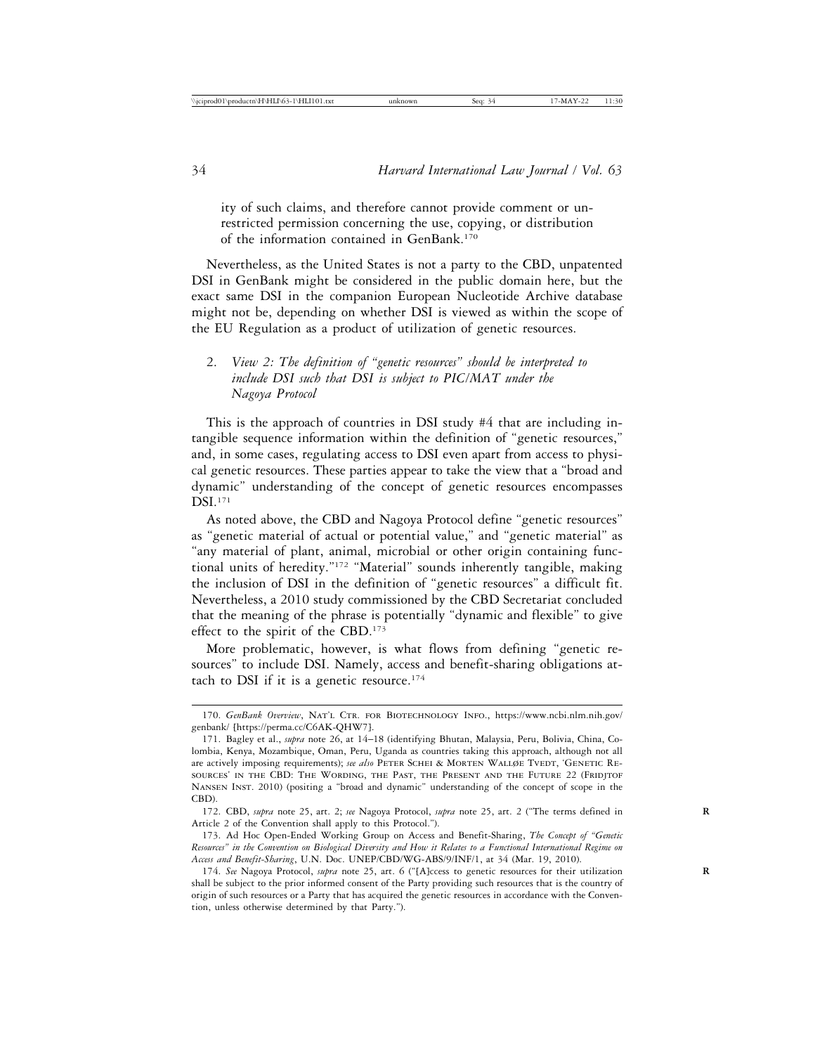ity of such claims, and therefore cannot provide comment or unrestricted permission concerning the use, copying, or distribution of the information contained in GenBank.170

Nevertheless, as the United States is not a party to the CBD, unpatented DSI in GenBank might be considered in the public domain here, but the exact same DSI in the companion European Nucleotide Archive database might not be, depending on whether DSI is viewed as within the scope of the EU Regulation as a product of utilization of genetic resources.

# 2. *View 2: The definition of "genetic resources" should be interpreted to include DSI such that DSI is subject to PIC/MAT under the Nagoya Protocol*

This is the approach of countries in DSI study #4 that are including intangible sequence information within the definition of "genetic resources," and, in some cases, regulating access to DSI even apart from access to physical genetic resources. These parties appear to take the view that a "broad and dynamic" understanding of the concept of genetic resources encompasses DSI.171

As noted above, the CBD and Nagoya Protocol define "genetic resources" as "genetic material of actual or potential value," and "genetic material" as "any material of plant, animal, microbial or other origin containing functional units of heredity."172 "Material" sounds inherently tangible, making the inclusion of DSI in the definition of "genetic resources" a difficult fit. Nevertheless, a 2010 study commissioned by the CBD Secretariat concluded that the meaning of the phrase is potentially "dynamic and flexible" to give effect to the spirit of the CBD.<sup>173</sup>

More problematic, however, is what flows from defining "genetic resources" to include DSI. Namely, access and benefit-sharing obligations attach to DSI if it is a genetic resource.<sup>174</sup>

<sup>170.</sup> *GenBank Overview*, NAT'L CTR. FOR BIOTECHNOLOGY INFO., https://www.ncbi.nlm.nih.gov/ genbank/ [https://perma.cc/C6AK-QHW7].

<sup>171.</sup> Bagley et al., *supra* note 26, at 14–18 (identifying Bhutan, Malaysia, Peru, Bolivia, China, Colombia, Kenya, Mozambique, Oman, Peru, Uganda as countries taking this approach, although not all are actively imposing requirements); see also PETER SCHEI & MORTEN WALLØE TVEDT, 'GENETIC REsources' in the CBD: The Wording, the Past, the Present and the Future 22 (Fridjtof Nansen Inst. 2010) (positing a "broad and dynamic" understanding of the concept of scope in the CBD).

<sup>172.</sup> CBD, *supra* note 25, art. 2; *see* Nagoya Protocol, *supra* note 25, art. 2 ("The terms defined in **R** Article 2 of the Convention shall apply to this Protocol.").

<sup>173.</sup> Ad Hoc Open-Ended Working Group on Access and Benefit-Sharing, *The Concept of "Genetic Resources" in the Convention on Biological Diversity and How it Relates to a Functional International Regime on Access and Benefit-Sharing*, U.N. Doc. UNEP/CBD/WG-ABS/9/INF/1, at 34 (Mar. 19, 2010).

<sup>174.</sup> *See* Nagoya Protocol, *supra* note 25, art. 6 ("[A]ccess to genetic resources for their utilization **R** shall be subject to the prior informed consent of the Party providing such resources that is the country of origin of such resources or a Party that has acquired the genetic resources in accordance with the Convention, unless otherwise determined by that Party.").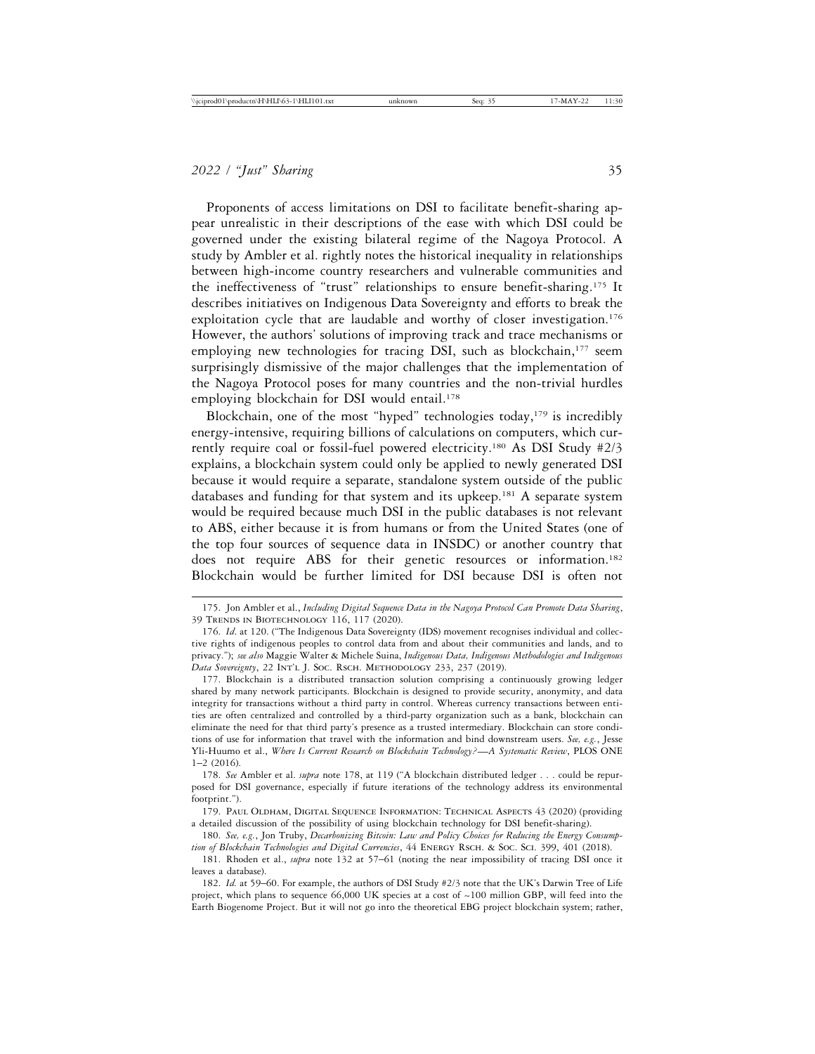Proponents of access limitations on DSI to facilitate benefit-sharing appear unrealistic in their descriptions of the ease with which DSI could be governed under the existing bilateral regime of the Nagoya Protocol. A study by Ambler et al. rightly notes the historical inequality in relationships between high-income country researchers and vulnerable communities and the ineffectiveness of "trust" relationships to ensure benefit-sharing.175 It describes initiatives on Indigenous Data Sovereignty and efforts to break the exploitation cycle that are laudable and worthy of closer investigation.<sup>176</sup> However, the authors' solutions of improving track and trace mechanisms or employing new technologies for tracing DSI, such as blockchain,<sup>177</sup> seem surprisingly dismissive of the major challenges that the implementation of the Nagoya Protocol poses for many countries and the non-trivial hurdles employing blockchain for DSI would entail.<sup>178</sup>

Blockchain, one of the most "hyped" technologies today, $179$  is incredibly energy-intensive, requiring billions of calculations on computers, which currently require coal or fossil-fuel powered electricity.180 As DSI Study #2/3 explains, a blockchain system could only be applied to newly generated DSI because it would require a separate, standalone system outside of the public databases and funding for that system and its upkeep.<sup>181</sup> A separate system would be required because much DSI in the public databases is not relevant to ABS, either because it is from humans or from the United States (one of the top four sources of sequence data in INSDC) or another country that does not require ABS for their genetic resources or information.<sup>182</sup> Blockchain would be further limited for DSI because DSI is often not

<sup>175.</sup> Jon Ambler et al., *Including Digital Sequence Data in the Nagoya Protocol Can Promote Data Sharing*, 39 Trends in Biotechnology 116, 117 (2020).

<sup>176.</sup> *Id*. at 120. ("The Indigenous Data Sovereignty (IDS) movement recognises individual and collective rights of indigenous peoples to control data from and about their communities and lands, and to privacy."); *see also* Maggie Walter & Michele Suina, *Indigenous Data, Indigenous Methodologies and Indigenous Data Sovereignty*, 22 Int'l J. Soc. Rsch. Methodology 233, 237 (2019).

<sup>177.</sup> Blockchain is a distributed transaction solution comprising a continuously growing ledger shared by many network participants. Blockchain is designed to provide security, anonymity, and data integrity for transactions without a third party in control. Whereas currency transactions between entities are often centralized and controlled by a third-party organization such as a bank, blockchain can eliminate the need for that third party's presence as a trusted intermediary. Blockchain can store conditions of use for information that travel with the information and bind downstream users. *See, e.g.*, Jesse Yli-Huumo et al., *Where Is Current Research on Blockchain Technology?*—*A Systematic Review*, PLOS ONE 1–2 (2016).

<sup>178.</sup> *See* Ambler et al. *supra* note 178, at 119 ("A blockchain distributed ledger . . . could be repurposed for DSI governance, especially if future iterations of the technology address its environmental footprint.").

<sup>179.</sup> Paul Oldham, Digital Sequence Information: Technical Aspects 43 (2020) (providing a detailed discussion of the possibility of using blockchain technology for DSI benefit-sharing).

<sup>180.</sup> *See, e.g.*, Jon Truby, *Decarbonizing Bitcoin: Law and Policy Choices for Reducing the Energy Consump*tion of Blockchain Technologies and Digital Currencies, 44 ENERGY RSCH. & Soc. ScI. 399, 401 (2018).

<sup>181.</sup> Rhoden et al., *supra* note 132 at 57–61 (noting the near impossibility of tracing DSI once it leaves a database).

<sup>182.</sup> *Id.* at 59–60. For example, the authors of DSI Study #2/3 note that the UK's Darwin Tree of Life project, which plans to sequence 66,000 UK species at a cost of  $\sim$ 100 million GBP, will feed into the Earth Biogenome Project. But it will not go into the theoretical EBG project blockchain system; rather,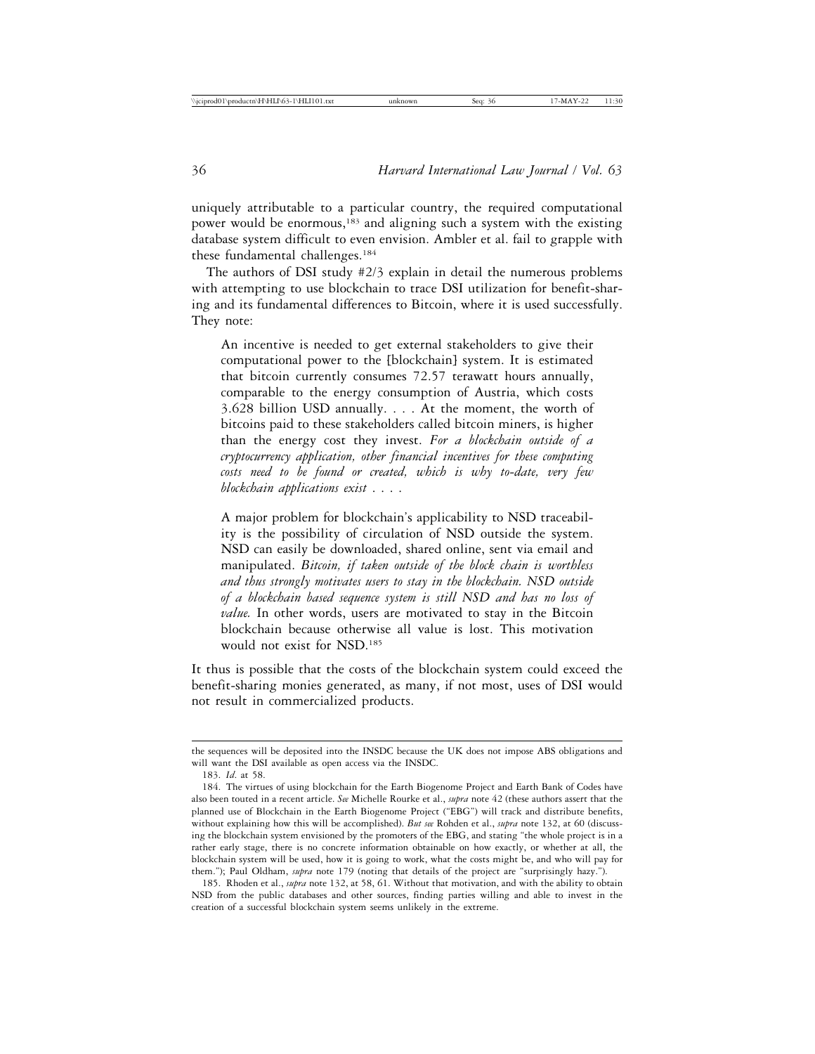uniquely attributable to a particular country, the required computational power would be enormous,183 and aligning such a system with the existing database system difficult to even envision. Ambler et al. fail to grapple with these fundamental challenges.<sup>184</sup>

The authors of DSI study #2/3 explain in detail the numerous problems with attempting to use blockchain to trace DSI utilization for benefit-sharing and its fundamental differences to Bitcoin, where it is used successfully. They note:

An incentive is needed to get external stakeholders to give their computational power to the [blockchain] system. It is estimated that bitcoin currently consumes 72.57 terawatt hours annually, comparable to the energy consumption of Austria, which costs 3.628 billion USD annually. . . . At the moment, the worth of bitcoins paid to these stakeholders called bitcoin miners, is higher than the energy cost they invest. *For a blockchain outside of a cryptocurrency application, other financial incentives for these computing costs need to be found or created, which is why to-date, very few blockchain applications exist* . . . .

A major problem for blockchain's applicability to NSD traceability is the possibility of circulation of NSD outside the system. NSD can easily be downloaded, shared online, sent via email and manipulated. *Bitcoin, if taken outside of the block chain is worthless and thus strongly motivates users to stay in the blockchain. NSD outside of a blockchain based sequence system is still NSD and has no loss of value.* In other words, users are motivated to stay in the Bitcoin blockchain because otherwise all value is lost. This motivation would not exist for NSD.185

It thus is possible that the costs of the blockchain system could exceed the benefit-sharing monies generated, as many, if not most, uses of DSI would not result in commercialized products.

the sequences will be deposited into the INSDC because the UK does not impose ABS obligations and will want the DSI available as open access via the INSDC.

<sup>183.</sup> *Id*. at 58.

<sup>184.</sup> The virtues of using blockchain for the Earth Biogenome Project and Earth Bank of Codes have also been touted in a recent article. *See* Michelle Rourke et al., *supra* note 42 (these authors assert that the planned use of Blockchain in the Earth Biogenome Project ("EBG") will track and distribute benefits, without explaining how this will be accomplished). *But see* Rohden et al., *supra* note 132, at 60 (discussing the blockchain system envisioned by the promoters of the EBG, and stating "the whole project is in a rather early stage, there is no concrete information obtainable on how exactly, or whether at all, the blockchain system will be used, how it is going to work, what the costs might be, and who will pay for them."); Paul Oldham, *supra* note 179 (noting that details of the project are "surprisingly hazy.").

<sup>185.</sup> Rhoden et al., *supra* note 132, at 58, 61. Without that motivation, and with the ability to obtain NSD from the public databases and other sources, finding parties willing and able to invest in the creation of a successful blockchain system seems unlikely in the extreme.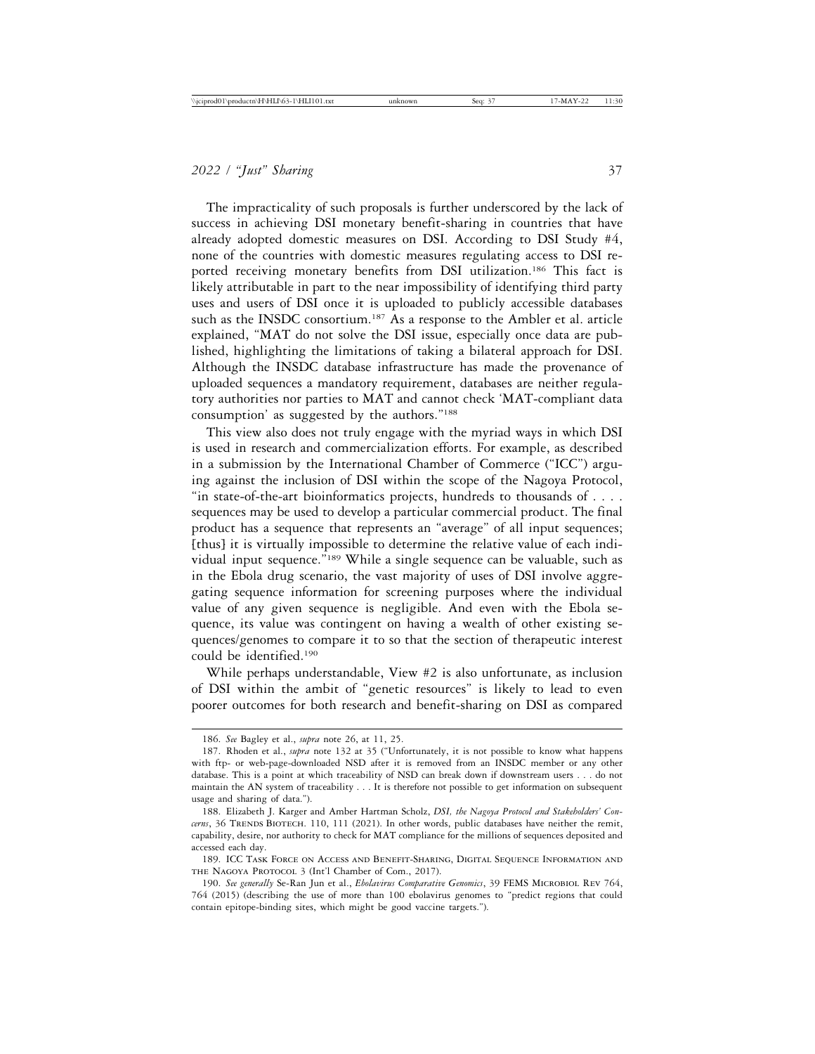The impracticality of such proposals is further underscored by the lack of success in achieving DSI monetary benefit-sharing in countries that have already adopted domestic measures on DSI. According to DSI Study #4, none of the countries with domestic measures regulating access to DSI reported receiving monetary benefits from DSI utilization.<sup>186</sup> This fact is likely attributable in part to the near impossibility of identifying third party uses and users of DSI once it is uploaded to publicly accessible databases such as the INSDC consortium.<sup>187</sup> As a response to the Ambler et al. article explained, "MAT do not solve the DSI issue, especially once data are published, highlighting the limitations of taking a bilateral approach for DSI. Although the INSDC database infrastructure has made the provenance of uploaded sequences a mandatory requirement, databases are neither regulatory authorities nor parties to MAT and cannot check 'MAT-compliant data consumption' as suggested by the authors."188

This view also does not truly engage with the myriad ways in which DSI is used in research and commercialization efforts. For example, as described in a submission by the International Chamber of Commerce ("ICC") arguing against the inclusion of DSI within the scope of the Nagoya Protocol, "in state-of-the-art bioinformatics projects, hundreds to thousands of . . . . sequences may be used to develop a particular commercial product. The final product has a sequence that represents an "average" of all input sequences; [thus] it is virtually impossible to determine the relative value of each individual input sequence."189 While a single sequence can be valuable, such as in the Ebola drug scenario, the vast majority of uses of DSI involve aggregating sequence information for screening purposes where the individual value of any given sequence is negligible. And even with the Ebola sequence, its value was contingent on having a wealth of other existing sequences/genomes to compare it to so that the section of therapeutic interest could be identified.190

While perhaps understandable, View #2 is also unfortunate, as inclusion of DSI within the ambit of "genetic resources" is likely to lead to even poorer outcomes for both research and benefit-sharing on DSI as compared

<sup>186.</sup> *See* Bagley et al., *supra* note 26, at 11, 25.

<sup>187.</sup> Rhoden et al., *supra* note 132 at 35 ("Unfortunately, it is not possible to know what happens with ftp- or web-page-downloaded NSD after it is removed from an INSDC member or any other database. This is a point at which traceability of NSD can break down if downstream users . . . do not maintain the AN system of traceability . . . It is therefore not possible to get information on subsequent usage and sharing of data.").

<sup>188.</sup> Elizabeth J. Karger and Amber Hartman Scholz, *DSI, the Nagoya Protocol and Stakeholders' Concerns*, 36 TRENDS BIOTECH. 110, 111 (2021). In other words, public databases have neither the remit, capability, desire, nor authority to check for MAT compliance for the millions of sequences deposited and accessed each day.

<sup>189.</sup> ICC Task Force on Access and Benefit-Sharing, Digital Sequence Information and THE NAGOYA PROTOCOL 3 (Int'l Chamber of Com., 2017).

<sup>190.</sup> *See generally* Se-Ran Jun et al., *Ebolavirus Comparative Genomics*, 39 FEMS Microbiol Rev 764, 764 (2015) (describing the use of more than 100 ebolavirus genomes to "predict regions that could contain epitope-binding sites, which might be good vaccine targets.").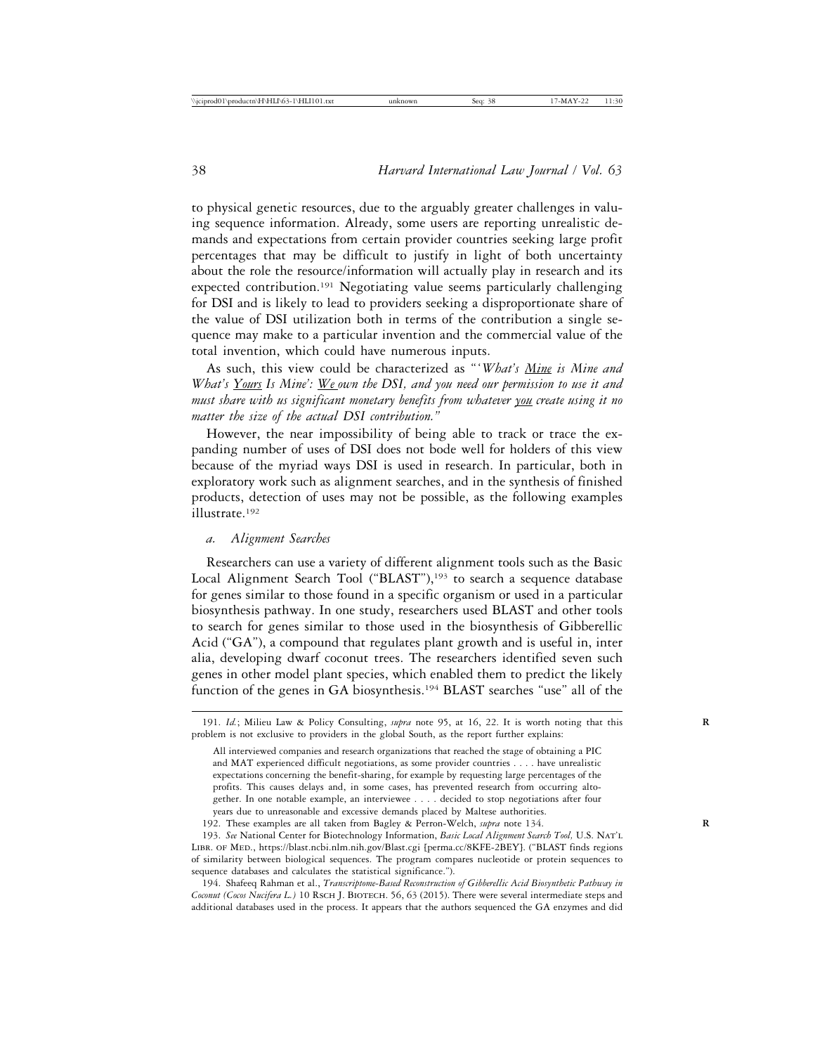to physical genetic resources, due to the arguably greater challenges in valuing sequence information. Already, some users are reporting unrealistic demands and expectations from certain provider countries seeking large profit percentages that may be difficult to justify in light of both uncertainty about the role the resource/information will actually play in research and its expected contribution.<sup>191</sup> Negotiating value seems particularly challenging for DSI and is likely to lead to providers seeking a disproportionate share of the value of DSI utilization both in terms of the contribution a single sequence may make to a particular invention and the commercial value of the total invention, which could have numerous inputs.

As such, this view could be characterized as "'*What's Mine is Mine and What's Yours Is Mine': We own the DSI, and you need our permission to use it and must share with us significant monetary benefits from whatever you create using it no matter the size of the actual DSI contribution."*

However, the near impossibility of being able to track or trace the expanding number of uses of DSI does not bode well for holders of this view because of the myriad ways DSI is used in research. In particular, both in exploratory work such as alignment searches, and in the synthesis of finished products, detection of uses may not be possible, as the following examples illustrate.192

#### *a. Alignment Searches*

Researchers can use a variety of different alignment tools such as the Basic Local Alignment Search Tool ("BLAST"),<sup>193</sup> to search a sequence database for genes similar to those found in a specific organism or used in a particular biosynthesis pathway. In one study, researchers used BLAST and other tools to search for genes similar to those used in the biosynthesis of Gibberellic Acid ("GA"), a compound that regulates plant growth and is useful in, inter alia, developing dwarf coconut trees. The researchers identified seven such genes in other model plant species, which enabled them to predict the likely function of the genes in GA biosynthesis.194 BLAST searches "use" all of the

194. Shafeeq Rahman et al., *Transcriptome-Based Reconstruction of Gibberellic Acid Biosynthetic Pathway in Coconut (Cocos Nucifera L.)* 10 Rsch J. BIOTECH. 56, 63 (2015). There were several intermediate steps and additional databases used in the process. It appears that the authors sequenced the GA enzymes and did

<sup>191.</sup> *Id.*; Milieu Law & Policy Consulting, *supra* note 95, at 16, 22. It is worth noting that this **R** problem is not exclusive to providers in the global South, as the report further explains:

All interviewed companies and research organizations that reached the stage of obtaining a PIC and MAT experienced difficult negotiations, as some provider countries . . . . have unrealistic expectations concerning the benefit-sharing, for example by requesting large percentages of the profits. This causes delays and, in some cases, has prevented research from occurring altogether. In one notable example, an interviewee . . . . decided to stop negotiations after four years due to unreasonable and excessive demands placed by Maltese authorities.

<sup>192.</sup> These examples are all taken from Bagley & Perron-Welch, *supra* note 134. **R**

<sup>193.</sup> *See* National Center for Biotechnology Information, *Basic Local Alignment Search Tool,* U.S. Nat'l Libr. of Med., https://blast.ncbi.nlm.nih.gov/Blast.cgi [perma.cc/8KFE-2BEY]. ("BLAST finds regions of similarity between biological sequences. The program compares nucleotide or protein sequences to sequence databases and calculates the statistical significance.").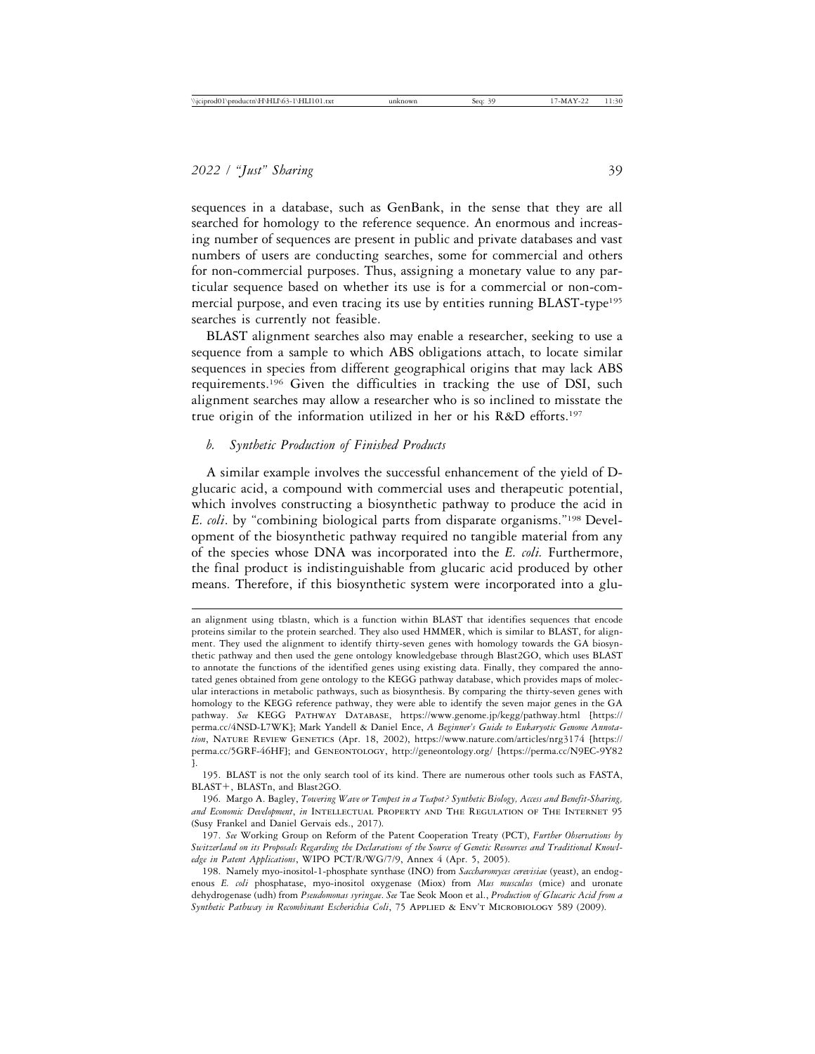sequences in a database, such as GenBank, in the sense that they are all searched for homology to the reference sequence. An enormous and increasing number of sequences are present in public and private databases and vast numbers of users are conducting searches, some for commercial and others for non-commercial purposes. Thus, assigning a monetary value to any particular sequence based on whether its use is for a commercial or non-commercial purpose, and even tracing its use by entities running BLAST-type<sup>195</sup> searches is currently not feasible.

BLAST alignment searches also may enable a researcher, seeking to use a sequence from a sample to which ABS obligations attach, to locate similar sequences in species from different geographical origins that may lack ABS requirements.196 Given the difficulties in tracking the use of DSI, such alignment searches may allow a researcher who is so inclined to misstate the true origin of the information utilized in her or his R&D efforts.197

## *b. Synthetic Production of Finished Products*

A similar example involves the successful enhancement of the yield of Dglucaric acid, a compound with commercial uses and therapeutic potential, which involves constructing a biosynthetic pathway to produce the acid in *E. coli*. by "combining biological parts from disparate organisms."198 Development of the biosynthetic pathway required no tangible material from any of the species whose DNA was incorporated into the *E. coli.* Furthermore, the final product is indistinguishable from glucaric acid produced by other means. Therefore, if this biosynthetic system were incorporated into a glu-

an alignment using tblastn, which is a function within BLAST that identifies sequences that encode proteins similar to the protein searched. They also used HMMER, which is similar to BLAST, for alignment. They used the alignment to identify thirty-seven genes with homology towards the GA biosynthetic pathway and then used the gene ontology knowledgebase through Blast2GO, which uses BLAST to annotate the functions of the identified genes using existing data. Finally, they compared the annotated genes obtained from gene ontology to the KEGG pathway database, which provides maps of molecular interactions in metabolic pathways, such as biosynthesis. By comparing the thirty-seven genes with homology to the KEGG reference pathway, they were able to identify the seven major genes in the GA pathway. *See* KEGG Pathway Database, https://www.genome.jp/kegg/pathway.html [https:// perma.cc/4NSD-L7WK]; Mark Yandell & Daniel Ence, *A Beginner's Guide to Eukaryotic Genome Annota*tion, NATURE REVIEW GENETICS (Apr. 18, 2002), https://www.nature.com/articles/nrg3174 [https:// perma.cc/5GRF-46HF]; and Geneontology, http://geneontology.org/ [https://perma.cc/N9EC-9Y82 ].

<sup>195.</sup> BLAST is not the only search tool of its kind. There are numerous other tools such as FASTA, BLAST+, BLASTn, and Blast2GO.

<sup>196.</sup> Margo A. Bagley, *Towering Wave or Tempest in a Teapot? Synthetic Biology, Access and Benefit-Sharing, and Economic Development*, *in* Intellectual Property and The Regulation of The Internet 95 (Susy Frankel and Daniel Gervais eds., 2017).

<sup>197.</sup> *See* Working Group on Reform of the Patent Cooperation Treaty (PCT), *Further Observations by Switzerland on its Proposals Regarding the Declarations of the Source of Genetic Resources and Traditional Knowledge in Patent Applications*, WIPO PCT/R/WG/7/9, Annex 4 (Apr. 5, 2005).

<sup>198.</sup> Namely myo-inositol-1-phosphate synthase (INO) from *Saccharomyces cerevisiae* (yeast), an endogenous *E. coli* phosphatase, myo-inositol oxygenase (Miox) from *Mus musculus* (mice) and uronate dehydrogenase (udh) from *Pseudomonas syringae*. *See* Tae Seok Moon et al., *Production of Glucaric Acid from a Synthetic Pathway in Recombinant Escherichia Coli*, 75 Applied & Env't Microbiology 589 (2009).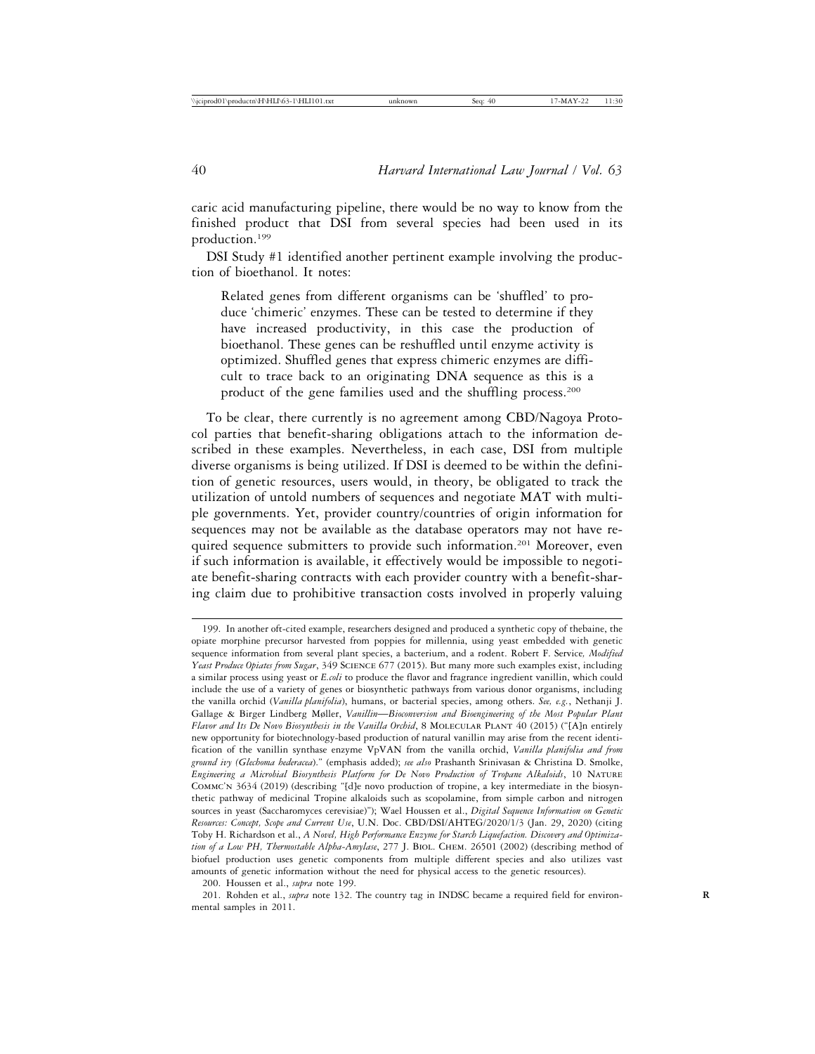caric acid manufacturing pipeline, there would be no way to know from the finished product that DSI from several species had been used in its production.199

DSI Study #1 identified another pertinent example involving the production of bioethanol. It notes:

Related genes from different organisms can be 'shuffled' to produce 'chimeric' enzymes. These can be tested to determine if they have increased productivity, in this case the production of bioethanol. These genes can be reshuffled until enzyme activity is optimized. Shuffled genes that express chimeric enzymes are difficult to trace back to an originating DNA sequence as this is a product of the gene families used and the shuffling process.200

To be clear, there currently is no agreement among CBD/Nagoya Protocol parties that benefit-sharing obligations attach to the information described in these examples. Nevertheless, in each case, DSI from multiple diverse organisms is being utilized. If DSI is deemed to be within the definition of genetic resources, users would, in theory, be obligated to track the utilization of untold numbers of sequences and negotiate MAT with multiple governments. Yet, provider country/countries of origin information for sequences may not be available as the database operators may not have required sequence submitters to provide such information.201 Moreover, even if such information is available, it effectively would be impossible to negotiate benefit-sharing contracts with each provider country with a benefit-sharing claim due to prohibitive transaction costs involved in properly valuing

200. Houssen et al., *supra* note 199.

201. Rohden et al., *supra* note 132. The country tag in INDSC became a required field for environmental samples in 2011.

<sup>199.</sup> In another oft-cited example, researchers designed and produced a synthetic copy of thebaine, the opiate morphine precursor harvested from poppies for millennia, using yeast embedded with genetic sequence information from several plant species, a bacterium, and a rodent. Robert F. Service*, Modified Yeast Produce Opiates from Sugar*, 349 Science 677 (2015). But many more such examples exist, including a similar process using yeast or *E.coli* to produce the flavor and fragrance ingredient vanillin, which could include the use of a variety of genes or biosynthetic pathways from various donor organisms, including the vanilla orchid (*Vanilla planifolia*), humans, or bacterial species, among others. *See, e.g.*, Nethanji J. Gallage & Birger Lindberg Møller, *Vanillin*—*Bioconversion and Bioengineering of the Most Popular Plant Flavor and Its De Novo Biosynthesis in the Vanilla Orchid*, 8 MOLECULAR PLANT 40 (2015) ("[A]n entirely new opportunity for biotechnology-based production of natural vanillin may arise from the recent identification of the vanillin synthase enzyme VpVAN from the vanilla orchid, *Vanilla planifolia and from ground ivy (Glechoma hederacea*)." (emphasis added); *see also* Prashanth Srinivasan & Christina D. Smolke, *Engineering a Microbial Biosynthesis Platform for De Novo Production of Tropane Alkaloids*, 10 Nature Commc'n 3634 (2019) (describing "[d]e novo production of tropine, a key intermediate in the biosynthetic pathway of medicinal Tropine alkaloids such as scopolamine, from simple carbon and nitrogen sources in yeast (Saccharomyces cerevisiae)"); Wael Houssen et al., *Digital Sequence Information on Genetic Resources: Concept, Scope and Current Use*, U.N. Doc. CBD/DSI/AHTEG/2020/1/3 (Jan. 29, 2020) (citing Toby H. Richardson et al., *A Novel, High Performance Enzyme for Starch Liquefaction. Discovery and Optimization of a Low PH, Thermostable Alpha-Amylase*, 277 J. Biol. Chem. 26501 (2002) (describing method of biofuel production uses genetic components from multiple different species and also utilizes vast amounts of genetic information without the need for physical access to the genetic resources).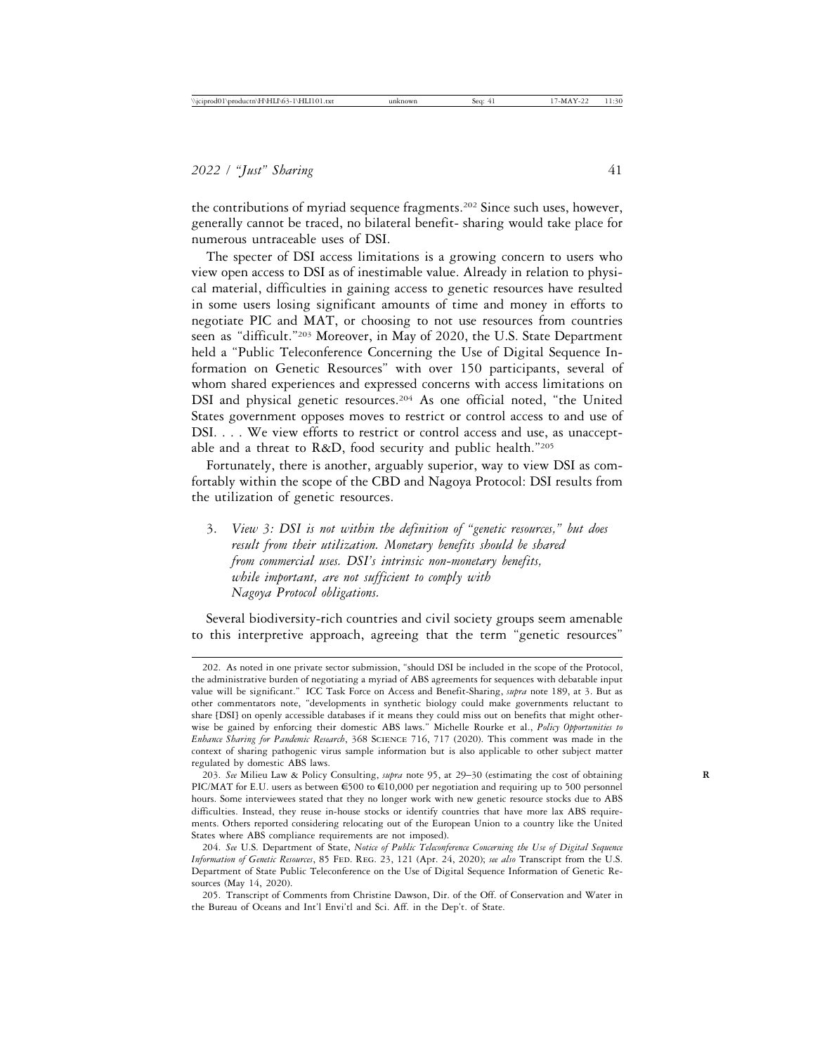the contributions of myriad sequence fragments.202 Since such uses, however, generally cannot be traced, no bilateral benefit- sharing would take place for numerous untraceable uses of DSI.

The specter of DSI access limitations is a growing concern to users who view open access to DSI as of inestimable value. Already in relation to physical material, difficulties in gaining access to genetic resources have resulted in some users losing significant amounts of time and money in efforts to negotiate PIC and MAT, or choosing to not use resources from countries seen as "difficult."203 Moreover, in May of 2020, the U.S. State Department held a "Public Teleconference Concerning the Use of Digital Sequence Information on Genetic Resources" with over 150 participants, several of whom shared experiences and expressed concerns with access limitations on DSI and physical genetic resources.<sup>204</sup> As one official noted, "the United States government opposes moves to restrict or control access to and use of DSI. . . . We view efforts to restrict or control access and use, as unacceptable and a threat to R&D, food security and public health."205

Fortunately, there is another, arguably superior, way to view DSI as comfortably within the scope of the CBD and Nagoya Protocol: DSI results from the utilization of genetic resources.

3. *View 3: DSI is not within the definition of "genetic resources," but does result from their utilization. Monetary benefits should be shared from commercial uses. DSI's intrinsic non-monetary benefits, while important, are not sufficient to comply with Nagoya Protocol obligations.*

Several biodiversity-rich countries and civil society groups seem amenable to this interpretive approach, agreeing that the term "genetic resources"

<sup>202.</sup> As noted in one private sector submission, "should DSI be included in the scope of the Protocol, the administrative burden of negotiating a myriad of ABS agreements for sequences with debatable input value will be significant." ICC Task Force on Access and Benefit-Sharing, *supra* note 189, at 3. But as other commentators note, "developments in synthetic biology could make governments reluctant to share [DSI] on openly accessible databases if it means they could miss out on benefits that might otherwise be gained by enforcing their domestic ABS laws." Michelle Rourke et al., *Policy Opportunities to Enhance Sharing for Pandemic Research*, 368 Science 716, 717 (2020). This comment was made in the context of sharing pathogenic virus sample information but is also applicable to other subject matter regulated by domestic ABS laws.

<sup>203.</sup> *See* Milieu Law & Policy Consulting, *supra* note 95, at 29–30 (estimating the cost of obtaining **R** PIC/MAT for E.U. users as between  $\epsilon$ 500 to  $\epsilon$ 10,000 per negotiation and requiring up to 500 personnel hours. Some interviewees stated that they no longer work with new genetic resource stocks due to ABS difficulties. Instead, they reuse in-house stocks or identify countries that have more lax ABS requirements. Others reported considering relocating out of the European Union to a country like the United States where ABS compliance requirements are not imposed).

<sup>204.</sup> *See* U.S. Department of State, *Notice of Public Teleconference Concerning the Use of Digital Sequence Information of Genetic Resources*, 85 Fed. Reg. 23, 121 (Apr. 24, 2020); *see also* Transcript from the U.S. Department of State Public Teleconference on the Use of Digital Sequence Information of Genetic Resources (May 14, 2020).

<sup>205.</sup> Transcript of Comments from Christine Dawson, Dir. of the Off. of Conservation and Water in the Bureau of Oceans and Int'l Envi'tl and Sci. Aff. in the Dep't. of State.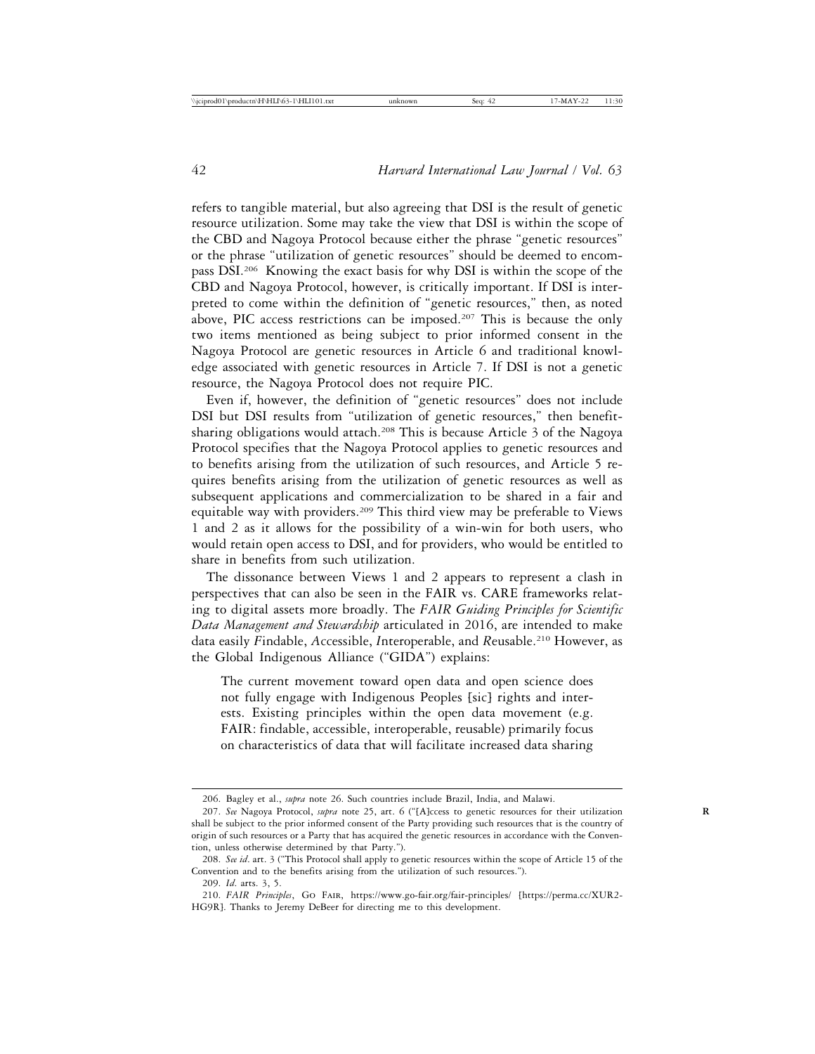refers to tangible material, but also agreeing that DSI is the result of genetic resource utilization. Some may take the view that DSI is within the scope of the CBD and Nagoya Protocol because either the phrase "genetic resources" or the phrase "utilization of genetic resources" should be deemed to encompass DSI.206 Knowing the exact basis for why DSI is within the scope of the CBD and Nagoya Protocol, however, is critically important. If DSI is interpreted to come within the definition of "genetic resources," then, as noted above, PIC access restrictions can be imposed.<sup>207</sup> This is because the only two items mentioned as being subject to prior informed consent in the Nagoya Protocol are genetic resources in Article 6 and traditional knowledge associated with genetic resources in Article 7. If DSI is not a genetic resource, the Nagoya Protocol does not require PIC.

Even if, however, the definition of "genetic resources" does not include DSI but DSI results from "utilization of genetic resources," then benefitsharing obligations would attach.<sup>208</sup> This is because Article 3 of the Nagoya Protocol specifies that the Nagoya Protocol applies to genetic resources and to benefits arising from the utilization of such resources, and Article 5 requires benefits arising from the utilization of genetic resources as well as subsequent applications and commercialization to be shared in a fair and equitable way with providers.209 This third view may be preferable to Views 1 and 2 as it allows for the possibility of a win-win for both users, who would retain open access to DSI, and for providers, who would be entitled to share in benefits from such utilization.

The dissonance between Views 1 and 2 appears to represent a clash in perspectives that can also be seen in the FAIR vs. CARE frameworks relating to digital assets more broadly. The *FAIR Guiding Principles for Scientific Data Management and Stewardship* articulated in 2016, are intended to make data easily *F*indable, *A*ccessible, *I*nteroperable, and *R*eusable.210 However, as the Global Indigenous Alliance ("GIDA") explains:

The current movement toward open data and open science does not fully engage with Indigenous Peoples [sic] rights and interests. Existing principles within the open data movement (e.g. FAIR: findable, accessible, interoperable, reusable) primarily focus on characteristics of data that will facilitate increased data sharing

<sup>206.</sup> Bagley et al., *supra* note 26. Such countries include Brazil, India, and Malawi.

<sup>207.</sup> *See* Nagoya Protocol, *supra* note 25, art. 6 ("[A]ccess to genetic resources for their utilization **R** shall be subject to the prior informed consent of the Party providing such resources that is the country of origin of such resources or a Party that has acquired the genetic resources in accordance with the Convention, unless otherwise determined by that Party.").

<sup>208.</sup> *See id*. art. 3 ("This Protocol shall apply to genetic resources within the scope of Article 15 of the Convention and to the benefits arising from the utilization of such resources.").

<sup>209.</sup> *Id*. arts. 3, 5.

<sup>210.</sup> *FAIR Principles*, Go Fair, https://www.go-fair.org/fair-principles/ [https://perma.cc/XUR2- HG9R]. Thanks to Jeremy DeBeer for directing me to this development.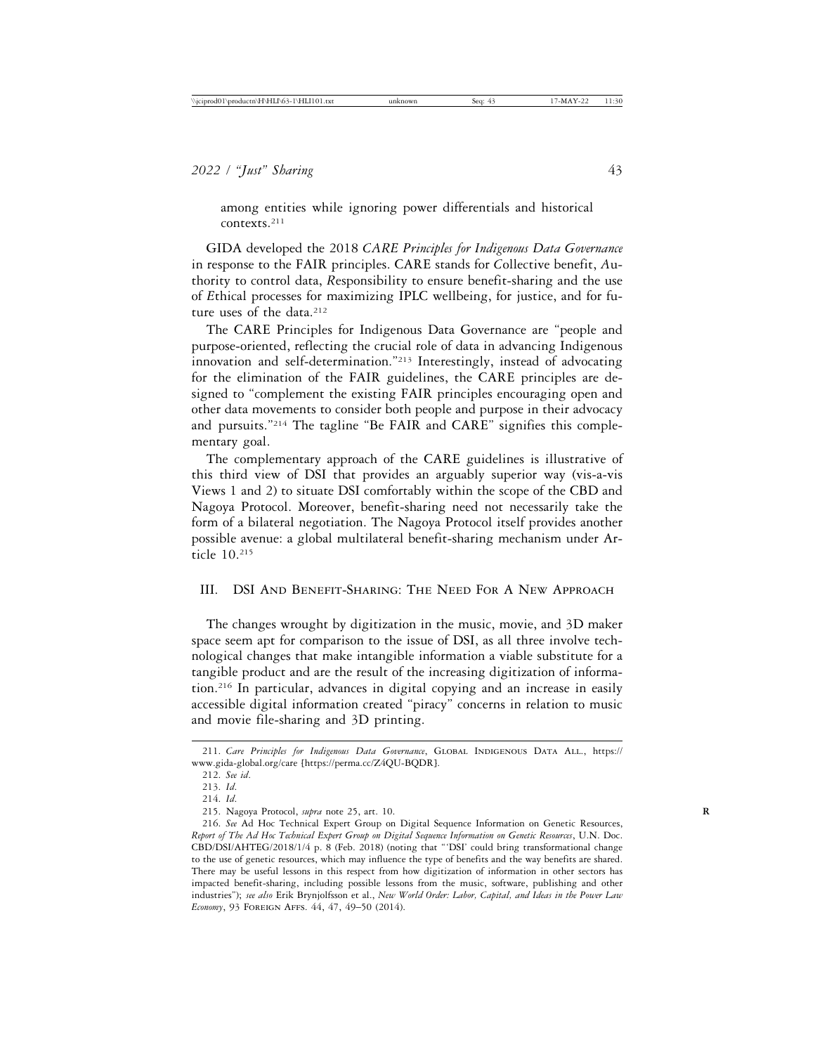among entities while ignoring power differentials and historical contexts.211

GIDA developed the 2018 *CARE Principles for Indigenous Data Governance* in response to the FAIR principles. CARE stands for *C*ollective benefit, *A*uthority to control data, *R*esponsibility to ensure benefit-sharing and the use of *E*thical processes for maximizing IPLC wellbeing, for justice, and for future uses of the data.<sup>212</sup>

The CARE Principles for Indigenous Data Governance are "people and purpose-oriented, reflecting the crucial role of data in advancing Indigenous innovation and self-determination."213 Interestingly, instead of advocating for the elimination of the FAIR guidelines, the CARE principles are designed to "complement the existing FAIR principles encouraging open and other data movements to consider both people and purpose in their advocacy and pursuits."214 The tagline "Be FAIR and CARE" signifies this complementary goal.

The complementary approach of the CARE guidelines is illustrative of this third view of DSI that provides an arguably superior way (vis-a-vis Views 1 and 2) to situate DSI comfortably within the scope of the CBD and Nagoya Protocol. Moreover, benefit-sharing need not necessarily take the form of a bilateral negotiation. The Nagoya Protocol itself provides another possible avenue: a global multilateral benefit-sharing mechanism under Article 10.215

## III. DSI And Benefit-Sharing: The Need For A New Approach

The changes wrought by digitization in the music, movie, and 3D maker space seem apt for comparison to the issue of DSI, as all three involve technological changes that make intangible information a viable substitute for a tangible product and are the result of the increasing digitization of information.216 In particular, advances in digital copying and an increase in easily accessible digital information created "piracy" concerns in relation to music and movie file-sharing and 3D printing.

<sup>211.</sup> *Care Principles for Indigenous Data Governance*, Global Indigenous Data All., https:// www.gida-global.org/care [https://perma.cc/Z4QU-BQDR].

<sup>212.</sup> *See id*.

<sup>213.</sup> *Id*.

<sup>214.</sup> *Id*.

<sup>215.</sup> Nagoya Protocol, *supra* note 25, art. 10. **R**

<sup>216.</sup> *See* Ad Hoc Technical Expert Group on Digital Sequence Information on Genetic Resources, *Report of The Ad Hoc Technical Expert Group on Digital Sequence Information on Genetic Resources*, U.N. Doc. CBD/DSI/AHTEG/2018/1/4 p. 8 (Feb. 2018) (noting that "'DSI' could bring transformational change to the use of genetic resources, which may influence the type of benefits and the way benefits are shared. There may be useful lessons in this respect from how digitization of information in other sectors has impacted benefit-sharing, including possible lessons from the music, software, publishing and other industries"); *see also* Erik Brynjolfsson et al., *New World Order: Labor, Capital, and Ideas in the Power Law Economy*, 93 Foreign Affs. 44, 47, 49–50 (2014).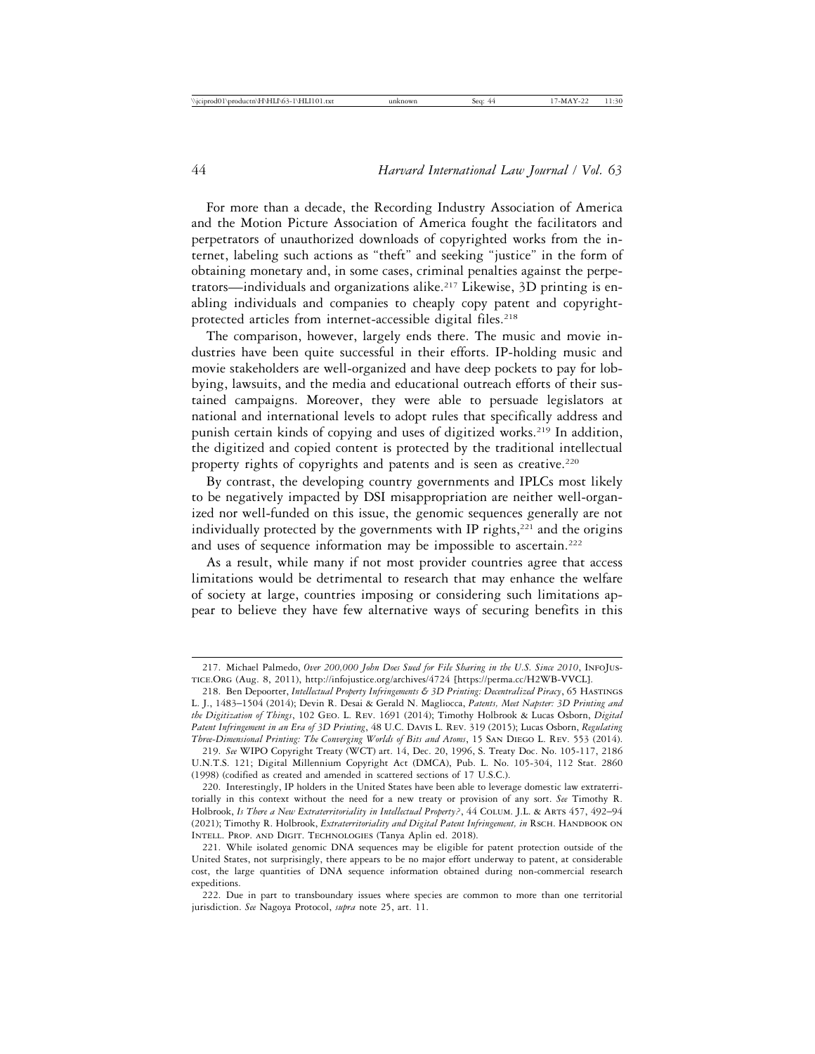For more than a decade, the Recording Industry Association of America and the Motion Picture Association of America fought the facilitators and perpetrators of unauthorized downloads of copyrighted works from the internet, labeling such actions as "theft" and seeking "justice" in the form of obtaining monetary and, in some cases, criminal penalties against the perpetrators—individuals and organizations alike.217 Likewise, 3D printing is enabling individuals and companies to cheaply copy patent and copyrightprotected articles from internet-accessible digital files.<sup>218</sup>

The comparison, however, largely ends there. The music and movie industries have been quite successful in their efforts. IP-holding music and movie stakeholders are well-organized and have deep pockets to pay for lobbying, lawsuits, and the media and educational outreach efforts of their sustained campaigns. Moreover, they were able to persuade legislators at national and international levels to adopt rules that specifically address and punish certain kinds of copying and uses of digitized works.<sup>219</sup> In addition, the digitized and copied content is protected by the traditional intellectual property rights of copyrights and patents and is seen as creative.<sup>220</sup>

By contrast, the developing country governments and IPLCs most likely to be negatively impacted by DSI misappropriation are neither well-organized nor well-funded on this issue, the genomic sequences generally are not individually protected by the governments with IP rights,<sup>221</sup> and the origins and uses of sequence information may be impossible to ascertain.<sup>222</sup>

As a result, while many if not most provider countries agree that access limitations would be detrimental to research that may enhance the welfare of society at large, countries imposing or considering such limitations appear to believe they have few alternative ways of securing benefits in this

<sup>217.</sup> Michael Palmedo, *Over 200,000 John Does Sued for File Sharing in the U.S. Since 2010*, InfoJustice.Org (Aug. 8, 2011), http://infojustice.org/archives/4724 [https://perma.cc/H2WB-VVCL].

<sup>218.</sup> Ben Depoorter, *Intellectual Property Infringements & 3D Printing: Decentralized Piracy*, 65 Hastings L. J., 1483–1504 (2014); Devin R. Desai & Gerald N. Magliocca, *Patents, Meet Napster: 3D Printing and the Digitization of Things*, 102 Geo. L. Rev. 1691 (2014); Timothy Holbrook & Lucas Osborn, *Digital Patent Infringement in an Era of 3D Printing*, 48 U.C. Davis L. Rev. 319 (2015); Lucas Osborn, *Regulating Three-Dimensional Printing: The Converging Worlds of Bits and Atoms*, 15 San Diego L. Rev. 553 (2014).

<sup>219.</sup> *See* WIPO Copyright Treaty (WCT) art. 14, Dec. 20, 1996, S. Treaty Doc. No. 105-117, 2186 U.N.T.S. 121; Digital Millennium Copyright Act (DMCA), Pub. L. No. 105-304, 112 Stat. 2860 (1998) (codified as created and amended in scattered sections of 17 U.S.C.).

<sup>220.</sup> Interestingly, IP holders in the United States have been able to leverage domestic law extraterritorially in this context without the need for a new treaty or provision of any sort. *See* Timothy R. Holbrook, *Is There a New Extraterritoriality in Intellectual Property?*, 44 Colum. J.L. & Arts 457, 492–94 (2021); Timothy R. Holbrook, *Extraterritoriality and Digital Patent Infringement, in* RSCH. HANDBOOK ON Intell. Prop. and Digit. Technologies (Tanya Aplin ed. 2018).

<sup>221.</sup> While isolated genomic DNA sequences may be eligible for patent protection outside of the United States, not surprisingly, there appears to be no major effort underway to patent, at considerable cost, the large quantities of DNA sequence information obtained during non-commercial research expeditions.

<sup>222.</sup> Due in part to transboundary issues where species are common to more than one territorial jurisdiction. *See* Nagoya Protocol, *supra* note 25, art. 11.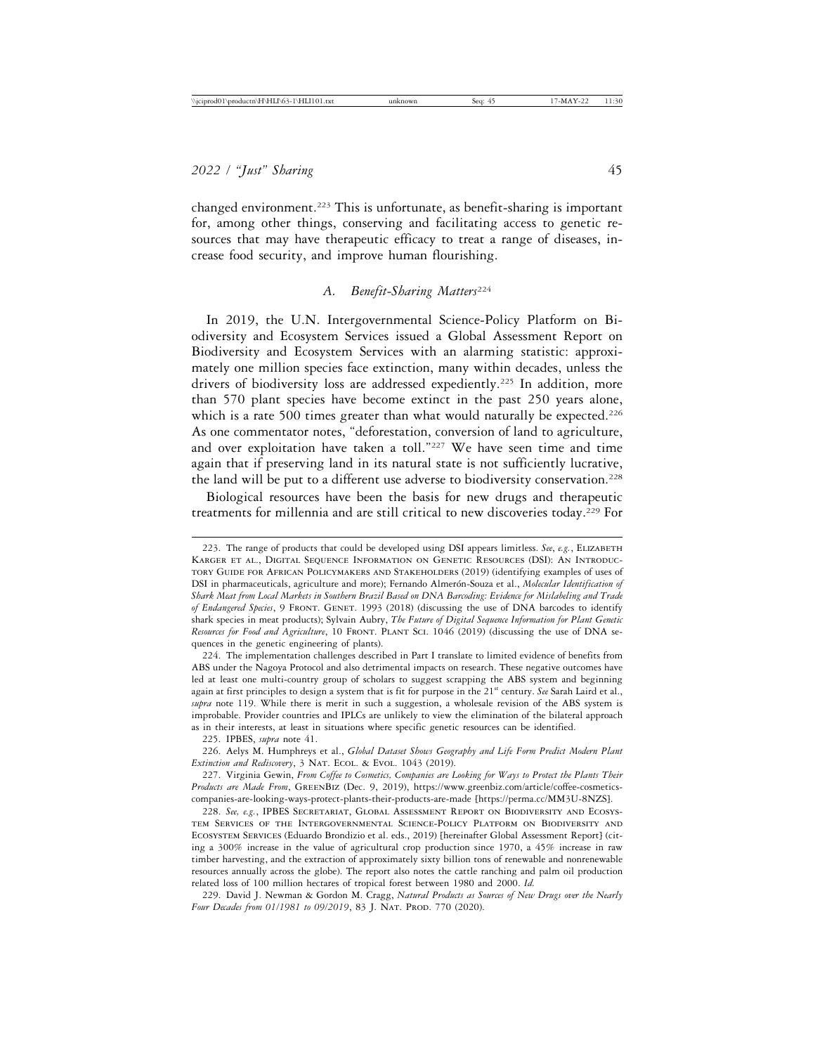changed environment.223 This is unfortunate, as benefit-sharing is important for, among other things, conserving and facilitating access to genetic resources that may have therapeutic efficacy to treat a range of diseases, increase food security, and improve human flourishing.

# *A. Benefit-Sharing Matters*<sup>224</sup>

In 2019, the U.N. Intergovernmental Science-Policy Platform on Biodiversity and Ecosystem Services issued a Global Assessment Report on Biodiversity and Ecosystem Services with an alarming statistic: approximately one million species face extinction, many within decades, unless the drivers of biodiversity loss are addressed expediently.225 In addition, more than 570 plant species have become extinct in the past 250 years alone, which is a rate 500 times greater than what would naturally be expected.<sup>226</sup> As one commentator notes, "deforestation, conversion of land to agriculture, and over exploitation have taken a toll."227 We have seen time and time again that if preserving land in its natural state is not sufficiently lucrative, the land will be put to a different use adverse to biodiversity conservation.<sup>228</sup>

Biological resources have been the basis for new drugs and therapeutic treatments for millennia and are still critical to new discoveries today.229 For

225. IPBES, *supra* note 41.

226. Aelys M. Humphreys et al., *Global Dataset Shows Geography and Life Form Predict Modern Plant* Extinction and Rediscovery, 3 NAT. ECOL. & EVOL. 1043 (2019).

227. Virginia Gewin, *From Coffee to Cosmetics, Companies are Looking for Ways to Protect the Plants Their Products are Made From*, GreenBiz (Dec. 9, 2019), https://www.greenbiz.com/article/coffee-cosmeticscompanies-are-looking-ways-protect-plants-their-products-are-made [https://perma.cc/MM3U-8NZS].

228. *See, e.g.*, IPBES Secretariat, Global Assessment Report on Biodiversity and Ecosystem Services of the Intergovernmental Science-Policy Platform on Biodiversity and Ecosystem Services (Eduardo Brondizio et al. eds., 2019) [hereinafter Global Assessment Report] (citing a 300% increase in the value of agricultural crop production since 1970, a 45% increase in raw timber harvesting, and the extraction of approximately sixty billion tons of renewable and nonrenewable resources annually across the globe). The report also notes the cattle ranching and palm oil production related loss of 100 million hectares of tropical forest between 1980 and 2000. *Id.*

229. David J. Newman & Gordon M. Cragg, *Natural Products as Sources of New Drugs over the Nearly* Four Decades from 01/1981 to 09/2019, 83 J. NAT. PROD. 770 (2020).

<sup>223.</sup> The range of products that could be developed using DSI appears limitless. See, e.g., ELIZABETH Karger et al., Digital Sequence Information on Genetic Resources (DSI): An Introductory Guide for African Policymakers and Stakeholders (2019) (identifying examples of uses of DSI in pharmaceuticals, agriculture and more); Fernando Almerón-Souza et al., *Molecular Identification of Shark Meat from Local Markets in Southern Brazil Based on DNA Barcoding: Evidence for Mislabeling and Trade of Endangered Species*, 9 Front. Genet. 1993 (2018) (discussing the use of DNA barcodes to identify shark species in meat products); Sylvain Aubry, *The Future of Digital Sequence Information for Plant Genetic Resources for Food and Agriculture*, 10 Front. Plant Sci. 1046 (2019) (discussing the use of DNA sequences in the genetic engineering of plants).

<sup>224.</sup> The implementation challenges described in Part I translate to limited evidence of benefits from ABS under the Nagoya Protocol and also detrimental impacts on research. These negative outcomes have led at least one multi-country group of scholars to suggest scrapping the ABS system and beginning again at first principles to design a system that is fit for purpose in the 21<sup>st</sup> century. *See* Sarah Laird et al., *supra* note 119. While there is merit in such a suggestion, a wholesale revision of the ABS system is improbable. Provider countries and IPLCs are unlikely to view the elimination of the bilateral approach as in their interests, at least in situations where specific genetic resources can be identified.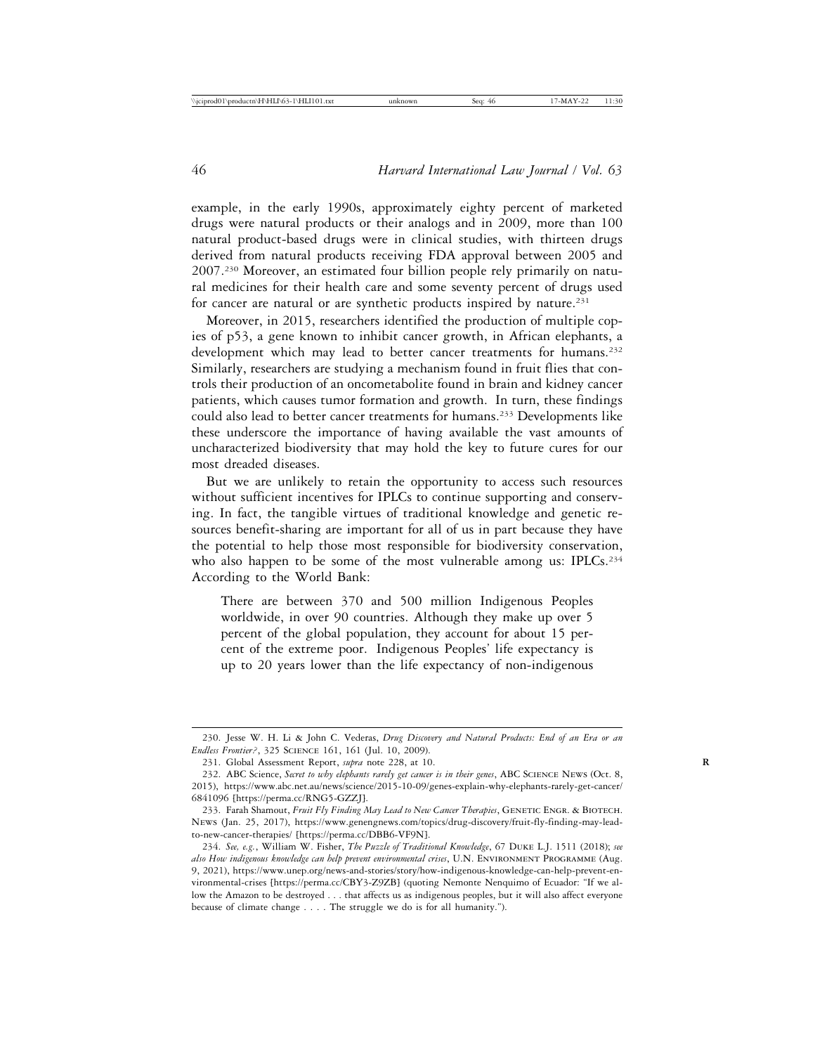example, in the early 1990s, approximately eighty percent of marketed drugs were natural products or their analogs and in 2009, more than 100 natural product-based drugs were in clinical studies, with thirteen drugs derived from natural products receiving FDA approval between 2005 and 2007.230 Moreover, an estimated four billion people rely primarily on natural medicines for their health care and some seventy percent of drugs used for cancer are natural or are synthetic products inspired by nature.<sup>231</sup>

Moreover, in 2015, researchers identified the production of multiple copies of p53, a gene known to inhibit cancer growth, in African elephants, a development which may lead to better cancer treatments for humans.<sup>232</sup> Similarly, researchers are studying a mechanism found in fruit flies that controls their production of an oncometabolite found in brain and kidney cancer patients, which causes tumor formation and growth. In turn, these findings could also lead to better cancer treatments for humans.233 Developments like these underscore the importance of having available the vast amounts of uncharacterized biodiversity that may hold the key to future cures for our most dreaded diseases.

But we are unlikely to retain the opportunity to access such resources without sufficient incentives for IPLCs to continue supporting and conserving. In fact, the tangible virtues of traditional knowledge and genetic resources benefit-sharing are important for all of us in part because they have the potential to help those most responsible for biodiversity conservation, who also happen to be some of the most vulnerable among us: IPLCs.<sup>234</sup> According to the World Bank:

There are between 370 and 500 million Indigenous Peoples worldwide, in over 90 countries. Although they make up over 5 percent of the global population, they account for about 15 percent of the extreme poor. Indigenous Peoples' life expectancy is up to 20 years lower than the life expectancy of non-indigenous

<sup>230.</sup> Jesse W. H. Li & John C. Vederas, *Drug Discovery and Natural Products: End of an Era or an Endless Frontier?*, 325 Science 161, 161 (Jul. 10, 2009).

<sup>231.</sup> Global Assessment Report, *supra* note 228, at 10.

<sup>232.</sup> ABC Science, *Secret to why elephants rarely get cancer is in their genes*, ABC Science News (Oct. 8, 2015), https://www.abc.net.au/news/science/2015-10-09/genes-explain-why-elephants-rarely-get-cancer/ 6841096 [https://perma.cc/RNG5-GZZJ].

<sup>233.</sup> Farah Shamout, *Fruit Fly Finding May Lead to New Cancer Therapies*, GENETIC ENGR. & BIOTECH. News (Jan. 25, 2017), https://www.genengnews.com/topics/drug-discovery/fruit-fly-finding-may-leadto-new-cancer-therapies/ [https://perma.cc/DBB6-VF9N].

<sup>234.</sup> *See, e.g.*, William W. Fisher, *The Puzzle of Traditional Knowledge*, 67 Duke L.J. 1511 (2018); *see also How indigenous knowledge can help prevent environmental crises*, U.N. Environment Programme (Aug. 9, 2021), https://www.unep.org/news-and-stories/story/how-indigenous-knowledge-can-help-prevent-environmental-crises [https://perma.cc/CBY3-Z9ZB] (quoting Nemonte Nenquimo of Ecuador: "If we allow the Amazon to be destroyed . . . that affects us as indigenous peoples, but it will also affect everyone because of climate change . . . . The struggle we do is for all humanity.").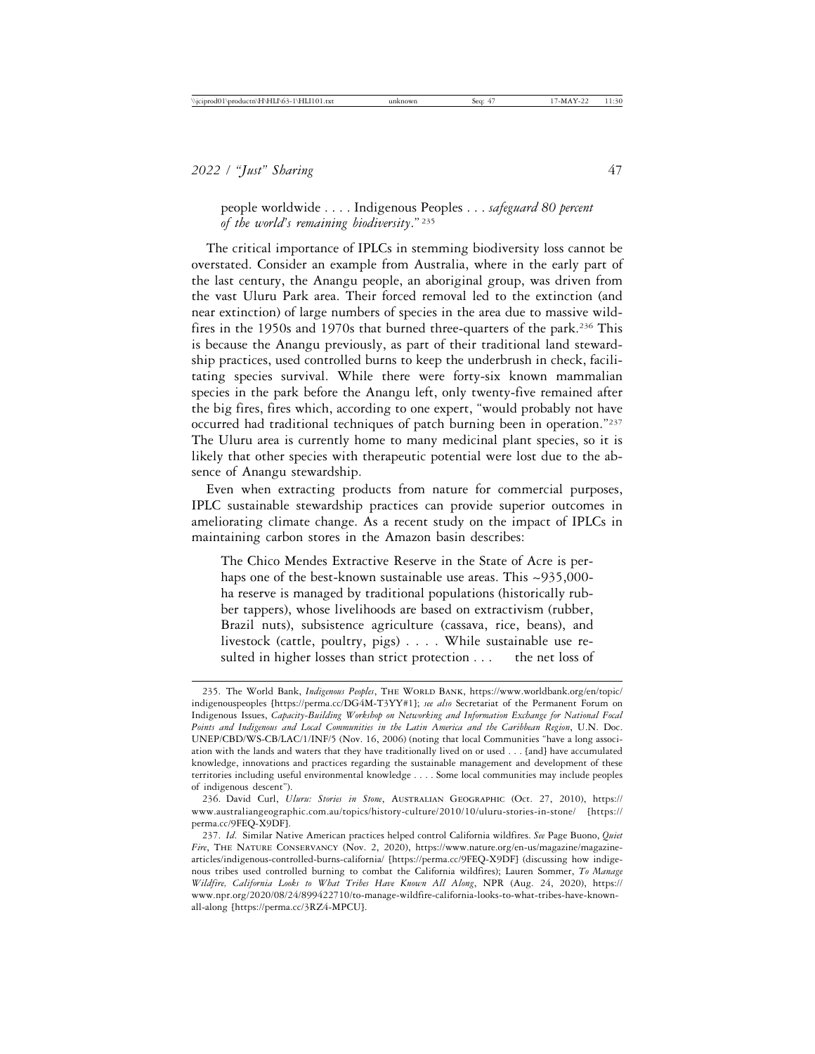people worldwide . . . . Indigenous Peoples . . . *safeguard 80 percent of the world's remaining biodiversity*." <sup>235</sup>

The critical importance of IPLCs in stemming biodiversity loss cannot be overstated. Consider an example from Australia, where in the early part of the last century, the Anangu people, an aboriginal group, was driven from the vast Uluru Park area. Their forced removal led to the extinction (and near extinction) of large numbers of species in the area due to massive wildfires in the 1950s and 1970s that burned three-quarters of the park.236 This is because the Anangu previously, as part of their traditional land stewardship practices, used controlled burns to keep the underbrush in check, facilitating species survival. While there were forty-six known mammalian species in the park before the Anangu left, only twenty-five remained after the big fires, fires which, according to one expert, "would probably not have occurred had traditional techniques of patch burning been in operation."237 The Uluru area is currently home to many medicinal plant species, so it is likely that other species with therapeutic potential were lost due to the absence of Anangu stewardship.

Even when extracting products from nature for commercial purposes, IPLC sustainable stewardship practices can provide superior outcomes in ameliorating climate change. As a recent study on the impact of IPLCs in maintaining carbon stores in the Amazon basin describes:

The Chico Mendes Extractive Reserve in the State of Acre is perhaps one of the best-known sustainable use areas. This ~935,000ha reserve is managed by traditional populations (historically rubber tappers), whose livelihoods are based on extractivism (rubber, Brazil nuts), subsistence agriculture (cassava, rice, beans), and livestock (cattle, poultry, pigs) . . . . While sustainable use resulted in higher losses than strict protection . . . . the net loss of

<sup>235.</sup> The World Bank, *Indigenous Peoples*, The World Bank, https://www.worldbank.org/en/topic/ indigenouspeoples [https://perma.cc/DG4M-T3YY#1]; *see also* Secretariat of the Permanent Forum on Indigenous Issues, *Capacity-Building Workshop on Networking and Information Exchange for National Focal Points and Indigenous and Local Communities in the Latin America and the Caribbean Region*, U.N. Doc. UNEP/CBD/WS-CB/LAC/1/INF/5 (Nov. 16, 2006) (noting that local Communities "have a long association with the lands and waters that they have traditionally lived on or used . . . [and] have accumulated knowledge, innovations and practices regarding the sustainable management and development of these territories including useful environmental knowledge . . . . Some local communities may include peoples of indigenous descent").

<sup>236.</sup> David Curl, *Uluru: Stories in Stone*, Australian Geographic (Oct. 27, 2010), https:// www.australiangeographic.com.au/topics/history-culture/2010/10/uluru-stories-in-stone/ [https:// perma.cc/9FEQ-X9DF].

<sup>237.</sup> *Id*. Similar Native American practices helped control California wildfires. *See* Page Buono, *Quiet Fire*, The Nature Conservancy (Nov. 2, 2020), https://www.nature.org/en-us/magazine/magazinearticles/indigenous-controlled-burns-california/ [https://perma.cc/9FEQ-X9DF] (discussing how indigenous tribes used controlled burning to combat the California wildfires); Lauren Sommer, *To Manage Wildfire, California Looks to What Tribes Have Known All Along*, NPR (Aug. 24, 2020), https:// www.npr.org/2020/08/24/899422710/to-manage-wildfire-california-looks-to-what-tribes-have-knownall-along [https://perma.cc/3RZ4-MPCU].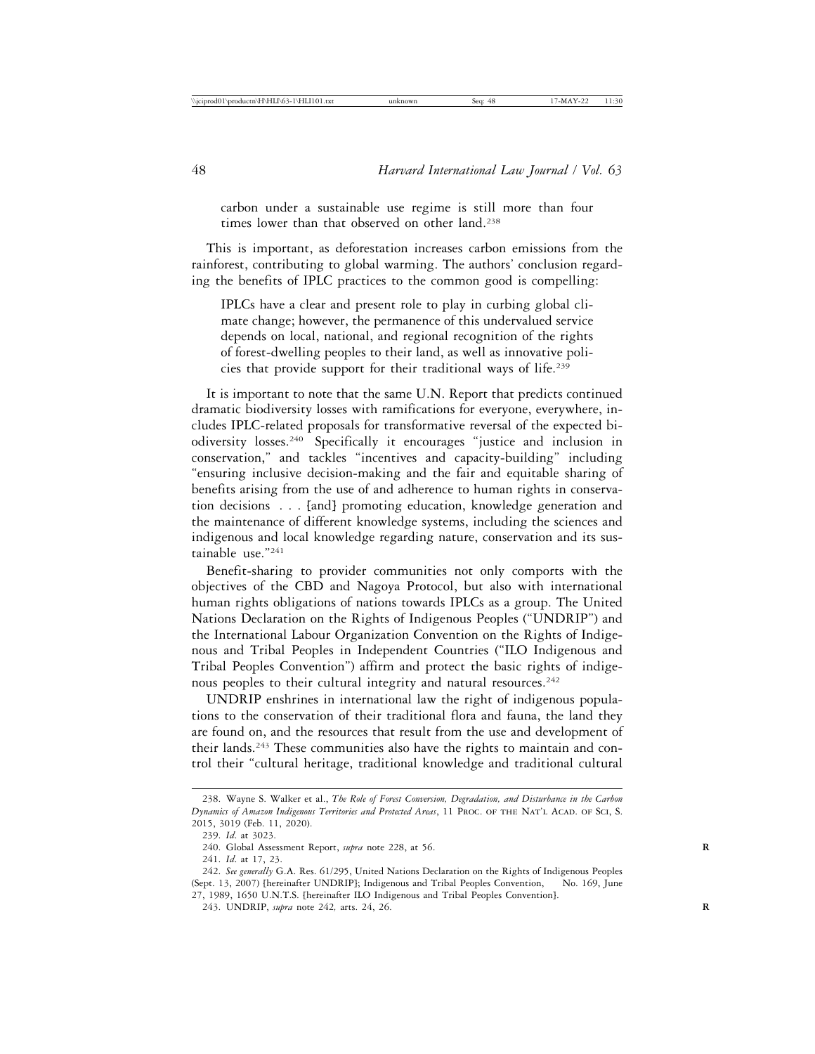carbon under a sustainable use regime is still more than four times lower than that observed on other land.<sup>238</sup>

This is important, as deforestation increases carbon emissions from the rainforest, contributing to global warming. The authors' conclusion regarding the benefits of IPLC practices to the common good is compelling:

IPLCs have a clear and present role to play in curbing global climate change; however, the permanence of this undervalued service depends on local, national, and regional recognition of the rights of forest-dwelling peoples to their land, as well as innovative policies that provide support for their traditional ways of life.239

It is important to note that the same U.N. Report that predicts continued dramatic biodiversity losses with ramifications for everyone, everywhere, includes IPLC-related proposals for transformative reversal of the expected biodiversity losses.240 Specifically it encourages "justice and inclusion in conservation," and tackles "incentives and capacity-building" including "ensuring inclusive decision-making and the fair and equitable sharing of benefits arising from the use of and adherence to human rights in conservation decisions . . . [and] promoting education, knowledge generation and the maintenance of different knowledge systems, including the sciences and indigenous and local knowledge regarding nature, conservation and its sustainable use."241

Benefit-sharing to provider communities not only comports with the objectives of the CBD and Nagoya Protocol, but also with international human rights obligations of nations towards IPLCs as a group. The United Nations Declaration on the Rights of Indigenous Peoples ("UNDRIP") and the International Labour Organization Convention on the Rights of Indigenous and Tribal Peoples in Independent Countries ("ILO Indigenous and Tribal Peoples Convention") affirm and protect the basic rights of indigenous peoples to their cultural integrity and natural resources.<sup>242</sup>

UNDRIP enshrines in international law the right of indigenous populations to the conservation of their traditional flora and fauna, the land they are found on, and the resources that result from the use and development of their lands.243 These communities also have the rights to maintain and control their "cultural heritage, traditional knowledge and traditional cultural

<sup>238.</sup> Wayne S. Walker et al., *The Role of Forest Conversion, Degradation, and Disturbance in the Carbon Dynamics of Amazon Indigenous Territories and Protected Areas*, 11 Proc. of the Nat'l Acad. of Sci, S. 2015, 3019 (Feb. 11, 2020).

<sup>239.</sup> *Id*. at 3023.

<sup>240.</sup> Global Assessment Report, *supra* note 228, at 56.

<sup>241.</sup> *Id*. at 17, 23.

<sup>242.</sup> *See generally* G.A. Res. 61/295, United Nations Declaration on the Rights of Indigenous Peoples (Sept. 13, 2007) [hereinafter UNDRIP]; Indigenous and Tribal Peoples Convention, No. 169, June 27, 1989, 1650 U.N.T.S. [hereinafter ILO Indigenous and Tribal Peoples Convention].

<sup>243.</sup> UNDRIP, *supra* note 242*,* arts. 24, 26. **R**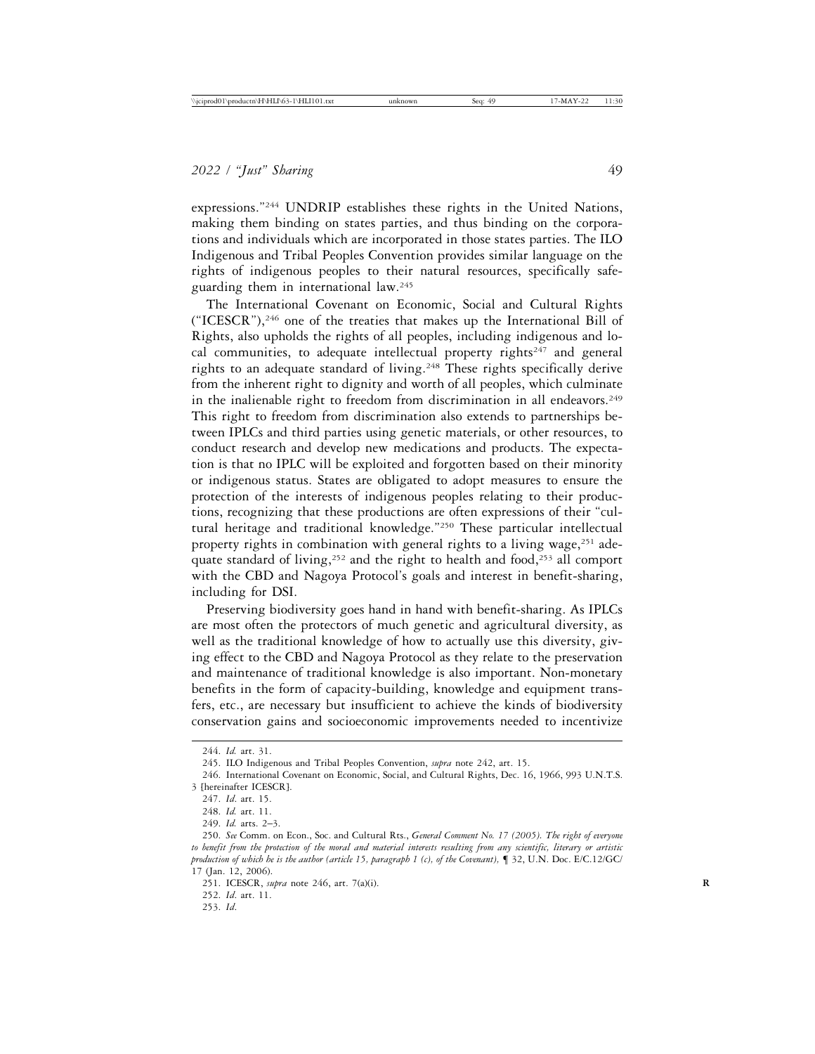expressions."244 UNDRIP establishes these rights in the United Nations, making them binding on states parties, and thus binding on the corporations and individuals which are incorporated in those states parties. The ILO Indigenous and Tribal Peoples Convention provides similar language on the rights of indigenous peoples to their natural resources, specifically safeguarding them in international law.245

The International Covenant on Economic, Social and Cultural Rights ("ICESCR"),246 one of the treaties that makes up the International Bill of Rights, also upholds the rights of all peoples, including indigenous and local communities, to adequate intellectual property rights<sup>247</sup> and general rights to an adequate standard of living.248 These rights specifically derive from the inherent right to dignity and worth of all peoples, which culminate in the inalienable right to freedom from discrimination in all endeavors.<sup>249</sup> This right to freedom from discrimination also extends to partnerships between IPLCs and third parties using genetic materials, or other resources, to conduct research and develop new medications and products. The expectation is that no IPLC will be exploited and forgotten based on their minority or indigenous status. States are obligated to adopt measures to ensure the protection of the interests of indigenous peoples relating to their productions, recognizing that these productions are often expressions of their "cultural heritage and traditional knowledge."250 These particular intellectual property rights in combination with general rights to a living wage,  $251$  adequate standard of living,252 and the right to health and food,253 all comport with the CBD and Nagoya Protocol's goals and interest in benefit-sharing, including for DSI.

Preserving biodiversity goes hand in hand with benefit-sharing. As IPLCs are most often the protectors of much genetic and agricultural diversity, as well as the traditional knowledge of how to actually use this diversity, giving effect to the CBD and Nagoya Protocol as they relate to the preservation and maintenance of traditional knowledge is also important. Non-monetary benefits in the form of capacity-building, knowledge and equipment transfers, etc., are necessary but insufficient to achieve the kinds of biodiversity conservation gains and socioeconomic improvements needed to incentivize

<sup>244.</sup> *Id.* art. 31.

<sup>245.</sup> ILO Indigenous and Tribal Peoples Convention, *supra* note 242, art. 15.

<sup>246.</sup> International Covenant on Economic, Social, and Cultural Rights, Dec. 16, 1966, 993 U.N.T.S. 3 [hereinafter ICESCR].

<sup>247.</sup> *Id*. art. 15.

<sup>248.</sup> *Id.* art. 11.

<sup>249.</sup> *Id.* arts. 2–3.

<sup>250.</sup> *See* Comm. on Econ., Soc. and Cultural Rts., *General Comment No. 17 (2005). The right of everyone to benefit from the protection of the moral and material interests resulting from any scientific, literary or artistic production of which he is the author (article 15, paragraph 1 (c), of the Covenant),* ¶ 32, U.N. Doc. E/C.12/GC/ 17 (Jan. 12, 2006).

<sup>251.</sup> ICESCR, *supra* note 246, art. 7(a)(i). **R**

<sup>252.</sup> *Id*. art. 11.

<sup>253.</sup> *Id*.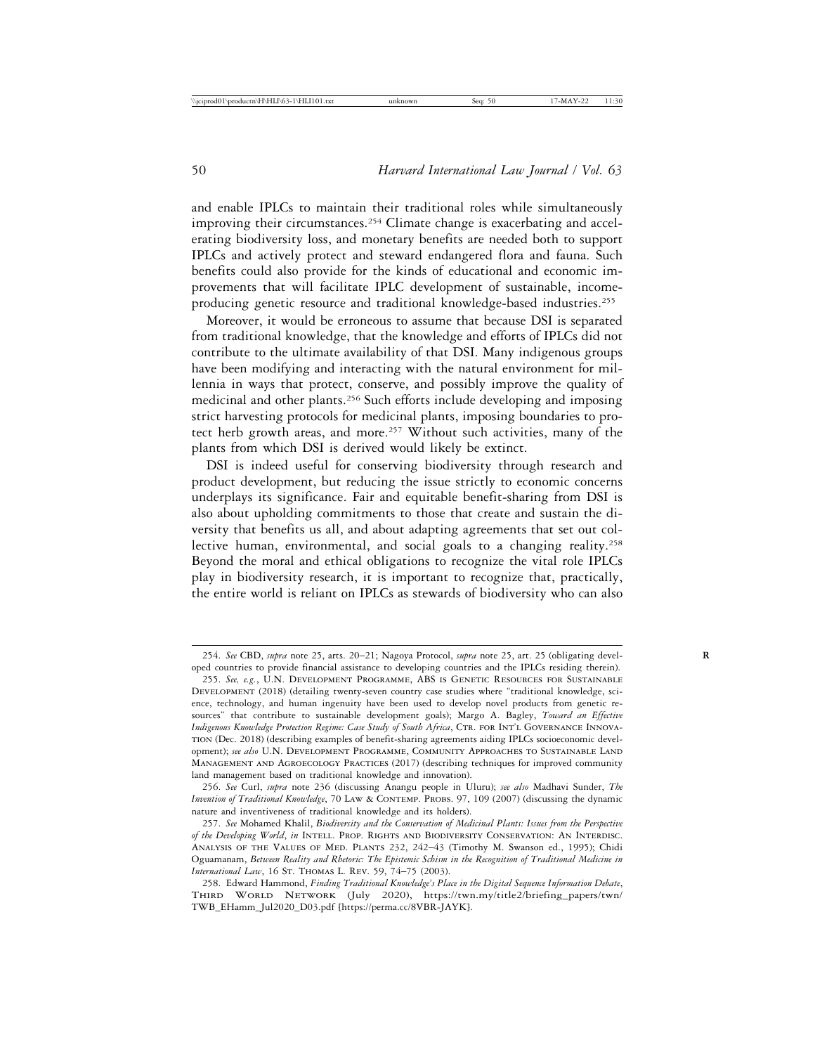and enable IPLCs to maintain their traditional roles while simultaneously improving their circumstances.<sup>254</sup> Climate change is exacerbating and accelerating biodiversity loss, and monetary benefits are needed both to support IPLCs and actively protect and steward endangered flora and fauna. Such benefits could also provide for the kinds of educational and economic improvements that will facilitate IPLC development of sustainable, incomeproducing genetic resource and traditional knowledge-based industries.255

Moreover, it would be erroneous to assume that because DSI is separated from traditional knowledge, that the knowledge and efforts of IPLCs did not contribute to the ultimate availability of that DSI. Many indigenous groups have been modifying and interacting with the natural environment for millennia in ways that protect, conserve, and possibly improve the quality of medicinal and other plants.256 Such efforts include developing and imposing strict harvesting protocols for medicinal plants, imposing boundaries to protect herb growth areas, and more.257 Without such activities, many of the plants from which DSI is derived would likely be extinct.

DSI is indeed useful for conserving biodiversity through research and product development, but reducing the issue strictly to economic concerns underplays its significance. Fair and equitable benefit-sharing from DSI is also about upholding commitments to those that create and sustain the diversity that benefits us all, and about adapting agreements that set out collective human, environmental, and social goals to a changing reality.<sup>258</sup> Beyond the moral and ethical obligations to recognize the vital role IPLCs play in biodiversity research, it is important to recognize that, practically, the entire world is reliant on IPLCs as stewards of biodiversity who can also

<sup>254.</sup> *See* CBD, *supra* note 25, arts. 20–21; Nagoya Protocol, *supra* note 25, art. 25 (obligating devel- **R** oped countries to provide financial assistance to developing countries and the IPLCs residing therein).

<sup>255.</sup> *See, e.g.*, U.N. Development Programme, ABS is Genetic Resources for Sustainable Development (2018) (detailing twenty-seven country case studies where "traditional knowledge, science, technology, and human ingenuity have been used to develop novel products from genetic resources" that contribute to sustainable development goals); Margo A. Bagley, *Toward an Effective Indigenous Knowledge Protection Regime: Case Study of South Africa*, CTR. FOR INT'L GOVERNANCE INNOVAtion (Dec. 2018) (describing examples of benefit-sharing agreements aiding IPLCs socioeconomic development); *see also* U.N. Development Programme, Community Approaches to Sustainable Land Management and Agroecology Practices (2017) (describing techniques for improved community land management based on traditional knowledge and innovation).

<sup>256.</sup> *See* Curl, *supra* note 236 (discussing Anangu people in Uluru); *see also* Madhavi Sunder, *The Invention of Traditional Knowledge*, 70 LAW & CONTEMP. PROBS. 97, 109 (2007) (discussing the dynamic nature and inventiveness of traditional knowledge and its holders).

<sup>257.</sup> *See* Mohamed Khalil, *Biodiversity and the Conservation of Medicinal Plants: Issues from the Perspective of the Developing World*, *in* Intell. Prop. Rights and Biodiversity Conservation: An Interdisc. Analysis of the Values of Med. Plants 232, 242–43 (Timothy M. Swanson ed., 1995); Chidi Oguamanam, *Between Reality and Rhetoric: The Epistemic Schism in the Recognition of Traditional Medicine in International Law*, 16 St. Thomas L. Rev. 59, 74–75 (2003).

<sup>258.</sup> Edward Hammond, *Finding Traditional Knowledge's Place in the Digital Sequence Information Debate*, Third World Network (July 2020), https://twn.my/title2/briefing\_papers/twn/ TWB\_EHamm\_Jul2020\_D03.pdf [https://perma.cc/8VBR-JAYK].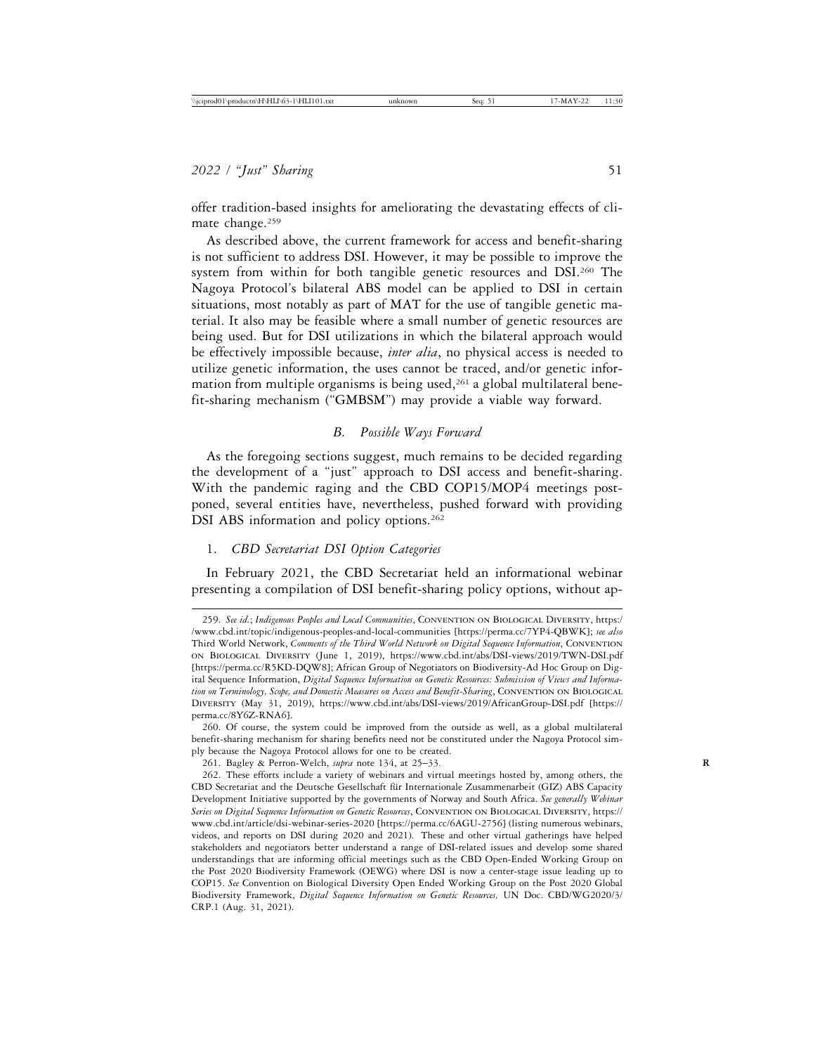offer tradition-based insights for ameliorating the devastating effects of climate change.<sup>259</sup>

As described above, the current framework for access and benefit-sharing is not sufficient to address DSI. However, it may be possible to improve the system from within for both tangible genetic resources and DSI.<sup>260</sup> The Nagoya Protocol's bilateral ABS model can be applied to DSI in certain situations, most notably as part of MAT for the use of tangible genetic material. It also may be feasible where a small number of genetic resources are being used. But for DSI utilizations in which the bilateral approach would be effectively impossible because, *inter alia*, no physical access is needed to utilize genetic information, the uses cannot be traced, and/or genetic information from multiple organisms is being used,<sup>261</sup> a global multilateral benefit-sharing mechanism ("GMBSM") may provide a viable way forward.

#### *B. Possible Ways Forward*

As the foregoing sections suggest, much remains to be decided regarding the development of a "just" approach to DSI access and benefit-sharing. With the pandemic raging and the CBD COP15/MOP4 meetings postponed, several entities have, nevertheless, pushed forward with providing DSI ABS information and policy options.<sup>262</sup>

# 1. *CBD Secretariat DSI Option Categories*

In February 2021, the CBD Secretariat held an informational webinar presenting a compilation of DSI benefit-sharing policy options, without ap-

<sup>259.</sup> *See id.*; *Indigenous Peoples and Local Communities*, Convention on Biological Diversity, https:/ /www.cbd.int/topic/indigenous-peoples-and-local-communities [https://perma.cc/7YP4-QBWK]; *see also* Third World Network, *Comments of the Third World Network on Digital Sequence Information*, Convention on Biological Diversity (June 1, 2019), https://www.cbd.int/abs/DSI-views/2019/TWN-DSI.pdf [https://perma.cc/R5KD-DQW8]; African Group of Negotiators on Biodiversity-Ad Hoc Group on Digital Sequence Information, *Digital Sequence Information on Genetic Resources: Submission of Views and Information on Terminology, Scope, and Domestic Measures on Access and Benefit-Sharing*, CONVENTION ON BIOLOGICAL Diversity (May 31, 2019), https://www.cbd.int/abs/DSI-views/2019/AfricanGroup-DSI.pdf [https:// perma.cc/8Y6Z-RNA6].

<sup>260.</sup> Of course, the system could be improved from the outside as well, as a global multilateral benefit-sharing mechanism for sharing benefits need not be constituted under the Nagoya Protocol simply because the Nagoya Protocol allows for one to be created.

<sup>261.</sup> Bagley & Perron-Welch, *supra* note 134, at 25–33. **R**

<sup>262.</sup> These efforts include a variety of webinars and virtual meetings hosted by, among others, the CBD Secretariat and the Deutsche Gesellschaft für Internationale Zusammenarbeit (GIZ) ABS Capacity Development Initiative supported by the governments of Norway and South Africa. *See generally Webinar Series on Digital Sequence Information on Genetic Resources*, Convention on Biological Diversity, https:// www.cbd.int/article/dsi-webinar-series-2020 [https://perma.cc/6AGU-2756] (listing numerous webinars, videos, and reports on DSI during 2020 and 2021). These and other virtual gatherings have helped stakeholders and negotiators better understand a range of DSI-related issues and develop some shared understandings that are informing official meetings such as the CBD Open-Ended Working Group on the Post 2020 Biodiversity Framework (OEWG) where DSI is now a center-stage issue leading up to COP15. *See* Convention on Biological Diversity Open Ended Working Group on the Post 2020 Global Biodiversity Framework, *Digital Sequence Information on Genetic Resources,* UN Doc. CBD/WG2020/3/ CRP.1 (Aug. 31, 2021).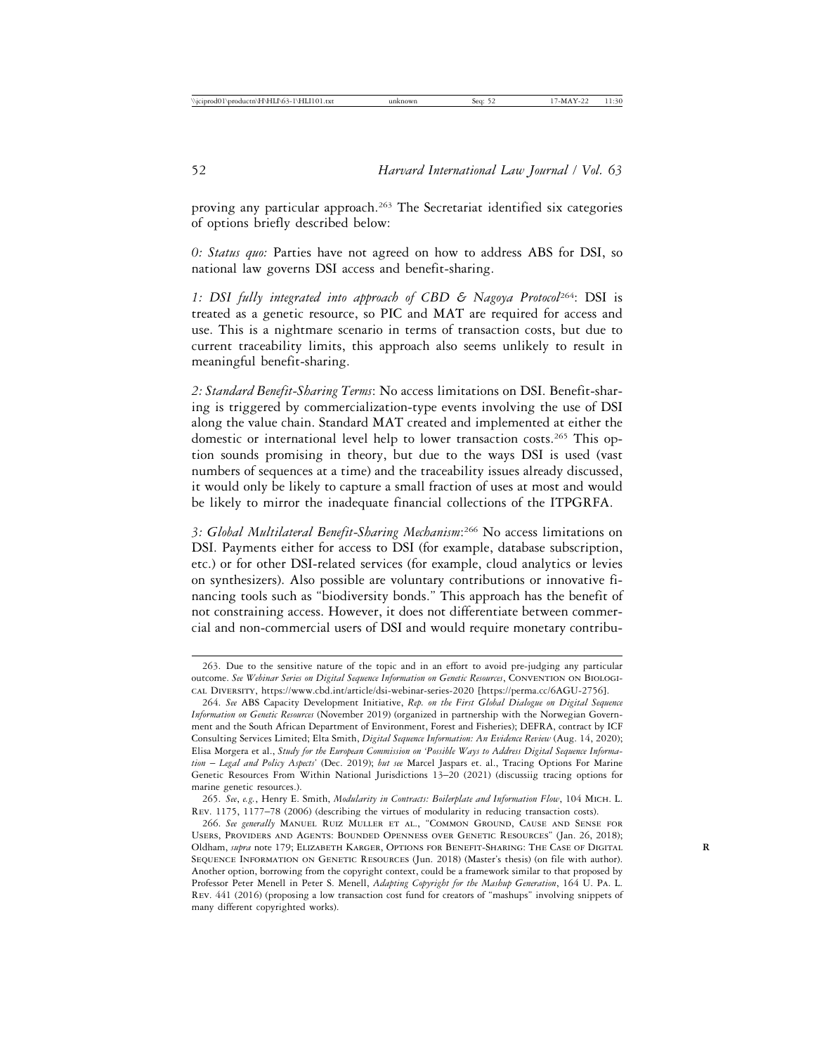proving any particular approach.<sup>263</sup> The Secretariat identified six categories of options briefly described below:

*0: Status quo:* Parties have not agreed on how to address ABS for DSI, so national law governs DSI access and benefit-sharing.

*1: DSI fully integrated into approach of CBD & Nagoya Protocol*264: DSI is treated as a genetic resource, so PIC and MAT are required for access and use. This is a nightmare scenario in terms of transaction costs, but due to current traceability limits, this approach also seems unlikely to result in meaningful benefit-sharing.

*2: Standard Benefit-Sharing Terms*: No access limitations on DSI. Benefit-sharing is triggered by commercialization-type events involving the use of DSI along the value chain. Standard MAT created and implemented at either the domestic or international level help to lower transaction costs.265 This option sounds promising in theory, but due to the ways DSI is used (vast numbers of sequences at a time) and the traceability issues already discussed, it would only be likely to capture a small fraction of uses at most and would be likely to mirror the inadequate financial collections of the ITPGRFA.

*3: Global Multilateral Benefit-Sharing Mechanism*: 266 No access limitations on DSI. Payments either for access to DSI (for example, database subscription, etc.) or for other DSI-related services (for example, cloud analytics or levies on synthesizers). Also possible are voluntary contributions or innovative financing tools such as "biodiversity bonds." This approach has the benefit of not constraining access. However, it does not differentiate between commercial and non-commercial users of DSI and would require monetary contribu-

265. *See*, *e.g.*, Henry E. Smith, *Modularity in Contracts: Boilerplate and Information Flow*, 104 Mich. L. Rev. 1175, 1177–78 (2006) (describing the virtues of modularity in reducing transaction costs).

<sup>263.</sup> Due to the sensitive nature of the topic and in an effort to avoid pre-judging any particular outcome. *See Webinar Series on Digital Sequence Information on Genetic Resources*, Convention on Biological Diversity, https://www.cbd.int/article/dsi-webinar-series-2020 [https://perma.cc/6AGU-2756].

<sup>264.</sup> *See* ABS Capacity Development Initiative, *Rep. on the First Global Dialogue on Digital Sequence Information on Genetic Resources* (November 2019) (organized in partnership with the Norwegian Government and the South African Department of Environment, Forest and Fisheries); DEFRA, contract by ICF Consulting Services Limited; Elta Smith, *Digital Sequence Information: An Evidence Review* (Aug. 14, 2020); Elisa Morgera et al., *Study for the European Commission on 'Possible Ways to Address Digital Sequence Information* – *Legal and Policy Aspects*' (Dec. 2019); *but see* Marcel Jaspars et. al., Tracing Options For Marine Genetic Resources From Within National Jurisdictions 13–20 (2021) (discussiig tracing options for marine genetic resources.).

<sup>266.</sup> *See generally* Manuel Ruiz Muller et al., "Common Ground, Cause and Sense for Users, Providers and Agents: Bounded Openness over Genetic Resources" (Jan. 26, 2018); Oldham, *supra* note 179; Elizabeth Karger, Options for Benefit-Sharing: The Case of Digital **R** Sequence Information on Genetic Resources (Jun. 2018) (Master's thesis) (on file with author). Another option, borrowing from the copyright context, could be a framework similar to that proposed by Professor Peter Menell in Peter S. Menell, *Adapting Copyright for the Mashup Generation*, 164 U. Pa. L. Rev. 441 (2016) (proposing a low transaction cost fund for creators of "mashups" involving snippets of many different copyrighted works).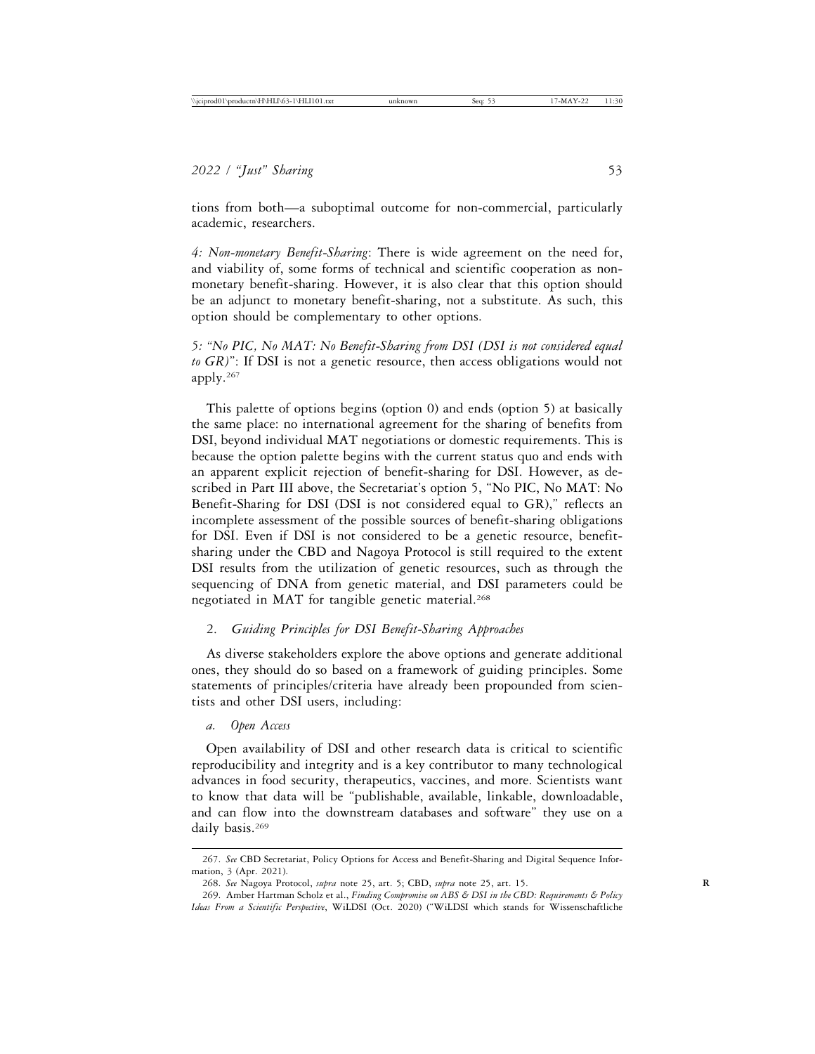tions from both—a suboptimal outcome for non-commercial, particularly academic, researchers.

*4: Non-monetary Benefit-Sharing*: There is wide agreement on the need for, and viability of, some forms of technical and scientific cooperation as nonmonetary benefit-sharing. However, it is also clear that this option should be an adjunct to monetary benefit-sharing, not a substitute. As such, this option should be complementary to other options.

*5: "No PIC, No MAT: No Benefit-Sharing from DSI (DSI is not considered equal to GR)*": If DSI is not a genetic resource, then access obligations would not apply.267

This palette of options begins (option 0) and ends (option 5) at basically the same place: no international agreement for the sharing of benefits from DSI, beyond individual MAT negotiations or domestic requirements. This is because the option palette begins with the current status quo and ends with an apparent explicit rejection of benefit-sharing for DSI. However, as described in Part III above, the Secretariat's option 5, "No PIC, No MAT: No Benefit-Sharing for DSI (DSI is not considered equal to GR)," reflects an incomplete assessment of the possible sources of benefit-sharing obligations for DSI. Even if DSI is not considered to be a genetic resource, benefitsharing under the CBD and Nagoya Protocol is still required to the extent DSI results from the utilization of genetic resources, such as through the sequencing of DNA from genetic material, and DSI parameters could be negotiated in MAT for tangible genetic material.<sup>268</sup>

## 2. *Guiding Principles for DSI Benefit-Sharing Approaches*

As diverse stakeholders explore the above options and generate additional ones, they should do so based on a framework of guiding principles. Some statements of principles/criteria have already been propounded from scientists and other DSI users, including:

#### *a. Open Access*

Open availability of DSI and other research data is critical to scientific reproducibility and integrity and is a key contributor to many technological advances in food security, therapeutics, vaccines, and more. Scientists want to know that data will be "publishable, available, linkable, downloadable, and can flow into the downstream databases and software" they use on a daily basis.<sup>269</sup>

<sup>267.</sup> *See* CBD Secretariat, Policy Options for Access and Benefit-Sharing and Digital Sequence Information, 3 (Apr. 2021).

<sup>268.</sup> *See* Nagoya Protocol, *supra* note 25, art. 5; CBD, *supra* note 25, art. 15. **R**

<sup>269.</sup> Amber Hartman Scholz et al., *Finding Compromise on ABS & DSI in the CBD: Requirements & Policy Ideas From a Scientific Perspective*, WiLDSI (Oct. 2020) ("WiLDSI which stands for Wissenschaftliche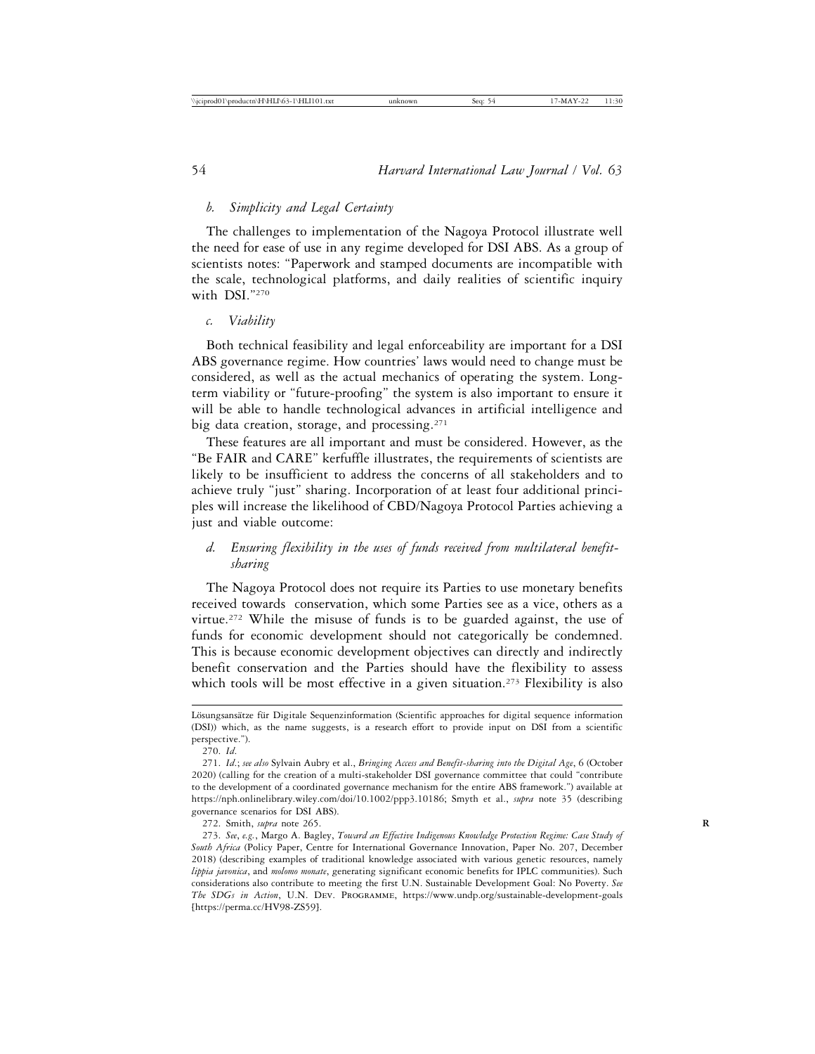## *b. Simplicity and Legal Certainty*

The challenges to implementation of the Nagoya Protocol illustrate well the need for ease of use in any regime developed for DSI ABS. As a group of scientists notes: "Paperwork and stamped documents are incompatible with the scale, technological platforms, and daily realities of scientific inquiry with DSI."270

#### *c. Viability*

Both technical feasibility and legal enforceability are important for a DSI ABS governance regime. How countries' laws would need to change must be considered, as well as the actual mechanics of operating the system. Longterm viability or "future-proofing" the system is also important to ensure it will be able to handle technological advances in artificial intelligence and big data creation, storage, and processing.271

These features are all important and must be considered. However, as the "Be FAIR and CARE" kerfuffle illustrates, the requirements of scientists are likely to be insufficient to address the concerns of all stakeholders and to achieve truly "just" sharing. Incorporation of at least four additional principles will increase the likelihood of CBD/Nagoya Protocol Parties achieving a just and viable outcome:

# *d. Ensuring flexibility in the uses of funds received from multilateral benefitsharing*

The Nagoya Protocol does not require its Parties to use monetary benefits received towards conservation, which some Parties see as a vice, others as a virtue.<sup>272</sup> While the misuse of funds is to be guarded against, the use of funds for economic development should not categorically be condemned. This is because economic development objectives can directly and indirectly benefit conservation and the Parties should have the flexibility to assess which tools will be most effective in a given situation.<sup>273</sup> Flexibility is also

Lösungsansätze für Digitale Sequenzinformation (Scientific approaches for digital sequence information (DSI)) which, as the name suggests, is a research effort to provide input on DSI from a scientific perspective.").

<sup>270.</sup> *Id*.

<sup>271.</sup> *Id*.; *see also* Sylvain Aubry et al., *Bringing Access and Benefit-sharing into the Digital Age*, 6 (October 2020) (calling for the creation of a multi-stakeholder DSI governance committee that could "contribute to the development of a coordinated governance mechanism for the entire ABS framework.") available at https://nph.onlinelibrary.wiley.com/doi/10.1002/ppp3.10186; Smyth et al., *supra* note 35 (describing governance scenarios for DSI ABS).

<sup>272.</sup> Smith, *supra* note 265. **R**

<sup>273.</sup> *See*, *e.g.*, Margo A. Bagley, *Toward an Effective Indigenous Knowledge Protection Regime: Case Study of South Africa* (Policy Paper, Centre for International Governance Innovation, Paper No. 207, December 2018) (describing examples of traditional knowledge associated with various genetic resources, namely *lippia javonica*, and *molomo monate*, generating significant economic benefits for IPLC communities). Such considerations also contribute to meeting the first U.N. Sustainable Development Goal: No Poverty. *See The SDGs in Action*, U.N. Dev. Programme, https://www.undp.org/sustainable-development-goals [https://perma.cc/HV98-ZS59].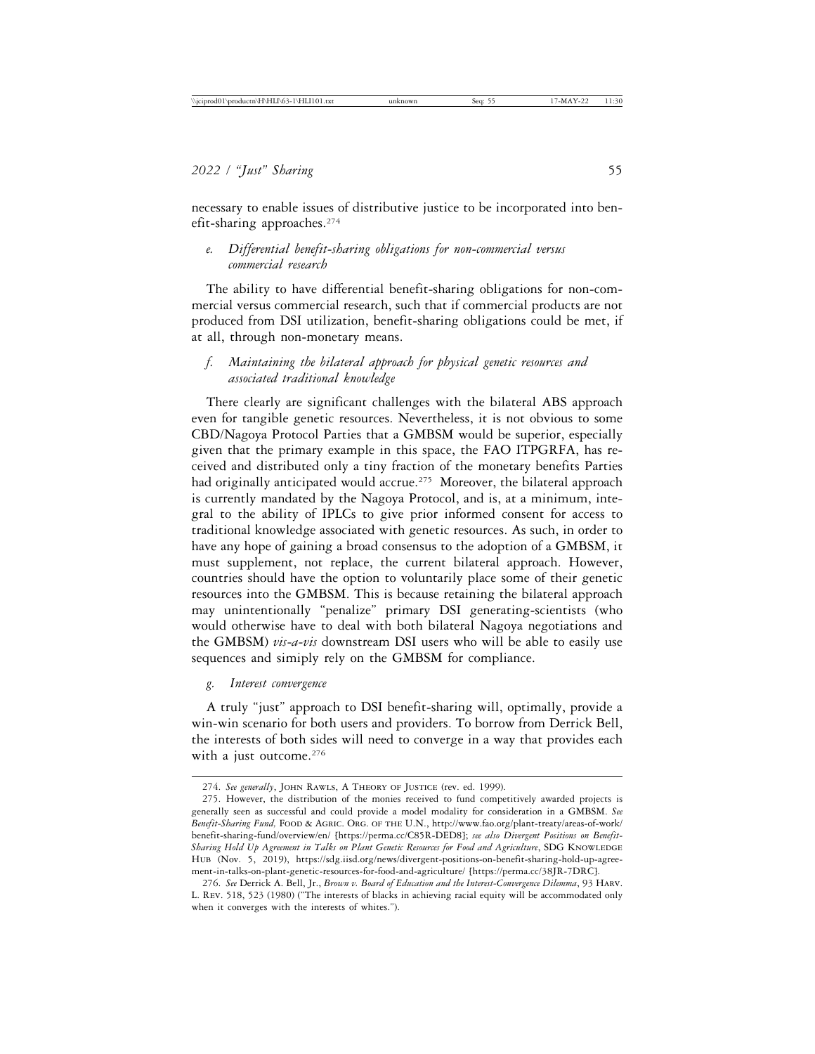necessary to enable issues of distributive justice to be incorporated into benefit-sharing approaches.274

*e. Differential benefit-sharing obligations for non-commercial versus commercial research*

The ability to have differential benefit-sharing obligations for non-commercial versus commercial research, such that if commercial products are not produced from DSI utilization, benefit-sharing obligations could be met, if at all, through non-monetary means.

*f. Maintaining the bilateral approach for physical genetic resources and associated traditional knowledge*

There clearly are significant challenges with the bilateral ABS approach even for tangible genetic resources. Nevertheless, it is not obvious to some CBD/Nagoya Protocol Parties that a GMBSM would be superior, especially given that the primary example in this space, the FAO ITPGRFA, has received and distributed only a tiny fraction of the monetary benefits Parties had originally anticipated would accrue.<sup>275</sup> Moreover, the bilateral approach is currently mandated by the Nagoya Protocol, and is, at a minimum, integral to the ability of IPLCs to give prior informed consent for access to traditional knowledge associated with genetic resources. As such, in order to have any hope of gaining a broad consensus to the adoption of a GMBSM, it must supplement, not replace, the current bilateral approach. However, countries should have the option to voluntarily place some of their genetic resources into the GMBSM. This is because retaining the bilateral approach may unintentionally "penalize" primary DSI generating-scientists (who would otherwise have to deal with both bilateral Nagoya negotiations and the GMBSM) *vis-a-vis* downstream DSI users who will be able to easily use sequences and simiply rely on the GMBSM for compliance.

*g. Interest convergence*

A truly "just" approach to DSI benefit-sharing will, optimally, provide a win-win scenario for both users and providers. To borrow from Derrick Bell, the interests of both sides will need to converge in a way that provides each with a just outcome.<sup>276</sup>

<sup>274.</sup> *See generally*, John Rawls, A Theory of Justice (rev. ed. 1999).

<sup>275.</sup> However, the distribution of the monies received to fund competitively awarded projects is generally seen as successful and could provide a model modality for consideration in a GMBSM. *See Benefit-Sharing Fund,* Food & Agric. Org. of the U.N., http://www.fao.org/plant-treaty/areas-of-work/ benefit-sharing-fund/overview/en/ [https://perma.cc/C85R-DED8]; *see also Divergent Positions on Benefit-*Sharing Hold Up Agreement in Talks on Plant Genetic Resources for Food and Agriculture, SDG KNOWLEDGE Hub (Nov. 5, 2019), https://sdg.iisd.org/news/divergent-positions-on-benefit-sharing-hold-up-agreement-in-talks-on-plant-genetic-resources-for-food-and-agriculture/ [https://perma.cc/38JR-7DRC].

<sup>276.</sup> *See* Derrick A. Bell, Jr., *Brown v. Board of Education and the Interest-Convergence Dilemma*, 93 Harv. L. Rev. 518, 523 (1980) ("The interests of blacks in achieving racial equity will be accommodated only when it converges with the interests of whites.").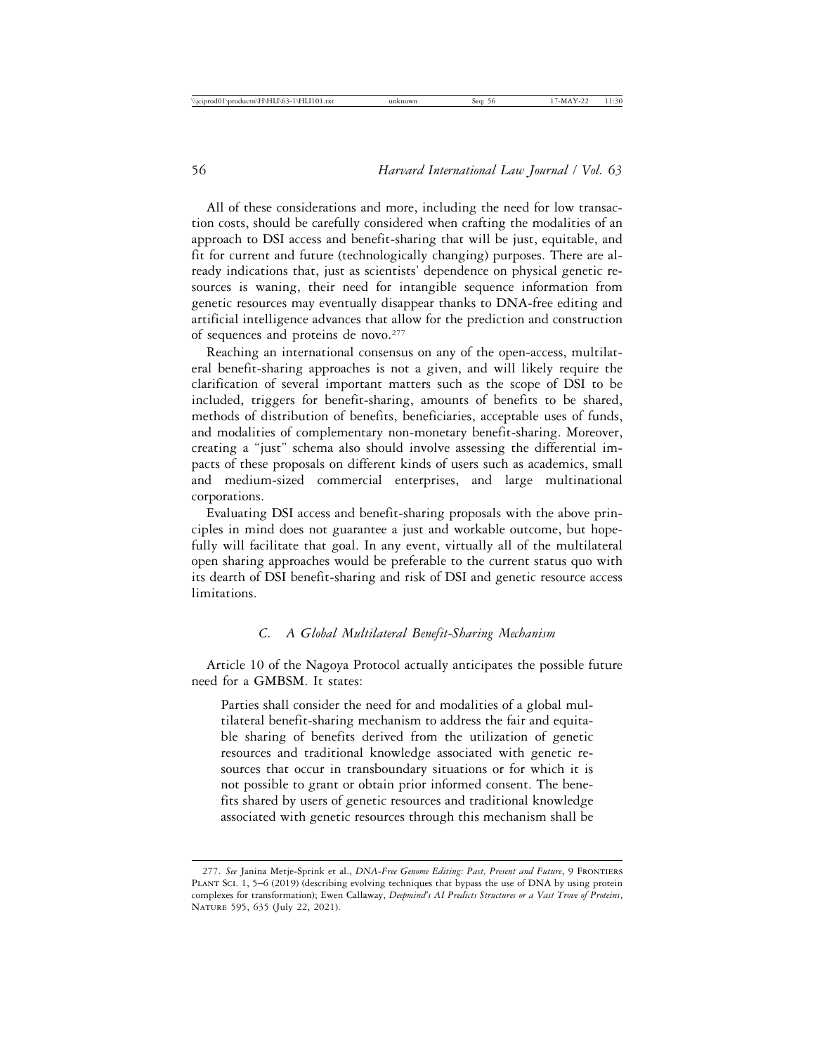All of these considerations and more, including the need for low transaction costs, should be carefully considered when crafting the modalities of an approach to DSI access and benefit-sharing that will be just, equitable, and fit for current and future (technologically changing) purposes. There are already indications that, just as scientists' dependence on physical genetic resources is waning, their need for intangible sequence information from genetic resources may eventually disappear thanks to DNA-free editing and artificial intelligence advances that allow for the prediction and construction of sequences and proteins de novo.<sup>277</sup>

Reaching an international consensus on any of the open-access, multilateral benefit-sharing approaches is not a given, and will likely require the clarification of several important matters such as the scope of DSI to be included, triggers for benefit-sharing, amounts of benefits to be shared, methods of distribution of benefits, beneficiaries, acceptable uses of funds, and modalities of complementary non-monetary benefit-sharing. Moreover, creating a "just" schema also should involve assessing the differential impacts of these proposals on different kinds of users such as academics, small and medium-sized commercial enterprises, and large multinational corporations.

Evaluating DSI access and benefit-sharing proposals with the above principles in mind does not guarantee a just and workable outcome, but hopefully will facilitate that goal. In any event, virtually all of the multilateral open sharing approaches would be preferable to the current status quo with its dearth of DSI benefit-sharing and risk of DSI and genetic resource access limitations.

## *C. A Global Multilateral Benefit-Sharing Mechanism*

Article 10 of the Nagoya Protocol actually anticipates the possible future need for a GMBSM. It states:

Parties shall consider the need for and modalities of a global multilateral benefit-sharing mechanism to address the fair and equitable sharing of benefits derived from the utilization of genetic resources and traditional knowledge associated with genetic resources that occur in transboundary situations or for which it is not possible to grant or obtain prior informed consent. The benefits shared by users of genetic resources and traditional knowledge associated with genetic resources through this mechanism shall be

<sup>277.</sup> *See* Janina Metje-Sprink et al., *DNA-Free Genome Editing: Past, Present and Future*, 9 Frontiers PLANT SCI. 1, 5–6 (2019) (describing evolving techniques that bypass the use of DNA by using protein complexes for transformation); Ewen Callaway, *Deepmind's AI Predicts Structures or a Vast Trove of Proteins*, Nature 595, 635 (July 22, 2021).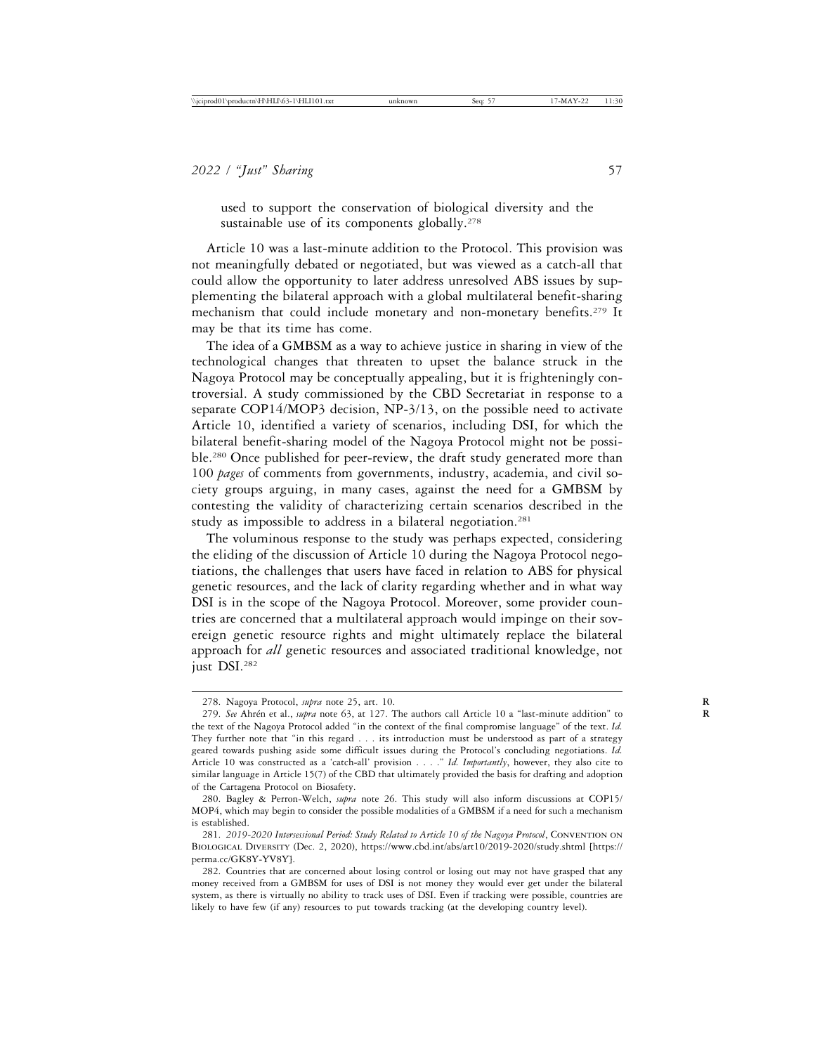used to support the conservation of biological diversity and the sustainable use of its components globally.<sup>278</sup>

Article 10 was a last-minute addition to the Protocol. This provision was not meaningfully debated or negotiated, but was viewed as a catch-all that could allow the opportunity to later address unresolved ABS issues by supplementing the bilateral approach with a global multilateral benefit-sharing mechanism that could include monetary and non-monetary benefits.<sup>279</sup> It may be that its time has come.

The idea of a GMBSM as a way to achieve justice in sharing in view of the technological changes that threaten to upset the balance struck in the Nagoya Protocol may be conceptually appealing, but it is frighteningly controversial. A study commissioned by the CBD Secretariat in response to a separate COP14/MOP3 decision, NP-3/13, on the possible need to activate Article 10, identified a variety of scenarios, including DSI, for which the bilateral benefit-sharing model of the Nagoya Protocol might not be possible.<sup>280</sup> Once published for peer-review, the draft study generated more than 100 *pages* of comments from governments, industry, academia, and civil society groups arguing, in many cases, against the need for a GMBSM by contesting the validity of characterizing certain scenarios described in the study as impossible to address in a bilateral negotiation.<sup>281</sup>

The voluminous response to the study was perhaps expected, considering the eliding of the discussion of Article 10 during the Nagoya Protocol negotiations, the challenges that users have faced in relation to ABS for physical genetic resources, and the lack of clarity regarding whether and in what way DSI is in the scope of the Nagoya Protocol. Moreover, some provider countries are concerned that a multilateral approach would impinge on their sovereign genetic resource rights and might ultimately replace the bilateral approach for *all* genetic resources and associated traditional knowledge, not just DSI.282

<sup>278.</sup> Nagoya Protocol, *supra* note 25, art. 10. **R**

<sup>279.</sup> *See* Ahrén et al., *supra* note 63, at 127. The authors call Article 10 a "last-minute addition" to the text of the Nagoya Protocol added "in the context of the final compromise language" of the text. *Id.* They further note that "in this regard . . . its introduction must be understood as part of a strategy geared towards pushing aside some difficult issues during the Protocol's concluding negotiations. *Id.* Article 10 was constructed as a 'catch-all' provision . . . ." *Id. Importantly*, however, they also cite to similar language in Article 15(7) of the CBD that ultimately provided the basis for drafting and adoption of the Cartagena Protocol on Biosafety.

<sup>280.</sup> Bagley & Perron-Welch, *supra* note 26. This study will also inform discussions at COP15/ MOP4, which may begin to consider the possible modalities of a GMBSM if a need for such a mechanism is established.

<sup>281.</sup> *2019-2020 Intersessional Period: Study Related to Article 10 of the Nagoya Protocol*, Convention on Biological Diversity (Dec. 2, 2020), https://www.cbd.int/abs/art10/2019-2020/study.shtml [https:// perma.cc/GK8Y-YV8Y].

<sup>282.</sup> Countries that are concerned about losing control or losing out may not have grasped that any money received from a GMBSM for uses of DSI is not money they would ever get under the bilateral system, as there is virtually no ability to track uses of DSI. Even if tracking were possible, countries are likely to have few (if any) resources to put towards tracking (at the developing country level).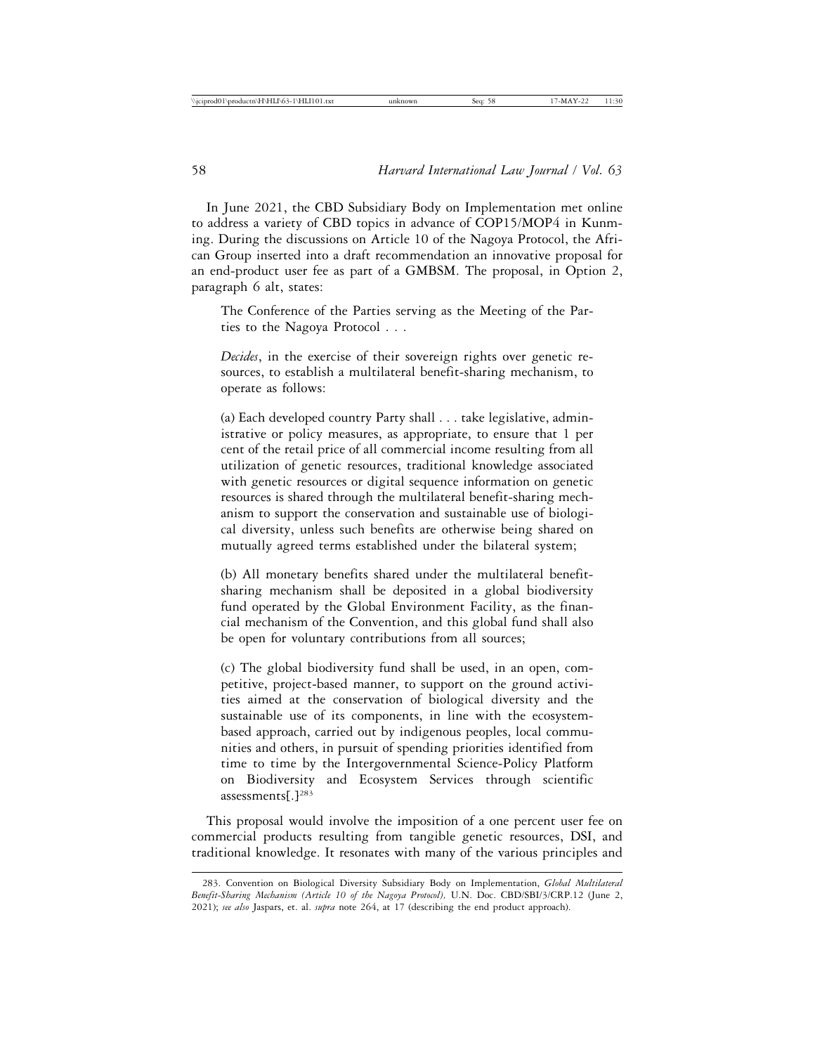In June 2021, the CBD Subsidiary Body on Implementation met online to address a variety of CBD topics in advance of COP15/MOP4 in Kunming. During the discussions on Article 10 of the Nagoya Protocol, the African Group inserted into a draft recommendation an innovative proposal for an end-product user fee as part of a GMBSM. The proposal, in Option 2, paragraph 6 alt, states:

The Conference of the Parties serving as the Meeting of the Parties to the Nagoya Protocol . . .

*Decides*, in the exercise of their sovereign rights over genetic resources, to establish a multilateral benefit-sharing mechanism, to operate as follows:

(a) Each developed country Party shall . . . take legislative, administrative or policy measures, as appropriate, to ensure that 1 per cent of the retail price of all commercial income resulting from all utilization of genetic resources, traditional knowledge associated with genetic resources or digital sequence information on genetic resources is shared through the multilateral benefit-sharing mechanism to support the conservation and sustainable use of biological diversity, unless such benefits are otherwise being shared on mutually agreed terms established under the bilateral system;

(b) All monetary benefits shared under the multilateral benefitsharing mechanism shall be deposited in a global biodiversity fund operated by the Global Environment Facility, as the financial mechanism of the Convention, and this global fund shall also be open for voluntary contributions from all sources;

(c) The global biodiversity fund shall be used, in an open, competitive, project-based manner, to support on the ground activities aimed at the conservation of biological diversity and the sustainable use of its components, in line with the ecosystembased approach, carried out by indigenous peoples, local communities and others, in pursuit of spending priorities identified from time to time by the Intergovernmental Science-Policy Platform on Biodiversity and Ecosystem Services through scientific assessments[.]283

This proposal would involve the imposition of a one percent user fee on commercial products resulting from tangible genetic resources, DSI, and traditional knowledge. It resonates with many of the various principles and

<sup>283.</sup> Convention on Biological Diversity Subsidiary Body on Implementation, *Global Multilateral Benefit-Sharing Mechanism (Article 10 of the Nagoya Protocol),* U.N. Doc. CBD/SBI/3/CRP.12 (June 2, 2021); *see also* Jaspars, et. al. *supra* note 264, at 17 (describing the end product approach).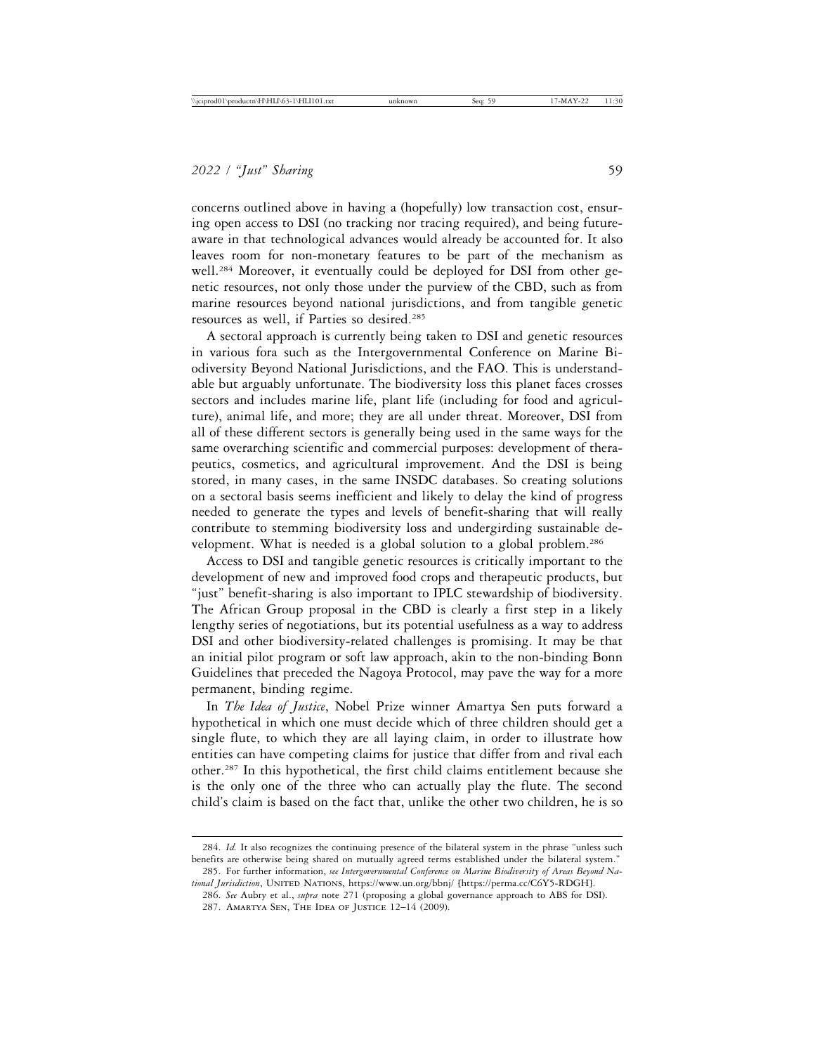concerns outlined above in having a (hopefully) low transaction cost, ensuring open access to DSI (no tracking nor tracing required), and being futureaware in that technological advances would already be accounted for. It also leaves room for non-monetary features to be part of the mechanism as well.284 Moreover, it eventually could be deployed for DSI from other genetic resources, not only those under the purview of the CBD, such as from marine resources beyond national jurisdictions, and from tangible genetic resources as well, if Parties so desired.285

A sectoral approach is currently being taken to DSI and genetic resources in various fora such as the Intergovernmental Conference on Marine Biodiversity Beyond National Jurisdictions, and the FAO. This is understandable but arguably unfortunate. The biodiversity loss this planet faces crosses sectors and includes marine life, plant life (including for food and agriculture), animal life, and more; they are all under threat. Moreover, DSI from all of these different sectors is generally being used in the same ways for the same overarching scientific and commercial purposes: development of therapeutics, cosmetics, and agricultural improvement. And the DSI is being stored, in many cases, in the same INSDC databases. So creating solutions on a sectoral basis seems inefficient and likely to delay the kind of progress needed to generate the types and levels of benefit-sharing that will really contribute to stemming biodiversity loss and undergirding sustainable development. What is needed is a global solution to a global problem.<sup>286</sup>

Access to DSI and tangible genetic resources is critically important to the development of new and improved food crops and therapeutic products, but "just" benefit-sharing is also important to IPLC stewardship of biodiversity. The African Group proposal in the CBD is clearly a first step in a likely lengthy series of negotiations, but its potential usefulness as a way to address DSI and other biodiversity-related challenges is promising. It may be that an initial pilot program or soft law approach, akin to the non-binding Bonn Guidelines that preceded the Nagoya Protocol, may pave the way for a more permanent, binding regime.

In *The Idea of Justice*, Nobel Prize winner Amartya Sen puts forward a hypothetical in which one must decide which of three children should get a single flute, to which they are all laying claim, in order to illustrate how entities can have competing claims for justice that differ from and rival each other.287 In this hypothetical, the first child claims entitlement because she is the only one of the three who can actually play the flute. The second child's claim is based on the fact that, unlike the other two children, he is so

<sup>284.</sup> *Id.* It also recognizes the continuing presence of the bilateral system in the phrase "unless such benefits are otherwise being shared on mutually agreed terms established under the bilateral system."

<sup>285.</sup> For further information, *see Intergovernmental Conference on Marine Biodiversity of Areas Beyond Na*tional Jurisdiction, UNITED NATIONS, https://www.un.org/bbnj/ [https://perma.cc/C6Y5-RDGH].

<sup>286.</sup> *See* Aubry et al., *supra* note 271 (proposing a global governance approach to ABS for DSI). 287. Amartya Sen, The Idea of Justice 12–14 (2009).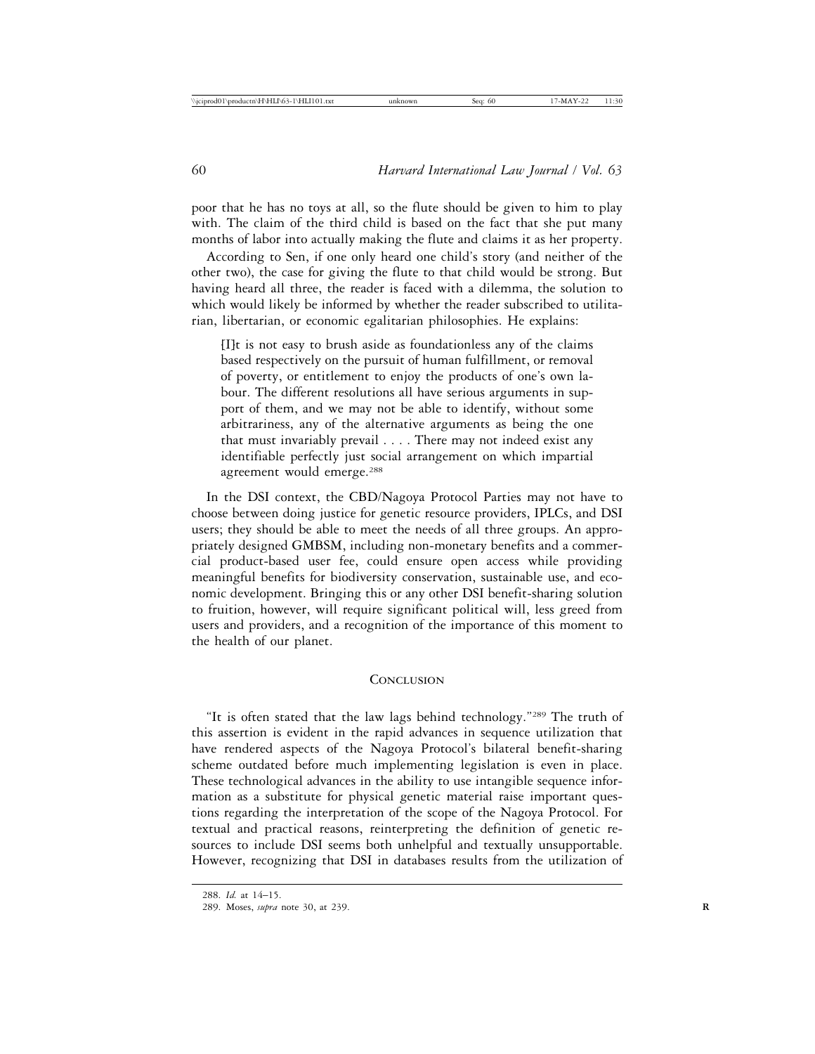poor that he has no toys at all, so the flute should be given to him to play with. The claim of the third child is based on the fact that she put many months of labor into actually making the flute and claims it as her property.

According to Sen, if one only heard one child's story (and neither of the other two), the case for giving the flute to that child would be strong. But having heard all three, the reader is faced with a dilemma, the solution to which would likely be informed by whether the reader subscribed to utilitarian, libertarian, or economic egalitarian philosophies. He explains:

[I]t is not easy to brush aside as foundationless any of the claims based respectively on the pursuit of human fulfillment, or removal of poverty, or entitlement to enjoy the products of one's own labour. The different resolutions all have serious arguments in support of them, and we may not be able to identify, without some arbitrariness, any of the alternative arguments as being the one that must invariably prevail . . . . There may not indeed exist any identifiable perfectly just social arrangement on which impartial agreement would emerge.288

In the DSI context, the CBD/Nagoya Protocol Parties may not have to choose between doing justice for genetic resource providers, IPLCs, and DSI users; they should be able to meet the needs of all three groups. An appropriately designed GMBSM, including non-monetary benefits and a commercial product-based user fee, could ensure open access while providing meaningful benefits for biodiversity conservation, sustainable use, and economic development. Bringing this or any other DSI benefit-sharing solution to fruition, however, will require significant political will, less greed from users and providers, and a recognition of the importance of this moment to the health of our planet.

#### **CONCLUSION**

"It is often stated that the law lags behind technology."289 The truth of this assertion is evident in the rapid advances in sequence utilization that have rendered aspects of the Nagoya Protocol's bilateral benefit-sharing scheme outdated before much implementing legislation is even in place. These technological advances in the ability to use intangible sequence information as a substitute for physical genetic material raise important questions regarding the interpretation of the scope of the Nagoya Protocol. For textual and practical reasons, reinterpreting the definition of genetic resources to include DSI seems both unhelpful and textually unsupportable. However, recognizing that DSI in databases results from the utilization of

<sup>288.</sup> *Id.* at 14–15.

<sup>289.</sup> Moses, *supra* note 30, at 239. **R**